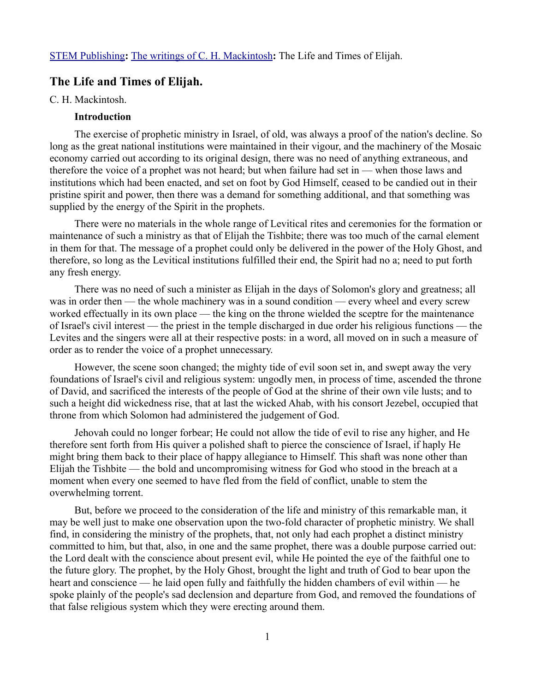# **The Life and Times of Elijah.**

#### C. H. Mackintosh.

### **Introduction**

The exercise of prophetic ministry in Israel, of old, was always a proof of the nation's decline. So long as the great national institutions were maintained in their vigour, and the machinery of the Mosaic economy carried out according to its original design, there was no need of anything extraneous, and therefore the voice of a prophet was not heard; but when failure had set in — when those laws and institutions which had been enacted, and set on foot by God Himself, ceased to be candied out in their pristine spirit and power, then there was a demand for something additional, and that something was supplied by the energy of the Spirit in the prophets.

There were no materials in the whole range of Levitical rites and ceremonies for the formation or maintenance of such a ministry as that of Elijah the Tishbite; there was too much of the carnal element in them for that. The message of a prophet could only be delivered in the power of the Holy Ghost, and therefore, so long as the Levitical institutions fulfilled their end, the Spirit had no a; need to put forth any fresh energy.

There was no need of such a minister as Elijah in the days of Solomon's glory and greatness; all was in order then — the whole machinery was in a sound condition — every wheel and every screw worked effectually in its own place — the king on the throne wielded the sceptre for the maintenance of Israel's civil interest — the priest in the temple discharged in due order his religious functions — the Levites and the singers were all at their respective posts: in a word, all moved on in such a measure of order as to render the voice of a prophet unnecessary.

However, the scene soon changed; the mighty tide of evil soon set in, and swept away the very foundations of Israel's civil and religious system: ungodly men, in process of time, ascended the throne of David, and sacrificed the interests of the people of God at the shrine of their own vile lusts; and to such a height did wickedness rise, that at last the wicked Ahab, with his consort Jezebel, occupied that throne from which Solomon had administered the judgement of God.

Jehovah could no longer forbear; He could not allow the tide of evil to rise any higher, and He therefore sent forth from His quiver a polished shaft to pierce the conscience of Israel, if haply He might bring them back to their place of happy allegiance to Himself. This shaft was none other than Elijah the Tishbite — the bold and uncompromising witness for God who stood in the breach at a moment when every one seemed to have fled from the field of conflict, unable to stem the overwhelming torrent.

But, before we proceed to the consideration of the life and ministry of this remarkable man, it may be well just to make one observation upon the two-fold character of prophetic ministry. We shall find, in considering the ministry of the prophets, that, not only had each prophet a distinct ministry committed to him, but that, also, in one and the same prophet, there was a double purpose carried out: the Lord dealt with the conscience about present evil, while He pointed the eye of the faithful one to the future glory. The prophet, by the Holy Ghost, brought the light and truth of God to bear upon the heart and conscience — he laid open fully and faithfully the hidden chambers of evil within — he spoke plainly of the people's sad declension and departure from God, and removed the foundations of that false religious system which they were erecting around them.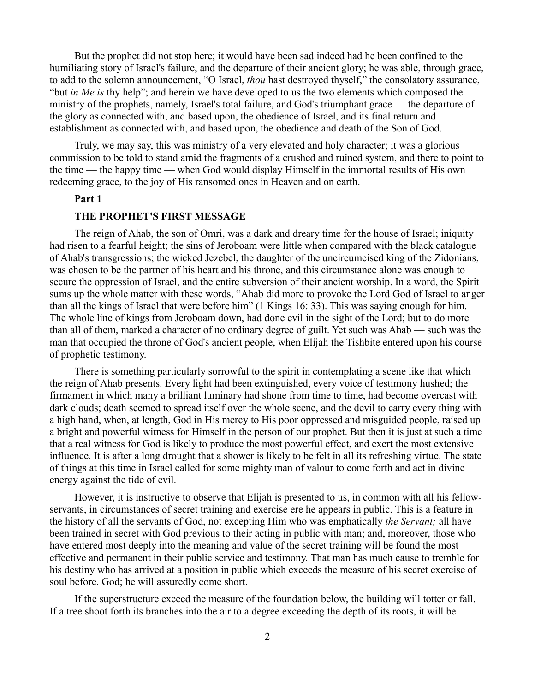But the prophet did not stop here; it would have been sad indeed had he been confined to the humiliating story of Israel's failure, and the departure of their ancient glory; he was able, through grace, to add to the solemn announcement, "O Israel, *thou* hast destroyed thyself," the consolatory assurance, "but *in Me is* thy help"; and herein we have developed to us the two elements which composed the ministry of the prophets, namely, Israel's total failure, and God's triumphant grace — the departure of the glory as connected with, and based upon, the obedience of Israel, and its final return and establishment as connected with, and based upon, the obedience and death of the Son of God.

Truly, we may say, this was ministry of a very elevated and holy character; it was a glorious commission to be told to stand amid the fragments of a crushed and ruined system, and there to point to the time — the happy time — when God would display Himself in the immortal results of His own redeeming grace, to the joy of His ransomed ones in Heaven and on earth.

### **Part 1**

## **THE PROPHET'S FIRST MESSAGE**

The reign of Ahab, the son of Omri, was a dark and dreary time for the house of Israel; iniquity had risen to a fearful height; the sins of Jeroboam were little when compared with the black catalogue of Ahab's transgressions; the wicked Jezebel, the daughter of the uncircumcised king of the Zidonians, was chosen to be the partner of his heart and his throne, and this circumstance alone was enough to secure the oppression of Israel, and the entire subversion of their ancient worship. In a word, the Spirit sums up the whole matter with these words, "Ahab did more to provoke the Lord God of Israel to anger than all the kings of Israel that were before him" (1 Kings 16: 33). This was saying enough for him. The whole line of kings from Jeroboam down, had done evil in the sight of the Lord; but to do more than all of them, marked a character of no ordinary degree of guilt. Yet such was Ahab — such was the man that occupied the throne of God's ancient people, when Elijah the Tishbite entered upon his course of prophetic testimony.

There is something particularly sorrowful to the spirit in contemplating a scene like that which the reign of Ahab presents. Every light had been extinguished, every voice of testimony hushed; the firmament in which many a brilliant luminary had shone from time to time, had become overcast with dark clouds; death seemed to spread itself over the whole scene, and the devil to carry every thing with a high hand, when, at length, God in His mercy to His poor oppressed and misguided people, raised up a bright and powerful witness for Himself in the person of our prophet. But then it is just at such a time that a real witness for God is likely to produce the most powerful effect, and exert the most extensive influence. It is after a long drought that a shower is likely to be felt in all its refreshing virtue. The state of things at this time in Israel called for some mighty man of valour to come forth and act in divine energy against the tide of evil.

However, it is instructive to observe that Elijah is presented to us, in common with all his fellowservants, in circumstances of secret training and exercise ere he appears in public. This is a feature in the history of all the servants of God, not excepting Him who was emphatically *the Servant;* all have been trained in secret with God previous to their acting in public with man; and, moreover, those who have entered most deeply into the meaning and value of the secret training will be found the most effective and permanent in their public service and testimony. That man has much cause to tremble for his destiny who has arrived at a position in public which exceeds the measure of his secret exercise of soul before. God; he will assuredly come short.

If the superstructure exceed the measure of the foundation below, the building will totter or fall. If a tree shoot forth its branches into the air to a degree exceeding the depth of its roots, it will be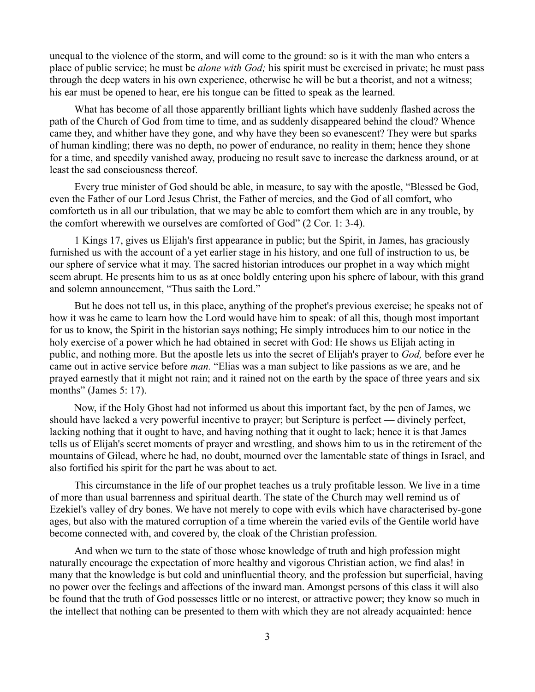unequal to the violence of the storm, and will come to the ground: so is it with the man who enters a place of public service; he must be *alone with God;* his spirit must be exercised in private; he must pass through the deep waters in his own experience, otherwise he will be but a theorist, and not a witness; his ear must be opened to hear, ere his tongue can be fitted to speak as the learned.

What has become of all those apparently brilliant lights which have suddenly flashed across the path of the Church of God from time to time, and as suddenly disappeared behind the cloud? Whence came they, and whither have they gone, and why have they been so evanescent? They were but sparks of human kindling; there was no depth, no power of endurance, no reality in them; hence they shone for a time, and speedily vanished away, producing no result save to increase the darkness around, or at least the sad consciousness thereof.

Every true minister of God should be able, in measure, to say with the apostle, "Blessed be God, even the Father of our Lord Jesus Christ, the Father of mercies, and the God of all comfort, who comforteth us in all our tribulation, that we may be able to comfort them which are in any trouble, by the comfort wherewith we ourselves are comforted of God" (2 Cor. 1: 3-4).

1 Kings 17, gives us Elijah's first appearance in public; but the Spirit, in James, has graciously furnished us with the account of a yet earlier stage in his history, and one full of instruction to us, be our sphere of service what it may. The sacred historian introduces our prophet in a way which might seem abrupt. He presents him to us as at once boldly entering upon his sphere of labour, with this grand and solemn announcement, "Thus saith the Lord."

But he does not tell us, in this place, anything of the prophet's previous exercise; he speaks not of how it was he came to learn how the Lord would have him to speak: of all this, though most important for us to know, the Spirit in the historian says nothing; He simply introduces him to our notice in the holy exercise of a power which he had obtained in secret with God: He shows us Elijah acting in public, and nothing more. But the apostle lets us into the secret of Elijah's prayer to *God,* before ever he came out in active service before *man.* "Elias was a man subject to like passions as we are, and he prayed earnestly that it might not rain; and it rained not on the earth by the space of three years and six months" (James 5: 17).

Now, if the Holy Ghost had not informed us about this important fact, by the pen of James, we should have lacked a very powerful incentive to prayer; but Scripture is perfect — divinely perfect, lacking nothing that it ought to have, and having nothing that it ought to lack; hence it is that James tells us of Elijah's secret moments of prayer and wrestling, and shows him to us in the retirement of the mountains of Gilead, where he had, no doubt, mourned over the lamentable state of things in Israel, and also fortified his spirit for the part he was about to act.

This circumstance in the life of our prophet teaches us a truly profitable lesson. We live in a time of more than usual barrenness and spiritual dearth. The state of the Church may well remind us of Ezekiel's valley of dry bones. We have not merely to cope with evils which have characterised by-gone ages, but also with the matured corruption of a time wherein the varied evils of the Gentile world have become connected with, and covered by, the cloak of the Christian profession.

And when we turn to the state of those whose knowledge of truth and high profession might naturally encourage the expectation of more healthy and vigorous Christian action, we find alas! in many that the knowledge is but cold and uninfluential theory, and the profession but superficial, having no power over the feelings and affections of the inward man. Amongst persons of this class it will also be found that the truth of God possesses little or no interest, or attractive power; they know so much in the intellect that nothing can be presented to them with which they are not already acquainted: hence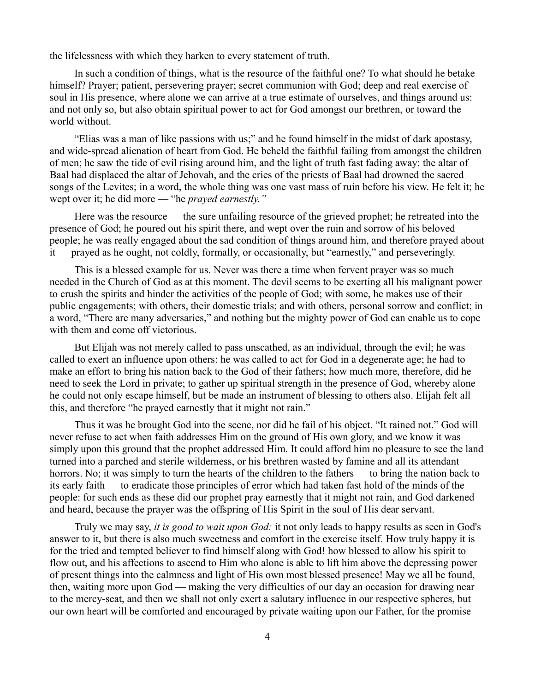the lifelessness with which they harken to every statement of truth.

In such a condition of things, what is the resource of the faithful one? To what should he betake himself? Prayer; patient, persevering prayer; secret communion with God; deep and real exercise of soul in His presence, where alone we can arrive at a true estimate of ourselves, and things around us: and not only so, but also obtain spiritual power to act for God amongst our brethren, or toward the world without.

"Elias was a man of like passions with us;" and he found himself in the midst of dark apostasy, and wide-spread alienation of heart from God. He beheld the faithful failing from amongst the children of men; he saw the tide of evil rising around him, and the light of truth fast fading away: the altar of Baal had displaced the altar of Jehovah, and the cries of the priests of Baal had drowned the sacred songs of the Levites; in a word, the whole thing was one vast mass of ruin before his view. He felt it; he wept over it; he did more — "he *prayed earnestly."*

Here was the resource — the sure unfailing resource of the grieved prophet; he retreated into the presence of God; he poured out his spirit there, and wept over the ruin and sorrow of his beloved people; he was really engaged about the sad condition of things around him, and therefore prayed about it — prayed as he ought, not coldly, formally, or occasionally, but "earnestly," and perseveringly.

This is a blessed example for us. Never was there a time when fervent prayer was so much needed in the Church of God as at this moment. The devil seems to be exerting all his malignant power to crush the spirits and hinder the activities of the people of God; with some, he makes use of their public engagements; with others, their domestic trials; and with others, personal sorrow and conflict; in a word, "There are many adversaries," and nothing but the mighty power of God can enable us to cope with them and come off victorious.

But Elijah was not merely called to pass unscathed, as an individual, through the evil; he was called to exert an influence upon others: he was called to act for God in a degenerate age; he had to make an effort to bring his nation back to the God of their fathers; how much more, therefore, did he need to seek the Lord in private; to gather up spiritual strength in the presence of God, whereby alone he could not only escape himself, but be made an instrument of blessing to others also. Elijah felt all this, and therefore "he prayed earnestly that it might not rain."

Thus it was he brought God into the scene, nor did he fail of his object. "It rained not." God will never refuse to act when faith addresses Him on the ground of His own glory, and we know it was simply upon this ground that the prophet addressed Him. It could afford him no pleasure to see the land turned into a parched and sterile wilderness, or his brethren wasted by famine and all its attendant horrors. No; it was simply to turn the hearts of the children to the fathers — to bring the nation back to its early faith — to eradicate those principles of error which had taken fast hold of the minds of the people: for such ends as these did our prophet pray earnestly that it might not rain, and God darkened and heard, because the prayer was the offspring of His Spirit in the soul of His dear servant.

Truly we may say, *it is good to wait upon God:* it not only leads to happy results as seen in God's answer to it, but there is also much sweetness and comfort in the exercise itself. How truly happy it is for the tried and tempted believer to find himself along with God! how blessed to allow his spirit to flow out, and his affections to ascend to Him who alone is able to lift him above the depressing power of present things into the calmness and light of His own most blessed presence! May we all be found, then, waiting more upon God — making the very difficulties of our day an occasion for drawing near to the mercy-seat, and then we shall not only exert a salutary influence in our respective spheres, but our own heart will be comforted and encouraged by private waiting upon our Father, for the promise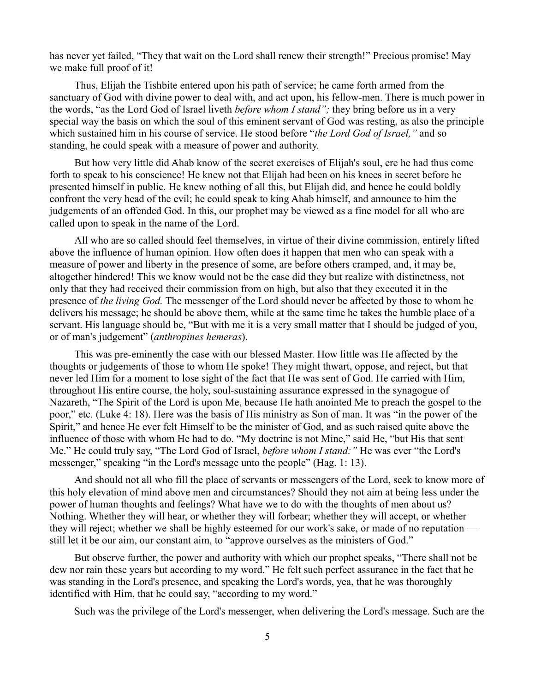has never yet failed, "They that wait on the Lord shall renew their strength!" Precious promise! May we make full proof of it!

Thus, Elijah the Tishbite entered upon his path of service; he came forth armed from the sanctuary of God with divine power to deal with, and act upon, his fellow-men. There is much power in the words, "as the Lord God of Israel liveth *before whom I stand";* they bring before us in a very special way the basis on which the soul of this eminent servant of God was resting, as also the principle which sustained him in his course of service. He stood before "*the Lord God of Israel,"* and so standing, he could speak with a measure of power and authority.

But how very little did Ahab know of the secret exercises of Elijah's soul, ere he had thus come forth to speak to his conscience! He knew not that Elijah had been on his knees in secret before he presented himself in public. He knew nothing of all this, but Elijah did, and hence he could boldly confront the very head of the evil; he could speak to king Ahab himself, and announce to him the judgements of an offended God. In this, our prophet may be viewed as a fine model for all who are called upon to speak in the name of the Lord.

All who are so called should feel themselves, in virtue of their divine commission, entirely lifted above the influence of human opinion. How often does it happen that men who can speak with a measure of power and liberty in the presence of some, are before others cramped, and, it may be, altogether hindered! This we know would not be the case did they but realize with distinctness, not only that they had received their commission from on high, but also that they executed it in the presence of *the living God.* The messenger of the Lord should never be affected by those to whom he delivers his message; he should be above them, while at the same time he takes the humble place of a servant. His language should be, "But with me it is a very small matter that I should be judged of you, or of man's judgement" (*anthropines hemeras*).

This was pre-eminently the case with our blessed Master. How little was He affected by the thoughts or judgements of those to whom He spoke! They might thwart, oppose, and reject, but that never led Him for a moment to lose sight of the fact that He was sent of God. He carried with Him, throughout His entire course, the holy, soul-sustaining assurance expressed in the synagogue of Nazareth, "The Spirit of the Lord is upon Me, because He hath anointed Me to preach the gospel to the poor," etc. (Luke 4: 18). Here was the basis of His ministry as Son of man. It was "in the power of the Spirit," and hence He ever felt Himself to be the minister of God, and as such raised quite above the influence of those with whom He had to do. "My doctrine is not Mine," said He, "but His that sent Me." He could truly say, "The Lord God of Israel, *before whom I stand:"* He was ever "the Lord's messenger," speaking "in the Lord's message unto the people" (Hag. 1: 13).

And should not all who fill the place of servants or messengers of the Lord, seek to know more of this holy elevation of mind above men and circumstances? Should they not aim at being less under the power of human thoughts and feelings? What have we to do with the thoughts of men about us? Nothing. Whether they will hear, or whether they will forbear; whether they will accept, or whether they will reject; whether we shall be highly esteemed for our work's sake, or made of no reputation still let it be our aim, our constant aim, to "approve ourselves as the ministers of God."

But observe further, the power and authority with which our prophet speaks, "There shall not be dew nor rain these years but according to my word." He felt such perfect assurance in the fact that he was standing in the Lord's presence, and speaking the Lord's words, yea, that he was thoroughly identified with Him, that he could say, "according to my word."

Such was the privilege of the Lord's messenger, when delivering the Lord's message. Such are the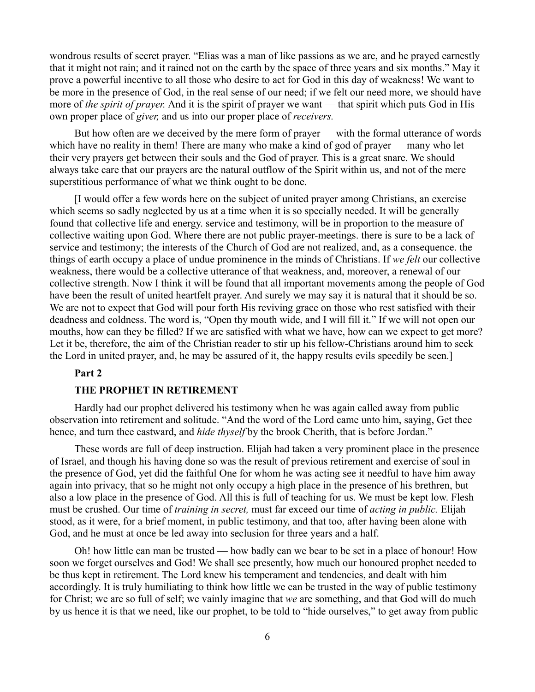wondrous results of secret prayer. "Elias was a man of like passions as we are, and he prayed earnestly that it might not rain; and it rained not on the earth by the space of three years and six months." May it prove a powerful incentive to all those who desire to act for God in this day of weakness! We want to be more in the presence of God, in the real sense of our need; if we felt our need more, we should have more of *the spirit of prayer.* And it is the spirit of prayer we want — that spirit which puts God in His own proper place of *giver,* and us into our proper place of *receivers.* 

But how often are we deceived by the mere form of prayer — with the formal utterance of words which have no reality in them! There are many who make a kind of god of prayer — many who let their very prayers get between their souls and the God of prayer. This is a great snare. We should always take care that our prayers are the natural outflow of the Spirit within us, and not of the mere superstitious performance of what we think ought to be done.

[I would offer a few words here on the subject of united prayer among Christians, an exercise which seems so sadly neglected by us at a time when it is so specially needed. It will be generally found that collective life and energy. service and testimony, will be in proportion to the measure of collective waiting upon God. Where there are not public prayer-meetings. there is sure to be a lack of service and testimony; the interests of the Church of God are not realized, and, as a consequence. the things of earth occupy a place of undue prominence in the minds of Christians. If *we felt* our collective weakness, there would be a collective utterance of that weakness, and, moreover, a renewal of our collective strength. Now I think it will be found that all important movements among the people of God have been the result of united heartfelt prayer. And surely we may say it is natural that it should be so. We are not to expect that God will pour forth His reviving grace on those who rest satisfied with their deadness and coldness. The word is, "Open thy mouth wide, and I will fill it." If we will not open our mouths, how can they be filled? If we are satisfied with what we have, how can we expect to get more? Let it be, therefore, the aim of the Christian reader to stir up his fellow-Christians around him to seek the Lord in united prayer, and, he may be assured of it, the happy results evils speedily be seen.]

#### **Part 2**

#### **THE PROPHET IN RETIREMENT**

Hardly had our prophet delivered his testimony when he was again called away from public observation into retirement and solitude. "And the word of the Lord came unto him, saying, Get thee hence, and turn thee eastward, and *hide thyself* by the brook Cherith, that is before Jordan."

These words are full of deep instruction. Elijah had taken a very prominent place in the presence of Israel, and though his having done so was the result of previous retirement and exercise of soul in the presence of God, yet did the faithful One for whom he was acting see it needful to have him away again into privacy, that so he might not only occupy a high place in the presence of his brethren, but also a low place in the presence of God. All this is full of teaching for us. We must be kept low. Flesh must be crushed. Our time of *training in secret,* must far exceed our time of *acting in public.* Elijah stood, as it were, for a brief moment, in public testimony, and that too, after having been alone with God, and he must at once be led away into seclusion for three years and a half.

Oh! how little can man be trusted — how badly can we bear to be set in a place of honour! How soon we forget ourselves and God! We shall see presently, how much our honoured prophet needed to be thus kept in retirement. The Lord knew his temperament and tendencies, and dealt with him accordingly. It is truly humiliating to think how little we can be trusted in the way of public testimony for Christ; we are so full of self; we vainly imagine that *we* are something, and that God will do much by us hence it is that we need, like our prophet, to be told to "hide ourselves," to get away from public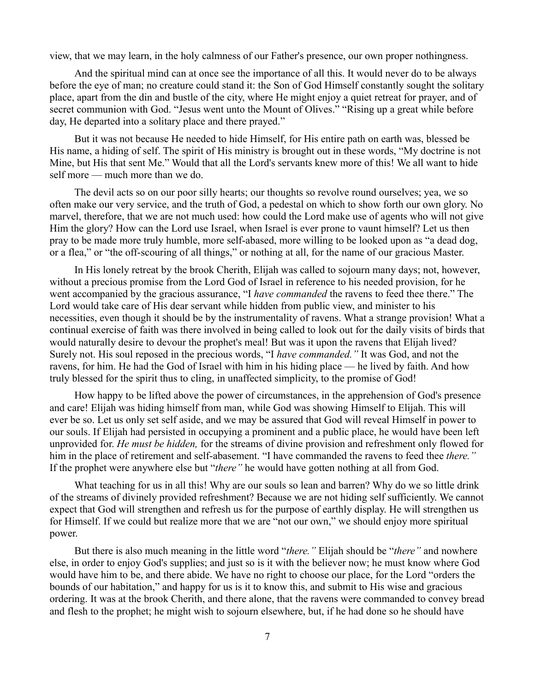view, that we may learn, in the holy calmness of our Father's presence, our own proper nothingness.

And the spiritual mind can at once see the importance of all this. It would never do to be always before the eye of man; no creature could stand it: the Son of God Himself constantly sought the solitary place, apart from the din and bustle of the city, where He might enjoy a quiet retreat for prayer, and of secret communion with God. "Jesus went unto the Mount of Olives." "Rising up a great while before day, He departed into a solitary place and there prayed."

But it was not because He needed to hide Himself, for His entire path on earth was, blessed be His name, a hiding of self. The spirit of His ministry is brought out in these words, "My doctrine is not Mine, but His that sent Me." Would that all the Lord's servants knew more of this! We all want to hide self more — much more than we do.

The devil acts so on our poor silly hearts; our thoughts so revolve round ourselves; yea, we so often make our very service, and the truth of God, a pedestal on which to show forth our own glory. No marvel, therefore, that we are not much used: how could the Lord make use of agents who will not give Him the glory? How can the Lord use Israel, when Israel is ever prone to vaunt himself? Let us then pray to be made more truly humble, more self-abased, more willing to be looked upon as "a dead dog, or a flea," or "the off-scouring of all things," or nothing at all, for the name of our gracious Master.

In His lonely retreat by the brook Cherith, Elijah was called to sojourn many days; not, however, without a precious promise from the Lord God of Israel in reference to his needed provision, for he went accompanied by the gracious assurance, "I *have commanded* the ravens to feed thee there." The Lord would take care of His dear servant while hidden from public view, and minister to his necessities, even though it should be by the instrumentality of ravens. What a strange provision! What a continual exercise of faith was there involved in being called to look out for the daily visits of birds that would naturally desire to devour the prophet's meal! But was it upon the ravens that Elijah lived? Surely not. His soul reposed in the precious words, "I *have commanded."* It was God, and not the ravens, for him. He had the God of Israel with him in his hiding place — he lived by faith. And how truly blessed for the spirit thus to cling, in unaffected simplicity, to the promise of God!

How happy to be lifted above the power of circumstances, in the apprehension of God's presence and care! Elijah was hiding himself from man, while God was showing Himself to Elijah. This will ever be so. Let us only set self aside, and we may be assured that God will reveal Himself in power to our souls. If Elijah had persisted in occupying a prominent and a public place, he would have been left unprovided for. *He must be hidden,* for the streams of divine provision and refreshment only flowed for him in the place of retirement and self-abasement. "I have commanded the ravens to feed thee *there."* If the prophet were anywhere else but "*there"* he would have gotten nothing at all from God.

What teaching for us in all this! Why are our souls so lean and barren? Why do we so little drink of the streams of divinely provided refreshment? Because we are not hiding self sufficiently. We cannot expect that God will strengthen and refresh us for the purpose of earthly display. He will strengthen us for Himself. If we could but realize more that we are "not our own," we should enjoy more spiritual power.

But there is also much meaning in the little word "*there."* Elijah should be "*there"* and nowhere else, in order to enjoy God's supplies; and just so is it with the believer now; he must know where God would have him to be, and there abide. We have no right to choose our place, for the Lord "orders the bounds of our habitation," and happy for us is it to know this, and submit to His wise and gracious ordering. It was at the brook Cherith, and there alone, that the ravens were commanded to convey bread and flesh to the prophet; he might wish to sojourn elsewhere, but, if he had done so he should have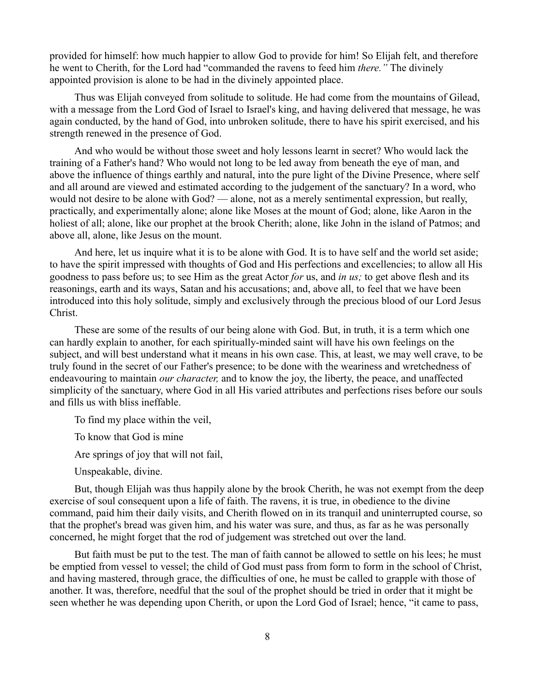provided for himself: how much happier to allow God to provide for him! So Elijah felt, and therefore he went to Cherith, for the Lord had "commanded the ravens to feed him *there."* The divinely appointed provision is alone to be had in the divinely appointed place.

Thus was Elijah conveyed from solitude to solitude. He had come from the mountains of Gilead, with a message from the Lord God of Israel to Israel's king, and having delivered that message, he was again conducted, by the hand of God, into unbroken solitude, there to have his spirit exercised, and his strength renewed in the presence of God.

And who would be without those sweet and holy lessons learnt in secret? Who would lack the training of a Father's hand? Who would not long to be led away from beneath the eye of man, and above the influence of things earthly and natural, into the pure light of the Divine Presence, where self and all around are viewed and estimated according to the judgement of the sanctuary? In a word, who would not desire to be alone with God? — alone, not as a merely sentimental expression, but really, practically, and experimentally alone; alone like Moses at the mount of God; alone, like Aaron in the holiest of all; alone, like our prophet at the brook Cherith; alone, like John in the island of Patmos; and above all, alone, like Jesus on the mount.

And here, let us inquire what it is to be alone with God. It is to have self and the world set aside; to have the spirit impressed with thoughts of God and His perfections and excellencies; to allow all His goodness to pass before us; to see Him as the great Actor *for* us, and *in us;* to get above flesh and its reasonings, earth and its ways, Satan and his accusations; and, above all, to feel that we have been introduced into this holy solitude, simply and exclusively through the precious blood of our Lord Jesus Christ.

These are some of the results of our being alone with God. But, in truth, it is a term which one can hardly explain to another, for each spiritually-minded saint will have his own feelings on the subject, and will best understand what it means in his own case. This, at least, we may well crave, to be truly found in the secret of our Father's presence; to be done with the weariness and wretchedness of endeavouring to maintain *our character,* and to know the joy, the liberty, the peace, and unaffected simplicity of the sanctuary, where God in all His varied attributes and perfections rises before our souls and fills us with bliss ineffable.

To find my place within the veil,

To know that God is mine

Are springs of joy that will not fail,

Unspeakable, divine.

But, though Elijah was thus happily alone by the brook Cherith, he was not exempt from the deep exercise of soul consequent upon a life of faith. The ravens, it is true, in obedience to the divine command, paid him their daily visits, and Cherith flowed on in its tranquil and uninterrupted course, so that the prophet's bread was given him, and his water was sure, and thus, as far as he was personally concerned, he might forget that the rod of judgement was stretched out over the land.

But faith must be put to the test. The man of faith cannot be allowed to settle on his lees; he must be emptied from vessel to vessel; the child of God must pass from form to form in the school of Christ, and having mastered, through grace, the difficulties of one, he must be called to grapple with those of another. It was, therefore, needful that the soul of the prophet should be tried in order that it might be seen whether he was depending upon Cherith, or upon the Lord God of Israel; hence, "it came to pass,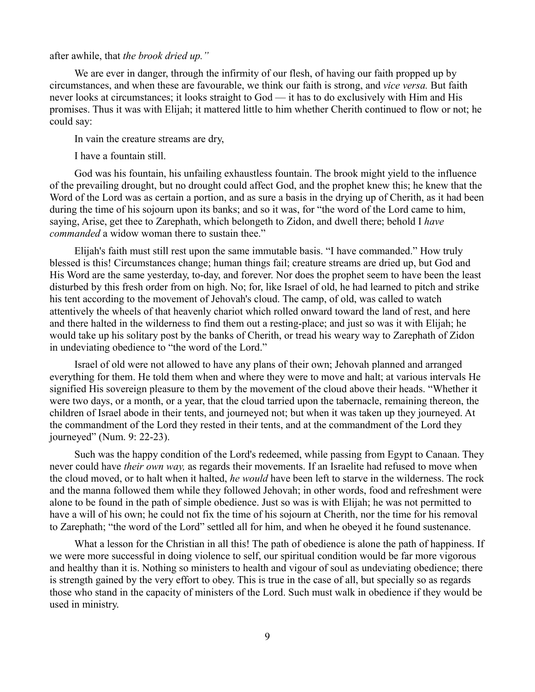after awhile, that *the brook dried up."*

We are ever in danger, through the infirmity of our flesh, of having our faith propped up by circumstances, and when these are favourable, we think our faith is strong, and *vice versa.* But faith never looks at circumstances; it looks straight to God — it has to do exclusively with Him and His promises. Thus it was with Elijah; it mattered little to him whether Cherith continued to flow or not; he could say:

In vain the creature streams are dry,

I have a fountain still.

God was his fountain, his unfailing exhaustless fountain. The brook might yield to the influence of the prevailing drought, but no drought could affect God, and the prophet knew this; he knew that the Word of the Lord was as certain a portion, and as sure a basis in the drying up of Cherith, as it had been during the time of his sojourn upon its banks; and so it was, for "the word of the Lord came to him, saying, Arise, get thee to Zarephath, which belongeth to Zidon, and dwell there; behold I *have commanded* a widow woman there to sustain thee."

Elijah's faith must still rest upon the same immutable basis. "I have commanded." How truly blessed is this! Circumstances change; human things fail; creature streams are dried up, but God and His Word are the same yesterday, to-day, and forever. Nor does the prophet seem to have been the least disturbed by this fresh order from on high. No; for, like Israel of old, he had learned to pitch and strike his tent according to the movement of Jehovah's cloud. The camp, of old, was called to watch attentively the wheels of that heavenly chariot which rolled onward toward the land of rest, and here and there halted in the wilderness to find them out a resting-place; and just so was it with Elijah; he would take up his solitary post by the banks of Cherith, or tread his weary way to Zarephath of Zidon in undeviating obedience to "the word of the Lord."

Israel of old were not allowed to have any plans of their own; Jehovah planned and arranged everything for them. He told them when and where they were to move and halt; at various intervals He signified His sovereign pleasure to them by the movement of the cloud above their heads. "Whether it were two days, or a month, or a year, that the cloud tarried upon the tabernacle, remaining thereon, the children of Israel abode in their tents, and journeyed not; but when it was taken up they journeyed. At the commandment of the Lord they rested in their tents, and at the commandment of the Lord they journeyed" (Num. 9: 22-23).

Such was the happy condition of the Lord's redeemed, while passing from Egypt to Canaan. They never could have *their own way,* as regards their movements. If an Israelite had refused to move when the cloud moved, or to halt when it halted, *he would* have been left to starve in the wilderness. The rock and the manna followed them while they followed Jehovah; in other words, food and refreshment were alone to be found in the path of simple obedience. Just so was is with Elijah; he was not permitted to have a will of his own; he could not fix the time of his sojourn at Cherith, nor the time for his removal to Zarephath; "the word of the Lord" settled all for him, and when he obeyed it he found sustenance.

What a lesson for the Christian in all this! The path of obedience is alone the path of happiness. If we were more successful in doing violence to self, our spiritual condition would be far more vigorous and healthy than it is. Nothing so ministers to health and vigour of soul as undeviating obedience; there is strength gained by the very effort to obey. This is true in the case of all, but specially so as regards those who stand in the capacity of ministers of the Lord. Such must walk in obedience if they would be used in ministry.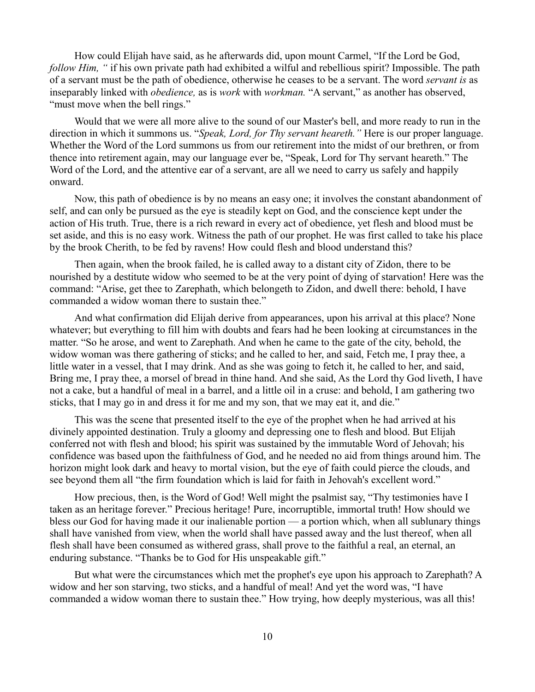How could Elijah have said, as he afterwards did, upon mount Carmel, "If the Lord be God, *follow Him,* " if his own private path had exhibited a wilful and rebellious spirit? Impossible. The path of a servant must be the path of obedience, otherwise he ceases to be a servant. The word *servant is* as inseparably linked with *obedience,* as is *work* with *workman.* "A servant," as another has observed, "must move when the bell rings."

Would that we were all more alive to the sound of our Master's bell, and more ready to run in the direction in which it summons us. "*Speak, Lord, for Thy servant heareth."* Here is our proper language. Whether the Word of the Lord summons us from our retirement into the midst of our brethren, or from thence into retirement again, may our language ever be, "Speak, Lord for Thy servant heareth." The Word of the Lord, and the attentive ear of a servant, are all we need to carry us safely and happily onward.

Now, this path of obedience is by no means an easy one; it involves the constant abandonment of self, and can only be pursued as the eye is steadily kept on God, and the conscience kept under the action of His truth. True, there is a rich reward in every act of obedience, yet flesh and blood must be set aside, and this is no easy work. Witness the path of our prophet. He was first called to take his place by the brook Cherith, to be fed by ravens! How could flesh and blood understand this?

Then again, when the brook failed, he is called away to a distant city of Zidon, there to be nourished by a destitute widow who seemed to be at the very point of dying of starvation! Here was the command: "Arise, get thee to Zarephath, which belongeth to Zidon, and dwell there: behold, I have commanded a widow woman there to sustain thee."

And what confirmation did Elijah derive from appearances, upon his arrival at this place? None whatever; but everything to fill him with doubts and fears had he been looking at circumstances in the matter. "So he arose, and went to Zarephath. And when he came to the gate of the city, behold, the widow woman was there gathering of sticks; and he called to her, and said, Fetch me, I pray thee, a little water in a vessel, that I may drink. And as she was going to fetch it, he called to her, and said, Bring me, I pray thee, a morsel of bread in thine hand. And she said, As the Lord thy God liveth, I have not a cake, but a handful of meal in a barrel, and a little oil in a cruse: and behold, I am gathering two sticks, that I may go in and dress it for me and my son, that we may eat it, and die."

This was the scene that presented itself to the eye of the prophet when he had arrived at his divinely appointed destination. Truly a gloomy and depressing one to flesh and blood. But Elijah conferred not with flesh and blood; his spirit was sustained by the immutable Word of Jehovah; his confidence was based upon the faithfulness of God, and he needed no aid from things around him. The horizon might look dark and heavy to mortal vision, but the eye of faith could pierce the clouds, and see beyond them all "the firm foundation which is laid for faith in Jehovah's excellent word."

How precious, then, is the Word of God! Well might the psalmist say, "Thy testimonies have I taken as an heritage forever." Precious heritage! Pure, incorruptible, immortal truth! How should we bless our God for having made it our inalienable portion — a portion which, when all sublunary things shall have vanished from view, when the world shall have passed away and the lust thereof, when all flesh shall have been consumed as withered grass, shall prove to the faithful a real, an eternal, an enduring substance. "Thanks be to God for His unspeakable gift."

But what were the circumstances which met the prophet's eye upon his approach to Zarephath? A widow and her son starving, two sticks, and a handful of meal! And yet the word was, "I have commanded a widow woman there to sustain thee." How trying, how deeply mysterious, was all this!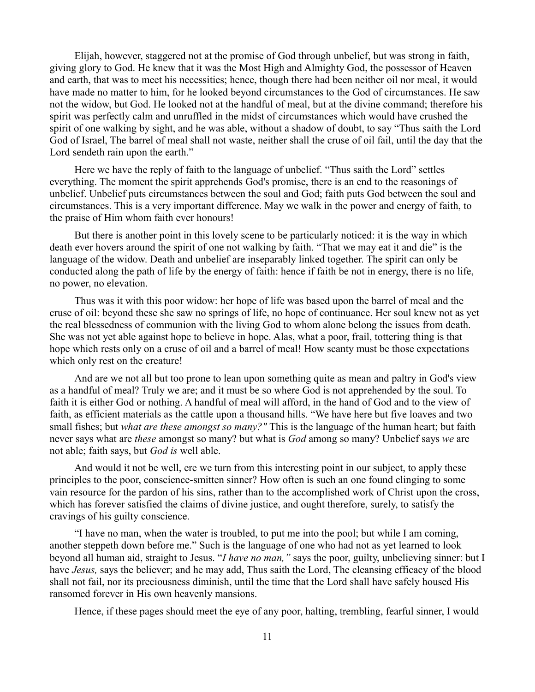Elijah, however, staggered not at the promise of God through unbelief, but was strong in faith, giving glory to God. He knew that it was the Most High and Almighty God, the possessor of Heaven and earth, that was to meet his necessities; hence, though there had been neither oil nor meal, it would have made no matter to him, for he looked beyond circumstances to the God of circumstances. He saw not the widow, but God. He looked not at the handful of meal, but at the divine command; therefore his spirit was perfectly calm and unruffled in the midst of circumstances which would have crushed the spirit of one walking by sight, and he was able, without a shadow of doubt, to say "Thus saith the Lord God of Israel, The barrel of meal shall not waste, neither shall the cruse of oil fail, until the day that the Lord sendeth rain upon the earth."

Here we have the reply of faith to the language of unbelief. "Thus saith the Lord" settles everything. The moment the spirit apprehends God's promise, there is an end to the reasonings of unbelief. Unbelief puts circumstances between the soul and God; faith puts God between the soul and circumstances. This is a very important difference. May we walk in the power and energy of faith, to the praise of Him whom faith ever honours!

But there is another point in this lovely scene to be particularly noticed: it is the way in which death ever hovers around the spirit of one not walking by faith. "That we may eat it and die" is the language of the widow. Death and unbelief are inseparably linked together. The spirit can only be conducted along the path of life by the energy of faith: hence if faith be not in energy, there is no life, no power, no elevation.

Thus was it with this poor widow: her hope of life was based upon the barrel of meal and the cruse of oil: beyond these she saw no springs of life, no hope of continuance. Her soul knew not as yet the real blessedness of communion with the living God to whom alone belong the issues from death. She was not yet able against hope to believe in hope. Alas, what a poor, frail, tottering thing is that hope which rests only on a cruse of oil and a barrel of meal! How scanty must be those expectations which only rest on the creature!

And are we not all but too prone to lean upon something quite as mean and paltry in God's view as a handful of meal? Truly we are; and it must be so where God is not apprehended by the soul. To faith it is either God or nothing. A handful of meal will afford, in the hand of God and to the view of faith, as efficient materials as the cattle upon a thousand hills. "We have here but five loaves and two small fishes; but *what are these amongst so many?"* This is the language of the human heart; but faith never says what are *these* amongst so many? but what is *God* among so many? Unbelief says *we* are not able; faith says, but *God is* well able.

And would it not be well, ere we turn from this interesting point in our subject, to apply these principles to the poor, conscience-smitten sinner? How often is such an one found clinging to some vain resource for the pardon of his sins, rather than to the accomplished work of Christ upon the cross, which has forever satisfied the claims of divine justice, and ought therefore, surely, to satisfy the cravings of his guilty conscience.

"I have no man, when the water is troubled, to put me into the pool; but while I am coming, another steppeth down before me." Such is the language of one who had not as yet learned to look beyond all human aid, straight to Jesus. "*I have no man,"* says the poor, guilty, unbelieving sinner: but I have *Jesus,* says the believer; and he may add, Thus saith the Lord, The cleansing efficacy of the blood shall not fail, nor its preciousness diminish, until the time that the Lord shall have safely housed His ransomed forever in His own heavenly mansions.

Hence, if these pages should meet the eye of any poor, halting, trembling, fearful sinner, I would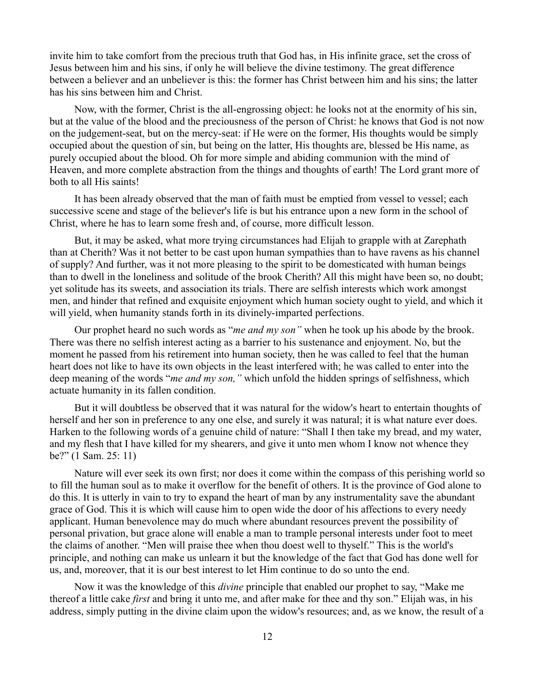invite him to take comfort from the precious truth that God has, in His infinite grace, set the cross of Jesus between him and his sins, if only he will believe the divine testimony. The great difference between a believer and an unbeliever is this: the former has Christ between him and his sins; the latter has his sins between him and Christ.

Now, with the former, Christ is the all-engrossing object: he looks not at the enormity of his sin, but at the value of the blood and the preciousness of the person of Christ: he knows that God is not now on the judgement-seat, but on the mercy-seat: if He were on the former, His thoughts would be simply occupied about the question of sin, but being on the latter, His thoughts are, blessed be His name, as purely occupied about the blood. Oh for more simple and abiding communion with the mind of Heaven, and more complete abstraction from the things and thoughts of earth! The Lord grant more of both to all His saints!

It has been already observed that the man of faith must be emptied from vessel to vessel; each successive scene and stage of the believer's life is but his entrance upon a new form in the school of Christ, where he has to learn some fresh and, of course, more difficult lesson.

But, it may be asked, what more trying circumstances had Elijah to grapple with at Zarephath than at Cherith? Was it not better to be cast upon human sympathies than to have ravens as his channel of supply? And further, was it not more pleasing to the spirit to be domesticated with human beings than to dwell in the loneliness and solitude of the brook Cherith? All this might have been so, no doubt; yet solitude has its sweets, and association its trials. There are selfish interests which work amongst men, and hinder that refined and exquisite enjoyment which human society ought to yield, and which it will yield, when humanity stands forth in its divinely-imparted perfections.

Our prophet heard no such words as "*me and my son"* when he took up his abode by the brook. There was there no selfish interest acting as a barrier to his sustenance and enjoyment. No, but the moment he passed from his retirement into human society, then he was called to feel that the human heart does not like to have its own objects in the least interfered with; he was called to enter into the deep meaning of the words "*me and my son,"* which unfold the hidden springs of selfishness, which actuate humanity in its fallen condition.

But it will doubtless be observed that it was natural for the widow's heart to entertain thoughts of herself and her son in preference to any one else, and surely it was natural; it is what nature ever does. Harken to the following words of a genuine child of nature: "Shall I then take my bread, and my water, and my flesh that I have killed for my shearers, and give it unto men whom I know not whence they be?" (1 Sam. 25: 11)

Nature will ever seek its own first; nor does it come within the compass of this perishing world so to fill the human soul as to make it overflow for the benefit of others. It is the province of God alone to do this. It is utterly in vain to try to expand the heart of man by any instrumentality save the abundant grace of God. This it is which will cause him to open wide the door of his affections to every needy applicant. Human benevolence may do much where abundant resources prevent the possibility of personal privation, but grace alone will enable a man to trample personal interests under foot to meet the claims of another. "Men will praise thee when thou doest well to thyself." This is the world's principle, and nothing can make us unlearn it but the knowledge of the fact that God has done well for us, and, moreover, that it is our best interest to let Him continue to do so unto the end.

Now it was the knowledge of this *divine* principle that enabled our prophet to say, "Make me thereof a little cake *first* and bring it unto me, and after make for thee and thy son." Elijah was, in his address, simply putting in the divine claim upon the widow's resources; and, as we know, the result of a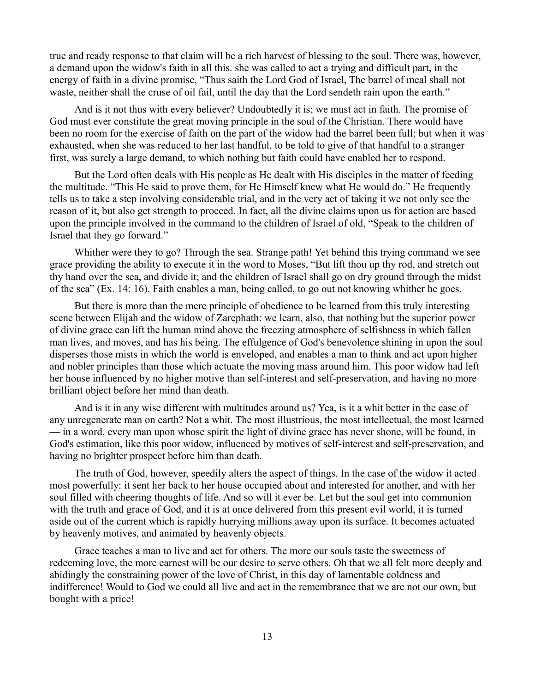true and ready response to that claim will be a rich harvest of blessing to the soul. There was, however, a demand upon the widow's faith in all this. she was called to act a trying and difficult part, in the energy of faith in a divine promise, "Thus saith the Lord God of Israel, The barrel of meal shall not waste, neither shall the cruse of oil fail, until the day that the Lord sendeth rain upon the earth."

And is it not thus with every believer? Undoubtedly it is; we must act in faith. The promise of God must ever constitute the great moving principle in the soul of the Christian. There would have been no room for the exercise of faith on the part of the widow had the barrel been full; but when it was exhausted, when she was reduced to her last handful, to be told to give of that handful to a stranger first, was surely a large demand, to which nothing but faith could have enabled her to respond.

But the Lord often deals with His people as He dealt with His disciples in the matter of feeding the multitude. "This He said to prove them, for He Himself knew what He would do." He frequently tells us to take a step involving considerable trial, and in the very act of taking it we not only see the reason of it, but also get strength to proceed. In fact, all the divine claims upon us for action are based upon the principle involved in the command to the children of Israel of old, "Speak to the children of Israel that they go forward."

Whither were they to go? Through the sea. Strange path! Yet behind this trying command we see grace providing the ability to execute it in the word to Moses, "But lift thou up thy rod, and stretch out thy hand over the sea, and divide it; and the children of Israel shall go on dry ground through the midst of the sea" (Ex. 14: 16). Faith enables a man, being called, to go out not knowing whither he goes.

But there is more than the mere principle of obedience to be learned from this truly interesting scene between Elijah and the widow of Zarephath: we learn, also, that nothing but the superior power of divine grace can lift the human mind above the freezing atmosphere of selfishness in which fallen man lives, and moves, and has his being. The effulgence of God's benevolence shining in upon the soul disperses those mists in which the world is enveloped, and enables a man to think and act upon higher and nobler principles than those which actuate the moving mass around him. This poor widow had left her house influenced by no higher motive than self-interest and self-preservation, and having no more brilliant object before her mind than death.

And is it in any wise different with multitudes around us? Yea, is it a whit better in the case of any unregenerate man on earth? Not a whit. The most illustrious, the most intellectual, the most learned — in a word, every man upon whose spirit the light of divine grace has never shone, will be found, in God's estimation, like this poor widow, influenced by motives of self-interest and self-preservation, and having no brighter prospect before him than death.

The truth of God, however, speedily alters the aspect of things. In the case of the widow it acted most powerfully: it sent her back to her house occupied about and interested for another, and with her soul filled with cheering thoughts of life. And so will it ever be. Let but the soul get into communion with the truth and grace of God, and it is at once delivered from this present evil world, it is turned aside out of the current which is rapidly hurrying millions away upon its surface. It becomes actuated by heavenly motives, and animated by heavenly objects.

Grace teaches a man to live and act for others. The more our souls taste the sweetness of redeeming love, the more earnest will be our desire to serve others. Oh that we all felt more deeply and abidingly the constraining power of the love of Christ, in this day of lamentable coldness and indifference! Would to God we could all live and act in the remembrance that we are not our own, but bought with a price!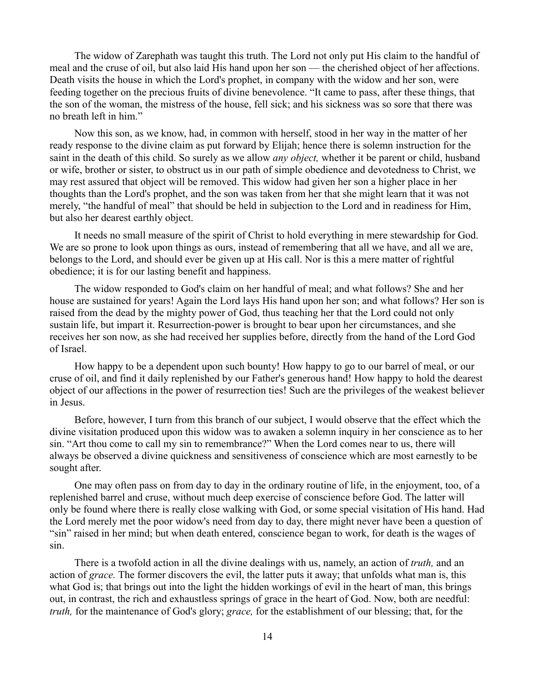The widow of Zarephath was taught this truth. The Lord not only put His claim to the handful of meal and the cruse of oil, but also laid His hand upon her son — the cherished object of her affections. Death visits the house in which the Lord's prophet, in company with the widow and her son, were feeding together on the precious fruits of divine benevolence. "It came to pass, after these things, that the son of the woman, the mistress of the house, fell sick; and his sickness was so sore that there was no breath left in him."

Now this son, as we know, had, in common with herself, stood in her way in the matter of her ready response to the divine claim as put forward by Elijah; hence there is solemn instruction for the saint in the death of this child. So surely as we allow *any object,* whether it be parent or child, husband or wife, brother or sister, to obstruct us in our path of simple obedience and devotedness to Christ, we may rest assured that object will be removed. This widow had given her son a higher place in her thoughts than the Lord's prophet, and the son was taken from her that she might learn that it was not merely, "the handful of meal" that should be held in subjection to the Lord and in readiness for Him, but also her dearest earthly object.

It needs no small measure of the spirit of Christ to hold everything in mere stewardship for God. We are so prone to look upon things as ours, instead of remembering that all we have, and all we are, belongs to the Lord, and should ever be given up at His call. Nor is this a mere matter of rightful obedience; it is for our lasting benefit and happiness.

The widow responded to God's claim on her handful of meal; and what follows? She and her house are sustained for years! Again the Lord lays His hand upon her son; and what follows? Her son is raised from the dead by the mighty power of God, thus teaching her that the Lord could not only sustain life, but impart it. Resurrection-power is brought to bear upon her circumstances, and she receives her son now, as she had received her supplies before, directly from the hand of the Lord God of Israel.

How happy to be a dependent upon such bounty! How happy to go to our barrel of meal, or our cruse of oil, and find it daily replenished by our Father's generous hand! How happy to hold the dearest object of our affections in the power of resurrection ties! Such are the privileges of the weakest believer in Jesus.

Before, however, I turn from this branch of our subject, I would observe that the effect which the divine visitation produced upon this widow was to awaken a solemn inquiry in her conscience as to her sin. "Art thou come to call my sin to remembrance?" When the Lord comes near to us, there will always be observed a divine quickness and sensitiveness of conscience which are most earnestly to be sought after.

One may often pass on from day to day in the ordinary routine of life, in the enjoyment, too, of a replenished barrel and cruse, without much deep exercise of conscience before God. The latter will only be found where there is really close walking with God, or some special visitation of His hand. Had the Lord merely met the poor widow's need from day to day, there might never have been a question of "sin" raised in her mind; but when death entered, conscience began to work, for death is the wages of sin.

There is a twofold action in all the divine dealings with us, namely, an action of *truth,* and an action of *grace.* The former discovers the evil, the latter puts it away; that unfolds what man is, this what God is; that brings out into the light the hidden workings of evil in the heart of man, this brings out, in contrast, the rich and exhaustless springs of grace in the heart of God. Now, both are needful: *truth,* for the maintenance of God's glory; *grace,* for the establishment of our blessing; that, for the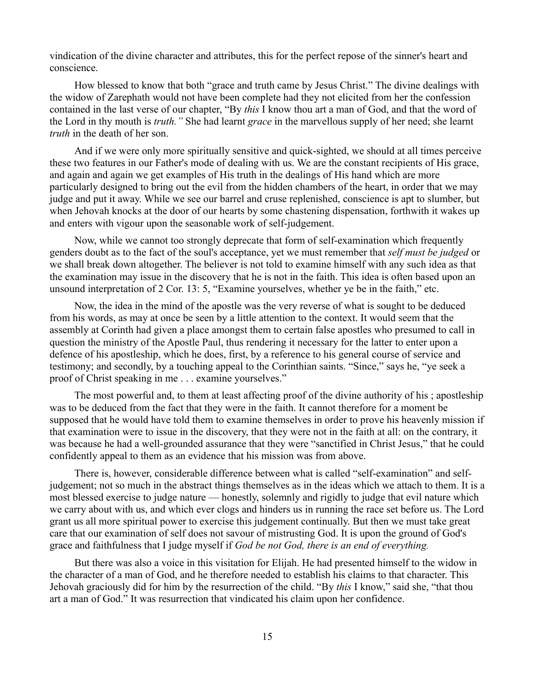vindication of the divine character and attributes, this for the perfect repose of the sinner's heart and conscience.

How blessed to know that both "grace and truth came by Jesus Christ." The divine dealings with the widow of Zarephath would not have been complete had they not elicited from her the confession contained in the last verse of our chapter, "By *this* I know thou art a man of God, and that the word of the Lord in thy mouth is *truth."* She had learnt *grace* in the marvellous supply of her need; she learnt *truth* in the death of her son.

And if we were only more spiritually sensitive and quick-sighted, we should at all times perceive these two features in our Father's mode of dealing with us. We are the constant recipients of His grace, and again and again we get examples of His truth in the dealings of His hand which are more particularly designed to bring out the evil from the hidden chambers of the heart, in order that we may judge and put it away. While we see our barrel and cruse replenished, conscience is apt to slumber, but when Jehovah knocks at the door of our hearts by some chastening dispensation, forthwith it wakes up and enters with vigour upon the seasonable work of self-judgement.

Now, while we cannot too strongly deprecate that form of self-examination which frequently genders doubt as to the fact of the soul's acceptance, yet we must remember that *self must be judged* or we shall break down altogether. The believer is not told to examine himself with any such idea as that the examination may issue in the discovery that he is not in the faith. This idea is often based upon an unsound interpretation of 2 Cor. 13: 5, "Examine yourselves, whether ye be in the faith," etc.

Now, the idea in the mind of the apostle was the very reverse of what is sought to be deduced from his words, as may at once be seen by a little attention to the context. It would seem that the assembly at Corinth had given a place amongst them to certain false apostles who presumed to call in question the ministry of the Apostle Paul, thus rendering it necessary for the latter to enter upon a defence of his apostleship, which he does, first, by a reference to his general course of service and testimony; and secondly, by a touching appeal to the Corinthian saints. "Since," says he, "ye seek a proof of Christ speaking in me . . . examine yourselves."

The most powerful and, to them at least affecting proof of the divine authority of his ; apostleship was to be deduced from the fact that they were in the faith. It cannot therefore for a moment be supposed that he would have told them to examine themselves in order to prove his heavenly mission if that examination were to issue in the discovery, that they were not in the faith at all: on the contrary, it was because he had a well-grounded assurance that they were "sanctified in Christ Jesus," that he could confidently appeal to them as an evidence that his mission was from above.

There is, however, considerable difference between what is called "self-examination" and selfjudgement; not so much in the abstract things themselves as in the ideas which we attach to them. It is a most blessed exercise to judge nature — honestly, solemnly and rigidly to judge that evil nature which we carry about with us, and which ever clogs and hinders us in running the race set before us. The Lord grant us all more spiritual power to exercise this judgement continually. But then we must take great care that our examination of self does not savour of mistrusting God. It is upon the ground of God's grace and faithfulness that I judge myself if *God be not God, there is an end of everything.*

But there was also a voice in this visitation for Elijah. He had presented himself to the widow in the character of a man of God, and he therefore needed to establish his claims to that character. This Jehovah graciously did for him by the resurrection of the child. "By *this* I know," said she, "that thou art a man of God." It was resurrection that vindicated his claim upon her confidence.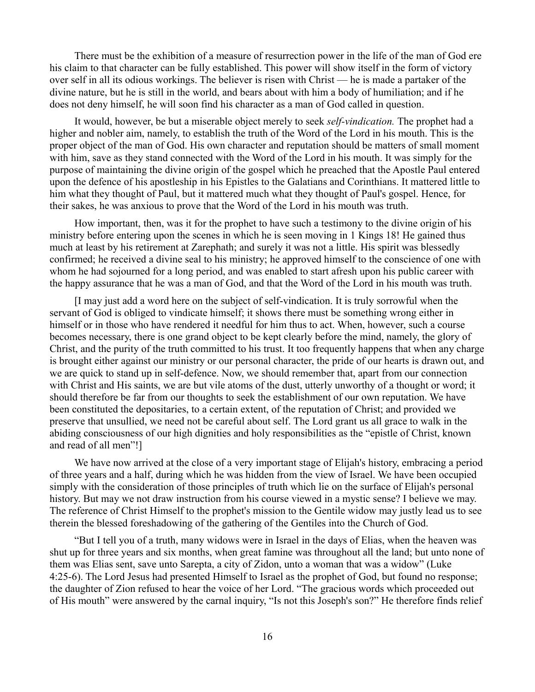There must be the exhibition of a measure of resurrection power in the life of the man of God ere his claim to that character can be fully established. This power will show itself in the form of victory over self in all its odious workings. The believer is risen with Christ — he is made a partaker of the divine nature, but he is still in the world, and bears about with him a body of humiliation; and if he does not deny himself, he will soon find his character as a man of God called in question.

It would, however, be but a miserable object merely to seek *self-vindication.* The prophet had a higher and nobler aim, namely, to establish the truth of the Word of the Lord in his mouth. This is the proper object of the man of God. His own character and reputation should be matters of small moment with him, save as they stand connected with the Word of the Lord in his mouth. It was simply for the purpose of maintaining the divine origin of the gospel which he preached that the Apostle Paul entered upon the defence of his apostleship in his Epistles to the Galatians and Corinthians. It mattered little to him what they thought of Paul, but it mattered much what they thought of Paul's gospel. Hence, for their sakes, he was anxious to prove that the Word of the Lord in his mouth was truth.

How important, then, was it for the prophet to have such a testimony to the divine origin of his ministry before entering upon the scenes in which he is seen moving in 1 Kings 18! He gained thus much at least by his retirement at Zarephath; and surely it was not a little. His spirit was blessedly confirmed; he received a divine seal to his ministry; he approved himself to the conscience of one with whom he had sojourned for a long period, and was enabled to start afresh upon his public career with the happy assurance that he was a man of God, and that the Word of the Lord in his mouth was truth.

[I may just add a word here on the subject of self-vindication. It is truly sorrowful when the servant of God is obliged to vindicate himself; it shows there must be something wrong either in himself or in those who have rendered it needful for him thus to act. When, however, such a course becomes necessary, there is one grand object to be kept clearly before the mind, namely, the glory of Christ, and the purity of the truth committed to his trust. It too frequently happens that when any charge is brought either against our ministry or our personal character, the pride of our hearts is drawn out, and we are quick to stand up in self-defence. Now, we should remember that, apart from our connection with Christ and His saints, we are but vile atoms of the dust, utterly unworthy of a thought or word; it should therefore be far from our thoughts to seek the establishment of our own reputation. We have been constituted the depositaries, to a certain extent, of the reputation of Christ; and provided we preserve that unsullied, we need not be careful about self. The Lord grant us all grace to walk in the abiding consciousness of our high dignities and holy responsibilities as the "epistle of Christ, known and read of all men"!]

We have now arrived at the close of a very important stage of Elijah's history, embracing a period of three years and a half, during which he was hidden from the view of Israel. We have been occupied simply with the consideration of those principles of truth which lie on the surface of Elijah's personal history. But may we not draw instruction from his course viewed in a mystic sense? I believe we may. The reference of Christ Himself to the prophet's mission to the Gentile widow may justly lead us to see therein the blessed foreshadowing of the gathering of the Gentiles into the Church of God.

"But I tell you of a truth, many widows were in Israel in the days of Elias, when the heaven was shut up for three years and six months, when great famine was throughout all the land; but unto none of them was Elias sent, save unto Sarepta, a city of Zidon, unto a woman that was a widow" (Luke 4:25-6). The Lord Jesus had presented Himself to Israel as the prophet of God, but found no response; the daughter of Zion refused to hear the voice of her Lord. "The gracious words which proceeded out of His mouth" were answered by the carnal inquiry, "Is not this Joseph's son?" He therefore finds relief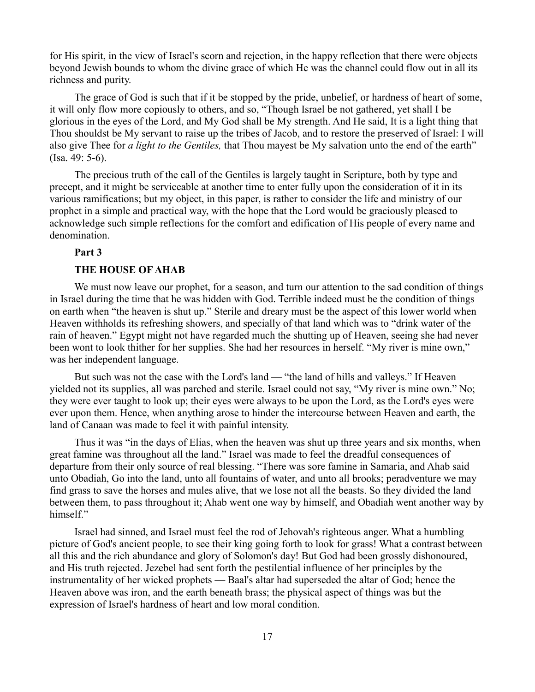for His spirit, in the view of Israel's scorn and rejection, in the happy reflection that there were objects beyond Jewish bounds to whom the divine grace of which He was the channel could flow out in all its richness and purity.

The grace of God is such that if it be stopped by the pride, unbelief, or hardness of heart of some, it will only flow more copiously to others, and so, "Though Israel be not gathered, yet shall I be glorious in the eyes of the Lord, and My God shall be My strength. And He said, It is a light thing that Thou shouldst be My servant to raise up the tribes of Jacob, and to restore the preserved of Israel: I will also give Thee for *a light to the Gentiles,* that Thou mayest be My salvation unto the end of the earth" (Isa. 49: 5-6).

The precious truth of the call of the Gentiles is largely taught in Scripture, both by type and precept, and it might be serviceable at another time to enter fully upon the consideration of it in its various ramifications; but my object, in this paper, is rather to consider the life and ministry of our prophet in a simple and practical way, with the hope that the Lord would be graciously pleased to acknowledge such simple reflections for the comfort and edification of His people of every name and denomination.

### **Part 3**

#### **THE HOUSE OF AHAB**

We must now leave our prophet, for a season, and turn our attention to the sad condition of things in Israel during the time that he was hidden with God. Terrible indeed must be the condition of things on earth when "the heaven is shut up." Sterile and dreary must be the aspect of this lower world when Heaven withholds its refreshing showers, and specially of that land which was to "drink water of the rain of heaven." Egypt might not have regarded much the shutting up of Heaven, seeing she had never been wont to look thither for her supplies. She had her resources in herself. "My river is mine own," was her independent language.

But such was not the case with the Lord's land — "the land of hills and valleys." If Heaven yielded not its supplies, all was parched and sterile. Israel could not say, "My river is mine own." No; they were ever taught to look up; their eyes were always to be upon the Lord, as the Lord's eyes were ever upon them. Hence, when anything arose to hinder the intercourse between Heaven and earth, the land of Canaan was made to feel it with painful intensity.

Thus it was "in the days of Elias, when the heaven was shut up three years and six months, when great famine was throughout all the land." Israel was made to feel the dreadful consequences of departure from their only source of real blessing. "There was sore famine in Samaria, and Ahab said unto Obadiah, Go into the land, unto all fountains of water, and unto all brooks; peradventure we may find grass to save the horses and mules alive, that we lose not all the beasts. So they divided the land between them, to pass throughout it; Ahab went one way by himself, and Obadiah went another way by himself."

Israel had sinned, and Israel must feel the rod of Jehovah's righteous anger. What a humbling picture of God's ancient people, to see their king going forth to look for grass! What a contrast between all this and the rich abundance and glory of Solomon's day! But God had been grossly dishonoured, and His truth rejected. Jezebel had sent forth the pestilential influence of her principles by the instrumentality of her wicked prophets — Baal's altar had superseded the altar of God; hence the Heaven above was iron, and the earth beneath brass; the physical aspect of things was but the expression of Israel's hardness of heart and low moral condition.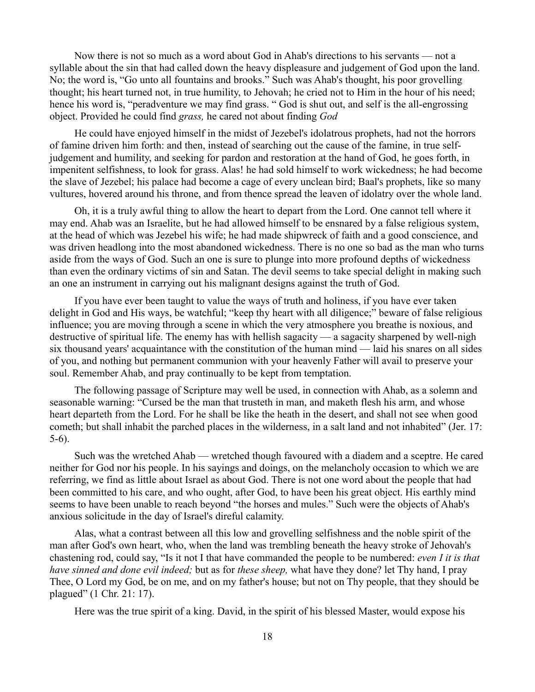Now there is not so much as a word about God in Ahab's directions to his servants — not a syllable about the sin that had called down the heavy displeasure and judgement of God upon the land. No; the word is, "Go unto all fountains and brooks." Such was Ahab's thought, his poor grovelling thought; his heart turned not, in true humility, to Jehovah; he cried not to Him in the hour of his need; hence his word is, "peradventure we may find grass. " God is shut out, and self is the all-engrossing object. Provided he could find *grass,* he cared not about finding *God* 

He could have enjoyed himself in the midst of Jezebel's idolatrous prophets, had not the horrors of famine driven him forth: and then, instead of searching out the cause of the famine, in true selfjudgement and humility, and seeking for pardon and restoration at the hand of God, he goes forth, in impenitent selfishness, to look for grass. Alas! he had sold himself to work wickedness; he had become the slave of Jezebel; his palace had become a cage of every unclean bird; Baal's prophets, like so many vultures, hovered around his throne, and from thence spread the leaven of idolatry over the whole land.

Oh, it is a truly awful thing to allow the heart to depart from the Lord. One cannot tell where it may end. Ahab was an Israelite, but he had allowed himself to be ensnared by a false religious system, at the head of which was Jezebel his wife; he had made shipwreck of faith and a good conscience, and was driven headlong into the most abandoned wickedness. There is no one so bad as the man who turns aside from the ways of God. Such an one is sure to plunge into more profound depths of wickedness than even the ordinary victims of sin and Satan. The devil seems to take special delight in making such an one an instrument in carrying out his malignant designs against the truth of God.

If you have ever been taught to value the ways of truth and holiness, if you have ever taken delight in God and His ways, be watchful; "keep thy heart with all diligence;" beware of false religious influence; you are moving through a scene in which the very atmosphere you breathe is noxious, and destructive of spiritual life. The enemy has with hellish sagacity — a sagacity sharpened by well-nigh six thousand years' acquaintance with the constitution of the human mind — laid his snares on all sides of you, and nothing but permanent communion with your heavenly Father will avail to preserve your soul. Remember Ahab, and pray continually to be kept from temptation.

The following passage of Scripture may well be used, in connection with Ahab, as a solemn and seasonable warning: "Cursed be the man that trusteth in man, and maketh flesh his arm, and whose heart departeth from the Lord. For he shall be like the heath in the desert, and shall not see when good cometh; but shall inhabit the parched places in the wilderness, in a salt land and not inhabited" (Jer. 17: 5-6).

Such was the wretched Ahab — wretched though favoured with a diadem and a sceptre. He cared neither for God nor his people. In his sayings and doings, on the melancholy occasion to which we are referring, we find as little about Israel as about God. There is not one word about the people that had been committed to his care, and who ought, after God, to have been his great object. His earthly mind seems to have been unable to reach beyond "the horses and mules." Such were the objects of Ahab's anxious solicitude in the day of Israel's direful calamity.

Alas, what a contrast between all this low and grovelling selfishness and the noble spirit of the man after God's own heart, who, when the land was trembling beneath the heavy stroke of Jehovah's chastening rod, could say, "Is it not I that have commanded the people to be numbered: *even I it is that have sinned and done evil indeed;* but as for *these sheep,* what have they done? let Thy hand, I pray Thee, O Lord my God, be on me, and on my father's house; but not on Thy people, that they should be plagued" (1 Chr. 21: 17).

Here was the true spirit of a king. David, in the spirit of his blessed Master, would expose his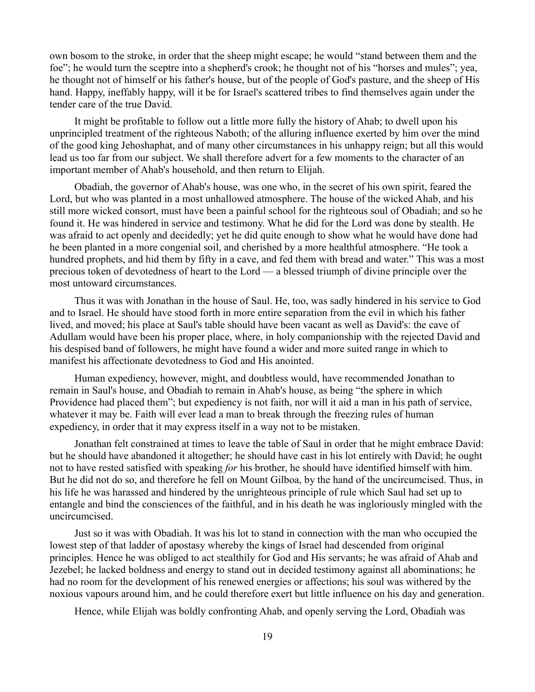own bosom to the stroke, in order that the sheep might escape; he would "stand between them and the foe"; he would turn the sceptre into a shepherd's crook; he thought not of his "horses and mules"; yea, he thought not of himself or his father's house, but of the people of God's pasture, and the sheep of His hand. Happy, ineffably happy, will it be for Israel's scattered tribes to find themselves again under the tender care of the true David.

It might be profitable to follow out a little more fully the history of Ahab; to dwell upon his unprincipled treatment of the righteous Naboth; of the alluring influence exerted by him over the mind of the good king Jehoshaphat, and of many other circumstances in his unhappy reign; but all this would lead us too far from our subject. We shall therefore advert for a few moments to the character of an important member of Ahab's household, and then return to Elijah.

Obadiah, the governor of Ahab's house, was one who, in the secret of his own spirit, feared the Lord, but who was planted in a most unhallowed atmosphere. The house of the wicked Ahab, and his still more wicked consort, must have been a painful school for the righteous soul of Obadiah; and so he found it. He was hindered in service and testimony. What he did for the Lord was done by stealth. He was afraid to act openly and decidedly; yet he did quite enough to show what he would have done had he been planted in a more congenial soil, and cherished by a more healthful atmosphere. "He took a hundred prophets, and hid them by fifty in a cave, and fed them with bread and water." This was a most precious token of devotedness of heart to the Lord — a blessed triumph of divine principle over the most untoward circumstances.

Thus it was with Jonathan in the house of Saul. He, too, was sadly hindered in his service to God and to Israel. He should have stood forth in more entire separation from the evil in which his father lived, and moved; his place at Saul's table should have been vacant as well as David's: the cave of Adullam would have been his proper place, where, in holy companionship with the rejected David and his despised band of followers, he might have found a wider and more suited range in which to manifest his affectionate devotedness to God and His anointed.

Human expediency, however, might, and doubtless would, have recommended Jonathan to remain in Saul's house, and Obadiah to remain in Ahab's house, as being "the sphere in which Providence had placed them"; but expediency is not faith, nor will it aid a man in his path of service, whatever it may be. Faith will ever lead a man to break through the freezing rules of human expediency, in order that it may express itself in a way not to be mistaken.

Jonathan felt constrained at times to leave the table of Saul in order that he might embrace David: but he should have abandoned it altogether; he should have cast in his lot entirely with David; he ought not to have rested satisfied with speaking *for* his brother, he should have identified himself with him. But he did not do so, and therefore he fell on Mount Gilboa, by the hand of the uncircumcised. Thus, in his life he was harassed and hindered by the unrighteous principle of rule which Saul had set up to entangle and bind the consciences of the faithful, and in his death he was ingloriously mingled with the uncircumcised.

Just so it was with Obadiah. It was his lot to stand in connection with the man who occupied the lowest step of that ladder of apostasy whereby the kings of Israel had descended from original principles. Hence he was obliged to act stealthily for God and His servants; he was afraid of Ahab and Jezebel; he lacked boldness and energy to stand out in decided testimony against all abominations; he had no room for the development of his renewed energies or affections; his soul was withered by the noxious vapours around him, and he could therefore exert but little influence on his day and generation.

Hence, while Elijah was boldly confronting Ahab, and openly serving the Lord, Obadiah was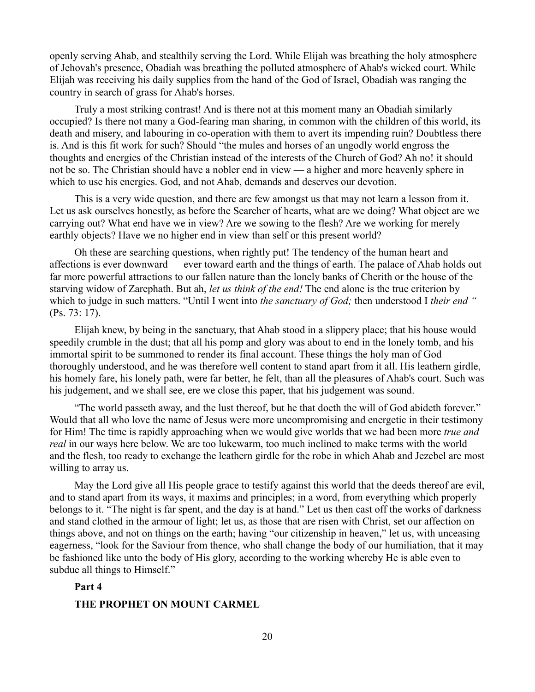openly serving Ahab, and stealthily serving the Lord. While Elijah was breathing the holy atmosphere of Jehovah's presence, Obadiah was breathing the polluted atmosphere of Ahab's wicked court. While Elijah was receiving his daily supplies from the hand of the God of Israel, Obadiah was ranging the country in search of grass for Ahab's horses.

Truly a most striking contrast! And is there not at this moment many an Obadiah similarly occupied? Is there not many a God-fearing man sharing, in common with the children of this world, its death and misery, and labouring in co-operation with them to avert its impending ruin? Doubtless there is. And is this fit work for such? Should "the mules and horses of an ungodly world engross the thoughts and energies of the Christian instead of the interests of the Church of God? Ah no! it should not be so. The Christian should have a nobler end in view — a higher and more heavenly sphere in which to use his energies. God, and not Ahab, demands and deserves our devotion.

This is a very wide question, and there are few amongst us that may not learn a lesson from it. Let us ask ourselves honestly, as before the Searcher of hearts, what are we doing? What object are we carrying out? What end have we in view? Are we sowing to the flesh? Are we working for merely earthly objects? Have we no higher end in view than self or this present world?

Oh these are searching questions, when rightly put! The tendency of the human heart and affections is ever downward — ever toward earth and the things of earth. The palace of Ahab holds out far more powerful attractions to our fallen nature than the lonely banks of Cherith or the house of the starving widow of Zarephath. But ah, *let us think of the end!* The end alone is the true criterion by which to judge in such matters. "Until I went into *the sanctuary of God;* then understood I *their end "* (Ps. 73: 17).

Elijah knew, by being in the sanctuary, that Ahab stood in a slippery place; that his house would speedily crumble in the dust; that all his pomp and glory was about to end in the lonely tomb, and his immortal spirit to be summoned to render its final account. These things the holy man of God thoroughly understood, and he was therefore well content to stand apart from it all. His leathern girdle, his homely fare, his lonely path, were far better, he felt, than all the pleasures of Ahab's court. Such was his judgement, and we shall see, ere we close this paper, that his judgement was sound.

"The world passeth away, and the lust thereof, but he that doeth the will of God abideth forever." Would that all who love the name of Jesus were more uncompromising and energetic in their testimony for Him! The time is rapidly approaching when we would give worlds that we had been more *true and real* in our ways here below. We are too lukewarm, too much inclined to make terms with the world and the flesh, too ready to exchange the leathern girdle for the robe in which Ahab and Jezebel are most willing to array us.

May the Lord give all His people grace to testify against this world that the deeds thereof are evil, and to stand apart from its ways, it maxims and principles; in a word, from everything which properly belongs to it. "The night is far spent, and the day is at hand." Let us then cast off the works of darkness and stand clothed in the armour of light; let us, as those that are risen with Christ, set our affection on things above, and not on things on the earth; having "our citizenship in heaven," let us, with unceasing eagerness, "look for the Saviour from thence, who shall change the body of our humiliation, that it may be fashioned like unto the body of His glory, according to the working whereby He is able even to subdue all things to Himself."

#### **Part 4**

### **THE PROPHET ON MOUNT CARMEL**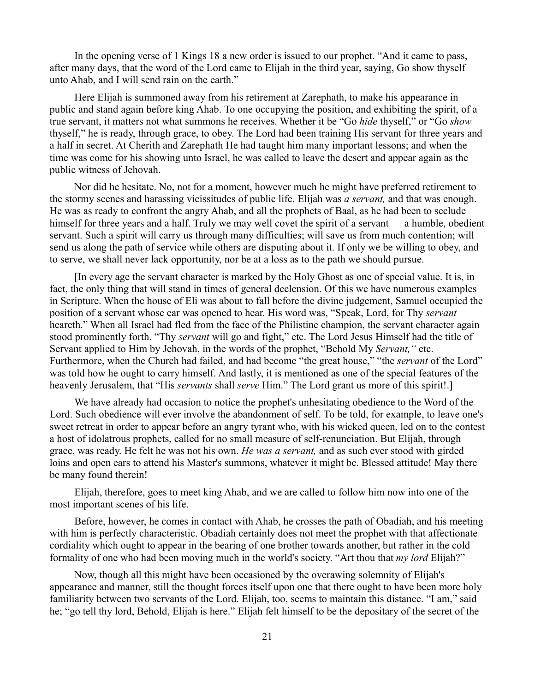In the opening verse of 1 Kings 18 a new order is issued to our prophet. "And it came to pass, after many days, that the word of the Lord came to Elijah in the third year, saying, Go show thyself unto Ahab, and I will send rain on the earth."

Here Elijah is summoned away from his retirement at Zarephath, to make his appearance in public and stand again before king Ahab. To one occupying the position, and exhibiting the spirit, of a true servant, it matters not what summons he receives. Whether it be "Go *hide* thyself," or "Go *show* thyself," he is ready, through grace, to obey. The Lord had been training His servant for three years and a half in secret. At Cherith and Zarephath He had taught him many important lessons; and when the time was come for his showing unto Israel, he was called to leave the desert and appear again as the public witness of Jehovah.

Nor did he hesitate. No, not for a moment, however much he might have preferred retirement to the stormy scenes and harassing vicissitudes of public life. Elijah was *a servant,* and that was enough. He was as ready to confront the angry Ahab, and all the prophets of Baal, as he had been to seclude himself for three years and a half. Truly we may well covet the spirit of a servant — a humble, obedient servant. Such a spirit will carry us through many difficulties; will save us from much contention; will send us along the path of service while others are disputing about it. If only we be willing to obey, and to serve, we shall never lack opportunity, nor be at a loss as to the path we should pursue.

[In every age the servant character is marked by the Holy Ghost as one of special value. It is, in fact, the only thing that will stand in times of general declension. Of this we have numerous examples in Scripture. When the house of Eli was about to fall before the divine judgement, Samuel occupied the position of a servant whose ear was opened to hear. His word was, "Speak, Lord, for Thy *servant* heareth." When all Israel had fled from the face of the Philistine champion, the servant character again stood prominently forth. "Thy *servant* will go and fight," etc. The Lord Jesus Himself had the title of Servant applied to Him by Jehovah, in the words of the prophet, "Behold My *Servant,"* etc. Furthermore, when the Church had failed, and had become "the great house," "the *servant* of the Lord" was told how he ought to carry himself. And lastly, it is mentioned as one of the special features of the heavenly Jerusalem, that "His *servants* shall *serve* Him." The Lord grant us more of this spirit!.]

We have already had occasion to notice the prophet's unhesitating obedience to the Word of the Lord. Such obedience will ever involve the abandonment of self. To be told, for example, to leave one's sweet retreat in order to appear before an angry tyrant who, with his wicked queen, led on to the contest a host of idolatrous prophets, called for no small measure of self-renunciation. But Elijah, through grace, was ready. He felt he was not his own. *He was a servant,* and as such ever stood with girded loins and open ears to attend his Master's summons, whatever it might be. Blessed attitude! May there be many found therein!

Elijah, therefore, goes to meet king Ahab, and we are called to follow him now into one of the most important scenes of his life.

Before, however, he comes in contact with Ahab, he crosses the path of Obadiah, and his meeting with him is perfectly characteristic. Obadiah certainly does not meet the prophet with that affectionate cordiality which ought to appear in the bearing of one brother towards another, but rather in the cold formality of one who had been moving much in the world's society. "Art thou that *my lord* Elijah?"

Now, though all this might have been occasioned by the overawing solemnity of Elijah's appearance and manner, still the thought forces itself upon one that there ought to have been more holy familiarity between two servants of the Lord. Elijah, too, seems to maintain this distance. "I am," said he; "go tell thy lord, Behold, Elijah is here." Elijah felt himself to be the depositary of the secret of the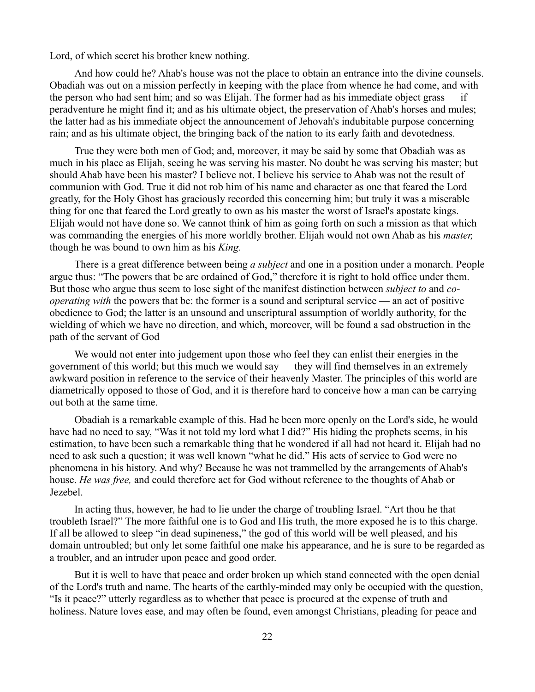Lord, of which secret his brother knew nothing.

And how could he? Ahab's house was not the place to obtain an entrance into the divine counsels. Obadiah was out on a mission perfectly in keeping with the place from whence he had come, and with the person who had sent him; and so was Elijah. The former had as his immediate object grass — if peradventure he might find it; and as his ultimate object, the preservation of Ahab's horses and mules; the latter had as his immediate object the announcement of Jehovah's indubitable purpose concerning rain; and as his ultimate object, the bringing back of the nation to its early faith and devotedness.

True they were both men of God; and, moreover, it may be said by some that Obadiah was as much in his place as Elijah, seeing he was serving his master. No doubt he was serving his master; but should Ahab have been his master? I believe not. I believe his service to Ahab was not the result of communion with God. True it did not rob him of his name and character as one that feared the Lord greatly, for the Holy Ghost has graciously recorded this concerning him; but truly it was a miserable thing for one that feared the Lord greatly to own as his master the worst of Israel's apostate kings. Elijah would not have done so. We cannot think of him as going forth on such a mission as that which was commanding the energies of his more worldly brother. Elijah would not own Ahab as his *master,* though he was bound to own him as his *King.*

There is a great difference between being *a subject* and one in a position under a monarch. People argue thus: "The powers that be are ordained of God," therefore it is right to hold office under them. But those who argue thus seem to lose sight of the manifest distinction between *subject to* and *cooperating with* the powers that be: the former is a sound and scriptural service — an act of positive obedience to God; the latter is an unsound and unscriptural assumption of worldly authority, for the wielding of which we have no direction, and which, moreover, will be found a sad obstruction in the path of the servant of God

We would not enter into judgement upon those who feel they can enlist their energies in the government of this world; but this much we would say — they will find themselves in an extremely awkward position in reference to the service of their heavenly Master. The principles of this world are diametrically opposed to those of God, and it is therefore hard to conceive how a man can be carrying out both at the same time.

Obadiah is a remarkable example of this. Had he been more openly on the Lord's side, he would have had no need to say, "Was it not told my lord what I did?" His hiding the prophets seems, in his estimation, to have been such a remarkable thing that he wondered if all had not heard it. Elijah had no need to ask such a question; it was well known "what he did." His acts of service to God were no phenomena in his history. And why? Because he was not trammelled by the arrangements of Ahab's house. *He was free,* and could therefore act for God without reference to the thoughts of Ahab or Jezebel.

In acting thus, however, he had to lie under the charge of troubling Israel. "Art thou he that troubleth Israel?" The more faithful one is to God and His truth, the more exposed he is to this charge. If all be allowed to sleep "in dead supineness," the god of this world will be well pleased, and his domain untroubled; but only let some faithful one make his appearance, and he is sure to be regarded as a troubler, and an intruder upon peace and good order.

But it is well to have that peace and order broken up which stand connected with the open denial of the Lord's truth and name. The hearts of the earthly-minded may only be occupied with the question, "Is it peace?" utterly regardless as to whether that peace is procured at the expense of truth and holiness. Nature loves ease, and may often be found, even amongst Christians, pleading for peace and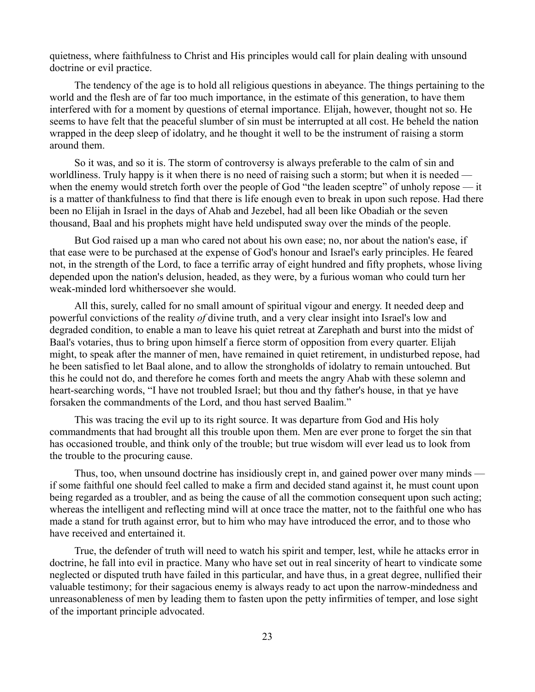quietness, where faithfulness to Christ and His principles would call for plain dealing with unsound doctrine or evil practice.

The tendency of the age is to hold all religious questions in abeyance. The things pertaining to the world and the flesh are of far too much importance, in the estimate of this generation, to have them interfered with for a moment by questions of eternal importance. Elijah, however, thought not so. He seems to have felt that the peaceful slumber of sin must be interrupted at all cost. He beheld the nation wrapped in the deep sleep of idolatry, and he thought it well to be the instrument of raising a storm around them.

So it was, and so it is. The storm of controversy is always preferable to the calm of sin and worldliness. Truly happy is it when there is no need of raising such a storm; but when it is needed when the enemy would stretch forth over the people of God "the leaden sceptre" of unholy repose — it is a matter of thankfulness to find that there is life enough even to break in upon such repose. Had there been no Elijah in Israel in the days of Ahab and Jezebel, had all been like Obadiah or the seven thousand, Baal and his prophets might have held undisputed sway over the minds of the people.

But God raised up a man who cared not about his own ease; no, nor about the nation's ease, if that ease were to be purchased at the expense of God's honour and Israel's early principles. He feared not, in the strength of the Lord, to face a terrific array of eight hundred and fifty prophets, whose living depended upon the nation's delusion, headed, as they were, by a furious woman who could turn her weak-minded lord whithersoever she would.

All this, surely, called for no small amount of spiritual vigour and energy. It needed deep and powerful convictions of the reality *of* divine truth, and a very clear insight into Israel's low and degraded condition, to enable a man to leave his quiet retreat at Zarephath and burst into the midst of Baal's votaries, thus to bring upon himself a fierce storm of opposition from every quarter. Elijah might, to speak after the manner of men, have remained in quiet retirement, in undisturbed repose, had he been satisfied to let Baal alone, and to allow the strongholds of idolatry to remain untouched. But this he could not do, and therefore he comes forth and meets the angry Ahab with these solemn and heart-searching words, "I have not troubled Israel; but thou and thy father's house, in that ye have forsaken the commandments of the Lord, and thou hast served Baalim."

This was tracing the evil up to its right source. It was departure from God and His holy commandments that had brought all this trouble upon them. Men are ever prone to forget the sin that has occasioned trouble, and think only of the trouble; but true wisdom will ever lead us to look from the trouble to the procuring cause.

Thus, too, when unsound doctrine has insidiously crept in, and gained power over many minds if some faithful one should feel called to make a firm and decided stand against it, he must count upon being regarded as a troubler, and as being the cause of all the commotion consequent upon such acting; whereas the intelligent and reflecting mind will at once trace the matter, not to the faithful one who has made a stand for truth against error, but to him who may have introduced the error, and to those who have received and entertained it.

True, the defender of truth will need to watch his spirit and temper, lest, while he attacks error in doctrine, he fall into evil in practice. Many who have set out in real sincerity of heart to vindicate some neglected or disputed truth have failed in this particular, and have thus, in a great degree, nullified their valuable testimony; for their sagacious enemy is always ready to act upon the narrow-mindedness and unreasonableness of men by leading them to fasten upon the petty infirmities of temper, and lose sight of the important principle advocated.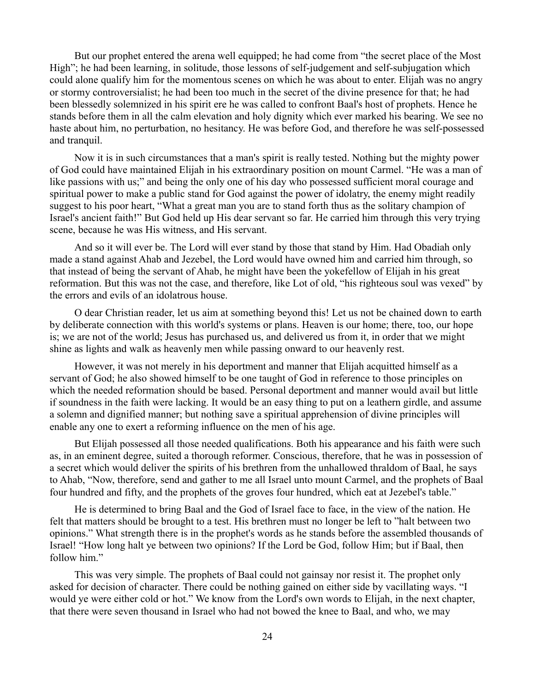But our prophet entered the arena well equipped; he had come from "the secret place of the Most High"; he had been learning, in solitude, those lessons of self-judgement and self-subjugation which could alone qualify him for the momentous scenes on which he was about to enter. Elijah was no angry or stormy controversialist; he had been too much in the secret of the divine presence for that; he had been blessedly solemnized in his spirit ere he was called to confront Baal's host of prophets. Hence he stands before them in all the calm elevation and holy dignity which ever marked his bearing. We see no haste about him, no perturbation, no hesitancy. He was before God, and therefore he was self-possessed and tranquil.

Now it is in such circumstances that a man's spirit is really tested. Nothing but the mighty power of God could have maintained Elijah in his extraordinary position on mount Carmel. "He was a man of like passions with us;" and being the only one of his day who possessed sufficient moral courage and spiritual power to make a public stand for God against the power of idolatry, the enemy might readily suggest to his poor heart, "What a great man you are to stand forth thus as the solitary champion of Israel's ancient faith!" But God held up His dear servant so far. He carried him through this very trying scene, because he was His witness, and His servant.

And so it will ever be. The Lord will ever stand by those that stand by Him. Had Obadiah only made a stand against Ahab and Jezebel, the Lord would have owned him and carried him through, so that instead of being the servant of Ahab, he might have been the yokefellow of Elijah in his great reformation. But this was not the case, and therefore, like Lot of old, "his righteous soul was vexed" by the errors and evils of an idolatrous house.

O dear Christian reader, let us aim at something beyond this! Let us not be chained down to earth by deliberate connection with this world's systems or plans. Heaven is our home; there, too, our hope is; we are not of the world; Jesus has purchased us, and delivered us from it, in order that we might shine as lights and walk as heavenly men while passing onward to our heavenly rest.

However, it was not merely in his deportment and manner that Elijah acquitted himself as a servant of God; he also showed himself to be one taught of God in reference to those principles on which the needed reformation should be based. Personal deportment and manner would avail but little if soundness in the faith were lacking. It would be an easy thing to put on a leathern girdle, and assume a solemn and dignified manner; but nothing save a spiritual apprehension of divine principles will enable any one to exert a reforming influence on the men of his age.

But Elijah possessed all those needed qualifications. Both his appearance and his faith were such as, in an eminent degree, suited a thorough reformer. Conscious, therefore, that he was in possession of a secret which would deliver the spirits of his brethren from the unhallowed thraldom of Baal, he says to Ahab, "Now, therefore, send and gather to me all Israel unto mount Carmel, and the prophets of Baal four hundred and fifty, and the prophets of the groves four hundred, which eat at Jezebel's table."

He is determined to bring Baal and the God of Israel face to face, in the view of the nation. He felt that matters should be brought to a test. His brethren must no longer be left to "halt between two opinions." What strength there is in the prophet's words as he stands before the assembled thousands of Israel! "How long halt ye between two opinions? If the Lord be God, follow Him; but if Baal, then follow him."

This was very simple. The prophets of Baal could not gainsay nor resist it. The prophet only asked for decision of character. There could be nothing gained on either side by vacillating ways. "I would ye were either cold or hot." We know from the Lord's own words to Elijah, in the next chapter, that there were seven thousand in Israel who had not bowed the knee to Baal, and who, we may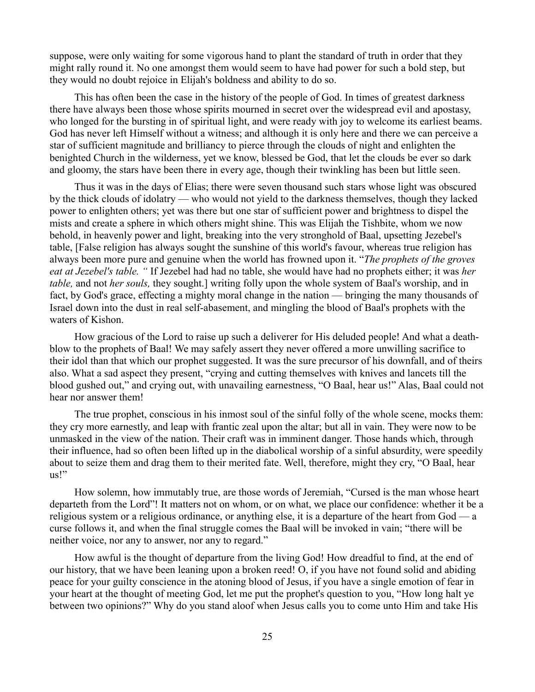suppose, were only waiting for some vigorous hand to plant the standard of truth in order that they might rally round it. No one amongst them would seem to have had power for such a bold step, but they would no doubt rejoice in Elijah's boldness and ability to do so.

This has often been the case in the history of the people of God. In times of greatest darkness there have always been those whose spirits mourned in secret over the widespread evil and apostasy, who longed for the bursting in of spiritual light, and were ready with joy to welcome its earliest beams. God has never left Himself without a witness; and although it is only here and there we can perceive a star of sufficient magnitude and brilliancy to pierce through the clouds of night and enlighten the benighted Church in the wilderness, yet we know, blessed be God, that let the clouds be ever so dark and gloomy, the stars have been there in every age, though their twinkling has been but little seen.

Thus it was in the days of Elias; there were seven thousand such stars whose light was obscured by the thick clouds of idolatry — who would not yield to the darkness themselves, though they lacked power to enlighten others; yet was there but one star of sufficient power and brightness to dispel the mists and create a sphere in which others might shine. This was Elijah the Tishbite, whom we now behold, in heavenly power and light, breaking into the very stronghold of Baal, upsetting Jezebel's table, [False religion has always sought the sunshine of this world's favour, whereas true religion has always been more pure and genuine when the world has frowned upon it. "*The prophets of the groves eat at Jezebel's table. "* If Jezebel had had no table, she would have had no prophets either; it was *her table,* and not *her souls,* they sought.] writing folly upon the whole system of Baal's worship, and in fact, by God's grace, effecting a mighty moral change in the nation — bringing the many thousands of Israel down into the dust in real self-abasement, and mingling the blood of Baal's prophets with the waters of Kishon.

How gracious of the Lord to raise up such a deliverer for His deluded people! And what a deathblow to the prophets of Baal! We may safely assert they never offered a more unwilling sacrifice to their idol than that which our prophet suggested. It was the sure precursor of his downfall, and of theirs also. What a sad aspect they present, "crying and cutting themselves with knives and lancets till the blood gushed out," and crying out, with unavailing earnestness, "O Baal, hear us!" Alas, Baal could not hear nor answer them!

The true prophet, conscious in his inmost soul of the sinful folly of the whole scene, mocks them: they cry more earnestly, and leap with frantic zeal upon the altar; but all in vain. They were now to be unmasked in the view of the nation. Their craft was in imminent danger. Those hands which, through their influence, had so often been lifted up in the diabolical worship of a sinful absurdity, were speedily about to seize them and drag them to their merited fate. Well, therefore, might they cry, "O Baal, hear us!"

How solemn, how immutably true, are those words of Jeremiah, "Cursed is the man whose heart departeth from the Lord"! It matters not on whom, or on what, we place our confidence: whether it be a religious system or a religious ordinance, or anything else, it is a departure of the heart from God — a curse follows it, and when the final struggle comes the Baal will be invoked in vain; "there will be neither voice, nor any to answer, nor any to regard."

How awful is the thought of departure from the living God! How dreadful to find, at the end of our history, that we have been leaning upon a broken reed! O, if you have not found solid and abiding peace for your guilty conscience in the atoning blood of Jesus, if you have a single emotion of fear in your heart at the thought of meeting God, let me put the prophet's question to you, "How long halt ye between two opinions?" Why do you stand aloof when Jesus calls you to come unto Him and take His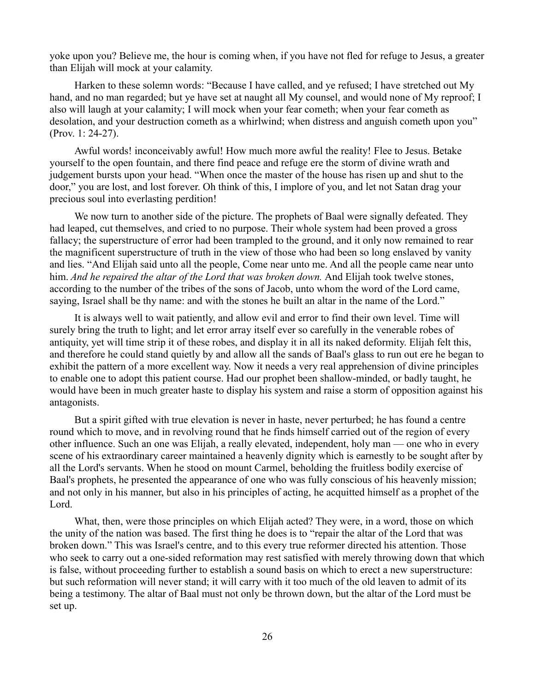yoke upon you? Believe me, the hour is coming when, if you have not fled for refuge to Jesus, a greater than Elijah will mock at your calamity.

Harken to these solemn words: "Because I have called, and ye refused; I have stretched out My hand, and no man regarded; but ye have set at naught all My counsel, and would none of My reproof; I also will laugh at your calamity; I will mock when your fear cometh; when your fear cometh as desolation, and your destruction cometh as a whirlwind; when distress and anguish cometh upon you" (Prov. 1: 24-27).

Awful words! inconceivably awful! How much more awful the reality! Flee to Jesus. Betake yourself to the open fountain, and there find peace and refuge ere the storm of divine wrath and judgement bursts upon your head. "When once the master of the house has risen up and shut to the door," you are lost, and lost forever. Oh think of this, I implore of you, and let not Satan drag your precious soul into everlasting perdition!

We now turn to another side of the picture. The prophets of Baal were signally defeated. They had leaped, cut themselves, and cried to no purpose. Their whole system had been proved a gross fallacy; the superstructure of error had been trampled to the ground, and it only now remained to rear the magnificent superstructure of truth in the view of those who had been so long enslaved by vanity and lies. "And Elijah said unto all the people, Come near unto me. And all the people came near unto him. *And he repaired the altar of the Lord that was broken down*. And Elijah took twelve stones, according to the number of the tribes of the sons of Jacob, unto whom the word of the Lord came, saying, Israel shall be thy name: and with the stones he built an altar in the name of the Lord."

It is always well to wait patiently, and allow evil and error to find their own level. Time will surely bring the truth to light; and let error array itself ever so carefully in the venerable robes of antiquity, yet will time strip it of these robes, and display it in all its naked deformity. Elijah felt this, and therefore he could stand quietly by and allow all the sands of Baal's glass to run out ere he began to exhibit the pattern of a more excellent way. Now it needs a very real apprehension of divine principles to enable one to adopt this patient course. Had our prophet been shallow-minded, or badly taught, he would have been in much greater haste to display his system and raise a storm of opposition against his antagonists.

But a spirit gifted with true elevation is never in haste, never perturbed; he has found a centre round which to move, and in revolving round that he finds himself carried out of the region of every other influence. Such an one was Elijah, a really elevated, independent, holy man — one who in every scene of his extraordinary career maintained a heavenly dignity which is earnestly to be sought after by all the Lord's servants. When he stood on mount Carmel, beholding the fruitless bodily exercise of Baal's prophets, he presented the appearance of one who was fully conscious of his heavenly mission; and not only in his manner, but also in his principles of acting, he acquitted himself as a prophet of the Lord.

What, then, were those principles on which Elijah acted? They were, in a word, those on which the unity of the nation was based. The first thing he does is to "repair the altar of the Lord that was broken down." This was Israel's centre, and to this every true reformer directed his attention. Those who seek to carry out a one-sided reformation may rest satisfied with merely throwing down that which is false, without proceeding further to establish a sound basis on which to erect a new superstructure: but such reformation will never stand; it will carry with it too much of the old leaven to admit of its being a testimony. The altar of Baal must not only be thrown down, but the altar of the Lord must be set up.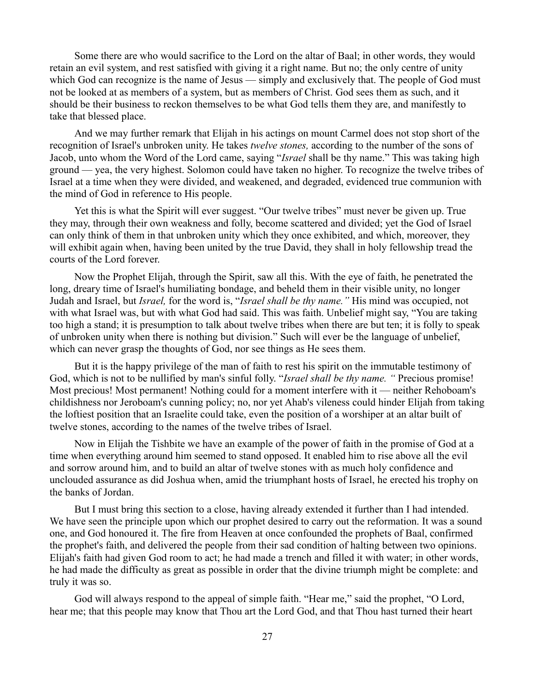Some there are who would sacrifice to the Lord on the altar of Baal; in other words, they would retain an evil system, and rest satisfied with giving it a right name. But no; the only centre of unity which God can recognize is the name of Jesus — simply and exclusively that. The people of God must not be looked at as members of a system, but as members of Christ. God sees them as such, and it should be their business to reckon themselves to be what God tells them they are, and manifestly to take that blessed place.

And we may further remark that Elijah in his actings on mount Carmel does not stop short of the recognition of Israel's unbroken unity. He takes *twelve stones,* according to the number of the sons of Jacob, unto whom the Word of the Lord came, saying "*Israel* shall be thy name." This was taking high ground — yea, the very highest. Solomon could have taken no higher. To recognize the twelve tribes of Israel at a time when they were divided, and weakened, and degraded, evidenced true communion with the mind of God in reference to His people.

Yet this is what the Spirit will ever suggest. "Our twelve tribes" must never be given up. True they may, through their own weakness and folly, become scattered and divided; yet the God of Israel can only think of them in that unbroken unity which they once exhibited, and which, moreover, they will exhibit again when, having been united by the true David, they shall in holy fellowship tread the courts of the Lord forever.

Now the Prophet Elijah, through the Spirit, saw all this. With the eye of faith, he penetrated the long, dreary time of Israel's humiliating bondage, and beheld them in their visible unity, no longer Judah and Israel, but *Israel,* for the word is, "*Israel shall be thy name."* His mind was occupied, not with what Israel was, but with what God had said. This was faith. Unbelief might say, "You are taking too high a stand; it is presumption to talk about twelve tribes when there are but ten; it is folly to speak of unbroken unity when there is nothing but division." Such will ever be the language of unbelief, which can never grasp the thoughts of God, nor see things as He sees them.

But it is the happy privilege of the man of faith to rest his spirit on the immutable testimony of God, which is not to be nullified by man's sinful folly. "*Israel shall be thy name. "* Precious promise! Most precious! Most permanent! Nothing could for a moment interfere with it — neither Rehoboam's childishness nor Jeroboam's cunning policy; no, nor yet Ahab's vileness could hinder Elijah from taking the loftiest position that an Israelite could take, even the position of a worshiper at an altar built of twelve stones, according to the names of the twelve tribes of Israel.

Now in Elijah the Tishbite we have an example of the power of faith in the promise of God at a time when everything around him seemed to stand opposed. It enabled him to rise above all the evil and sorrow around him, and to build an altar of twelve stones with as much holy confidence and unclouded assurance as did Joshua when, amid the triumphant hosts of Israel, he erected his trophy on the banks of Jordan.

But I must bring this section to a close, having already extended it further than I had intended. We have seen the principle upon which our prophet desired to carry out the reformation. It was a sound one, and God honoured it. The fire from Heaven at once confounded the prophets of Baal, confirmed the prophet's faith, and delivered the people from their sad condition of halting between two opinions. Elijah's faith had given God room to act; he had made a trench and filled it with water; in other words, he had made the difficulty as great as possible in order that the divine triumph might be complete: and truly it was so.

God will always respond to the appeal of simple faith. "Hear me," said the prophet, "O Lord, hear me; that this people may know that Thou art the Lord God, and that Thou hast turned their heart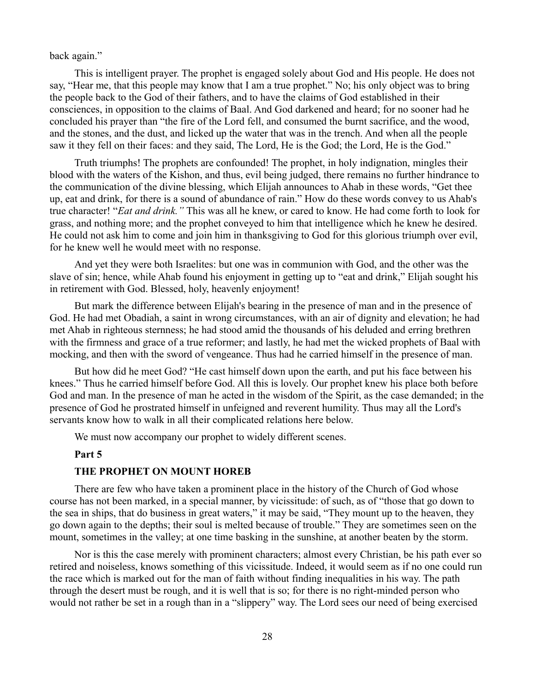### back again."

This is intelligent prayer. The prophet is engaged solely about God and His people. He does not say, "Hear me, that this people may know that I am a true prophet." No; his only object was to bring the people back to the God of their fathers, and to have the claims of God established in their consciences, in opposition to the claims of Baal. And God darkened and heard; for no sooner had he concluded his prayer than "the fire of the Lord fell, and consumed the burnt sacrifice, and the wood, and the stones, and the dust, and licked up the water that was in the trench. And when all the people saw it they fell on their faces: and they said, The Lord, He is the God; the Lord, He is the God."

Truth triumphs! The prophets are confounded! The prophet, in holy indignation, mingles their blood with the waters of the Kishon, and thus, evil being judged, there remains no further hindrance to the communication of the divine blessing, which Elijah announces to Ahab in these words, "Get thee up, eat and drink, for there is a sound of abundance of rain." How do these words convey to us Ahab's true character! "*Eat and drink."* This was all he knew, or cared to know. He had come forth to look for grass, and nothing more; and the prophet conveyed to him that intelligence which he knew he desired. He could not ask him to come and join him in thanksgiving to God for this glorious triumph over evil, for he knew well he would meet with no response.

And yet they were both Israelites: but one was in communion with God, and the other was the slave of sin; hence, while Ahab found his enjoyment in getting up to "eat and drink," Elijah sought his in retirement with God. Blessed, holy, heavenly enjoyment!

But mark the difference between Elijah's bearing in the presence of man and in the presence of God. He had met Obadiah, a saint in wrong circumstances, with an air of dignity and elevation; he had met Ahab in righteous sternness; he had stood amid the thousands of his deluded and erring brethren with the firmness and grace of a true reformer; and lastly, he had met the wicked prophets of Baal with mocking, and then with the sword of vengeance. Thus had he carried himself in the presence of man.

But how did he meet God? "He cast himself down upon the earth, and put his face between his knees." Thus he carried himself before God. All this is lovely. Our prophet knew his place both before God and man. In the presence of man he acted in the wisdom of the Spirit, as the case demanded; in the presence of God he prostrated himself in unfeigned and reverent humility. Thus may all the Lord's servants know how to walk in all their complicated relations here below.

We must now accompany our prophet to widely different scenes.

#### **Part 5**

### **THE PROPHET ON MOUNT HOREB**

There are few who have taken a prominent place in the history of the Church of God whose course has not been marked, in a special manner, by vicissitude: of such, as of "those that go down to the sea in ships, that do business in great waters," it may be said, "They mount up to the heaven, they go down again to the depths; their soul is melted because of trouble." They are sometimes seen on the mount, sometimes in the valley; at one time basking in the sunshine, at another beaten by the storm.

Nor is this the case merely with prominent characters; almost every Christian, be his path ever so retired and noiseless, knows something of this vicissitude. Indeed, it would seem as if no one could run the race which is marked out for the man of faith without finding inequalities in his way. The path through the desert must be rough, and it is well that is so; for there is no right-minded person who would not rather be set in a rough than in a "slippery" way. The Lord sees our need of being exercised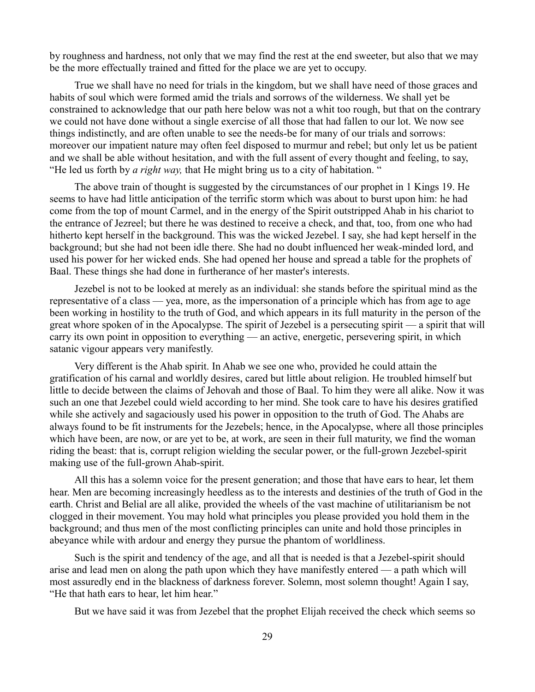by roughness and hardness, not only that we may find the rest at the end sweeter, but also that we may be the more effectually trained and fitted for the place we are yet to occupy.

True we shall have no need for trials in the kingdom, but we shall have need of those graces and habits of soul which were formed amid the trials and sorrows of the wilderness. We shall yet be constrained to acknowledge that our path here below was not a whit too rough, but that on the contrary we could not have done without a single exercise of all those that had fallen to our lot. We now see things indistinctly, and are often unable to see the needs-be for many of our trials and sorrows: moreover our impatient nature may often feel disposed to murmur and rebel; but only let us be patient and we shall be able without hesitation, and with the full assent of every thought and feeling, to say, "He led us forth by *a right way,* that He might bring us to a city of habitation. "

The above train of thought is suggested by the circumstances of our prophet in 1 Kings 19. He seems to have had little anticipation of the terrific storm which was about to burst upon him: he had come from the top of mount Carmel, and in the energy of the Spirit outstripped Ahab in his chariot to the entrance of Jezreel; but there he was destined to receive a check, and that, too, from one who had hitherto kept herself in the background. This was the wicked Jezebel. I say, she had kept herself in the background; but she had not been idle there. She had no doubt influenced her weak-minded lord, and used his power for her wicked ends. She had opened her house and spread a table for the prophets of Baal. These things she had done in furtherance of her master's interests.

Jezebel is not to be looked at merely as an individual: she stands before the spiritual mind as the representative of a class — yea, more, as the impersonation of a principle which has from age to age been working in hostility to the truth of God, and which appears in its full maturity in the person of the great whore spoken of in the Apocalypse. The spirit of Jezebel is a persecuting spirit — a spirit that will carry its own point in opposition to everything — an active, energetic, persevering spirit, in which satanic vigour appears very manifestly.

Very different is the Ahab spirit. In Ahab we see one who, provided he could attain the gratification of his carnal and worldly desires, cared but little about religion. He troubled himself but little to decide between the claims of Jehovah and those of Baal. To him they were all alike. Now it was such an one that Jezebel could wield according to her mind. She took care to have his desires gratified while she actively and sagaciously used his power in opposition to the truth of God. The Ahabs are always found to be fit instruments for the Jezebels; hence, in the Apocalypse, where all those principles which have been, are now, or are yet to be, at work, are seen in their full maturity, we find the woman riding the beast: that is, corrupt religion wielding the secular power, or the full-grown Jezebel-spirit making use of the full-grown Ahab-spirit.

All this has a solemn voice for the present generation; and those that have ears to hear, let them hear. Men are becoming increasingly heedless as to the interests and destinies of the truth of God in the earth. Christ and Belial are all alike, provided the wheels of the vast machine of utilitarianism be not clogged in their movement. You may hold what principles you please provided you hold them in the background; and thus men of the most conflicting principles can unite and hold those principles in abeyance while with ardour and energy they pursue the phantom of worldliness.

Such is the spirit and tendency of the age, and all that is needed is that a Jezebel-spirit should arise and lead men on along the path upon which they have manifestly entered — a path which will most assuredly end in the blackness of darkness forever. Solemn, most solemn thought! Again I say, "He that hath ears to hear, let him hear."

But we have said it was from Jezebel that the prophet Elijah received the check which seems so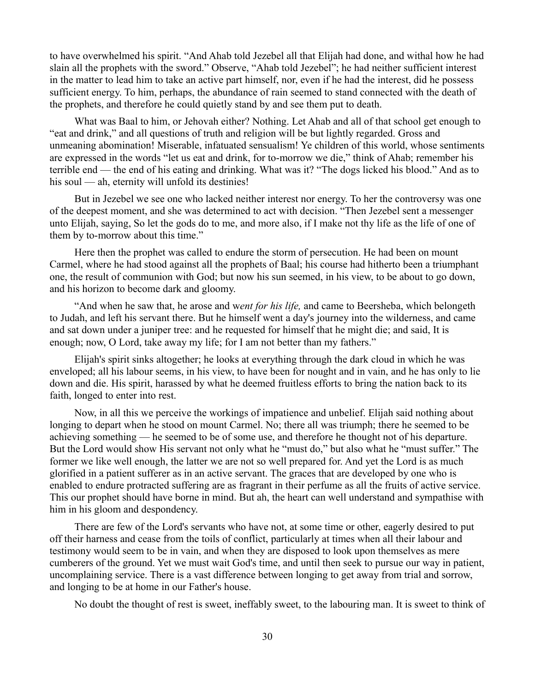to have overwhelmed his spirit. "And Ahab told Jezebel all that Elijah had done, and withal how he had slain all the prophets with the sword." Observe, "Ahab told Jezebel"; he had neither sufficient interest in the matter to lead him to take an active part himself, nor, even if he had the interest, did he possess sufficient energy. To him, perhaps, the abundance of rain seemed to stand connected with the death of the prophets, and therefore he could quietly stand by and see them put to death.

What was Baal to him, or Jehovah either? Nothing. Let Ahab and all of that school get enough to "eat and drink," and all questions of truth and religion will be but lightly regarded. Gross and unmeaning abomination! Miserable, infatuated sensualism! Ye children of this world, whose sentiments are expressed in the words "let us eat and drink, for to-morrow we die," think of Ahab; remember his terrible end — the end of his eating and drinking. What was it? "The dogs licked his blood." And as to his soul — ah, eternity will unfold its destinies!

But in Jezebel we see one who lacked neither interest nor energy. To her the controversy was one of the deepest moment, and she was determined to act with decision. "Then Jezebel sent a messenger unto Elijah, saying, So let the gods do to me, and more also, if I make not thy life as the life of one of them by to-morrow about this time."

Here then the prophet was called to endure the storm of persecution. He had been on mount Carmel, where he had stood against all the prophets of Baal; his course had hitherto been a triumphant one, the result of communion with God; but now his sun seemed, in his view, to be about to go down, and his horizon to become dark and gloomy.

"And when he saw that, he arose and w*ent for his life,* and came to Beersheba, which belongeth to Judah, and left his servant there. But he himself went a day's journey into the wilderness, and came and sat down under a juniper tree: and he requested for himself that he might die; and said, It is enough; now, O Lord, take away my life; for I am not better than my fathers."

Elijah's spirit sinks altogether; he looks at everything through the dark cloud in which he was enveloped; all his labour seems, in his view, to have been for nought and in vain, and he has only to lie down and die. His spirit, harassed by what he deemed fruitless efforts to bring the nation back to its faith, longed to enter into rest.

Now, in all this we perceive the workings of impatience and unbelief. Elijah said nothing about longing to depart when he stood on mount Carmel. No; there all was triumph; there he seemed to be achieving something — he seemed to be of some use, and therefore he thought not of his departure. But the Lord would show His servant not only what he "must do," but also what he "must suffer." The former we like well enough, the latter we are not so well prepared for. And yet the Lord is as much glorified in a patient sufferer as in an active servant. The graces that are developed by one who is enabled to endure protracted suffering are as fragrant in their perfume as all the fruits of active service. This our prophet should have borne in mind. But ah, the heart can well understand and sympathise with him in his gloom and despondency.

There are few of the Lord's servants who have not, at some time or other, eagerly desired to put off their harness and cease from the toils of conflict, particularly at times when all their labour and testimony would seem to be in vain, and when they are disposed to look upon themselves as mere cumberers of the ground. Yet we must wait God's time, and until then seek to pursue our way in patient, uncomplaining service. There is a vast difference between longing to get away from trial and sorrow, and longing to be at home in our Father's house.

No doubt the thought of rest is sweet, ineffably sweet, to the labouring man. It is sweet to think of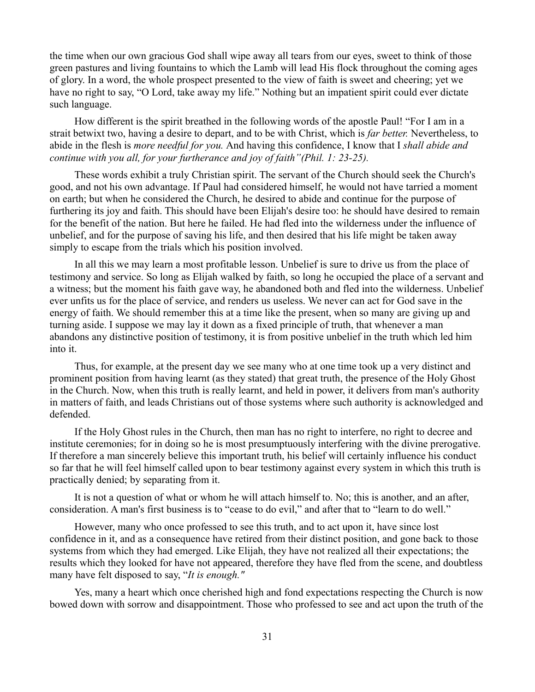the time when our own gracious God shall wipe away all tears from our eyes, sweet to think of those green pastures and living fountains to which the Lamb will lead His flock throughout the coming ages of glory. In a word, the whole prospect presented to the view of faith is sweet and cheering; yet we have no right to say, "O Lord, take away my life." Nothing but an impatient spirit could ever dictate such language.

How different is the spirit breathed in the following words of the apostle Paul! "For I am in a strait betwixt two, having a desire to depart, and to be with Christ, which is *far better.* Nevertheless, to abide in the flesh is *more needful for you.* And having this confidence, I know that I *shall abide and continue with you all, for your furtherance and joy of faith"(Phil. 1: 23-25).*

These words exhibit a truly Christian spirit. The servant of the Church should seek the Church's good, and not his own advantage. If Paul had considered himself, he would not have tarried a moment on earth; but when he considered the Church, he desired to abide and continue for the purpose of furthering its joy and faith. This should have been Elijah's desire too: he should have desired to remain for the benefit of the nation. But here he failed. He had fled into the wilderness under the influence of unbelief, and for the purpose of saving his life, and then desired that his life might be taken away simply to escape from the trials which his position involved.

In all this we may learn a most profitable lesson. Unbelief is sure to drive us from the place of testimony and service. So long as Elijah walked by faith, so long he occupied the place of a servant and a witness; but the moment his faith gave way, he abandoned both and fled into the wilderness. Unbelief ever unfits us for the place of service, and renders us useless. We never can act for God save in the energy of faith. We should remember this at a time like the present, when so many are giving up and turning aside. I suppose we may lay it down as a fixed principle of truth, that whenever a man abandons any distinctive position of testimony, it is from positive unbelief in the truth which led him into it.

Thus, for example, at the present day we see many who at one time took up a very distinct and prominent position from having learnt (as they stated) that great truth, the presence of the Holy Ghost in the Church. Now, when this truth is really learnt, and held in power, it delivers from man's authority in matters of faith, and leads Christians out of those systems where such authority is acknowledged and defended.

If the Holy Ghost rules in the Church, then man has no right to interfere, no right to decree and institute ceremonies; for in doing so he is most presumptuously interfering with the divine prerogative. If therefore a man sincerely believe this important truth, his belief will certainly influence his conduct so far that he will feel himself called upon to bear testimony against every system in which this truth is practically denied; by separating from it.

It is not a question of what or whom he will attach himself to. No; this is another, and an after, consideration. A man's first business is to "cease to do evil," and after that to "learn to do well."

However, many who once professed to see this truth, and to act upon it, have since lost confidence in it, and as a consequence have retired from their distinct position, and gone back to those systems from which they had emerged. Like Elijah, they have not realized all their expectations; the results which they looked for have not appeared, therefore they have fled from the scene, and doubtless many have felt disposed to say, "*It is enough."*

Yes, many a heart which once cherished high and fond expectations respecting the Church is now bowed down with sorrow and disappointment. Those who professed to see and act upon the truth of the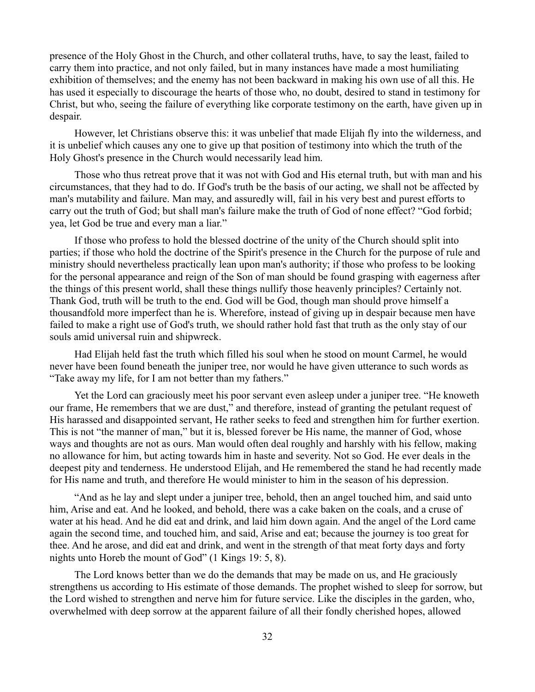presence of the Holy Ghost in the Church, and other collateral truths, have, to say the least, failed to carry them into practice, and not only failed, but in many instances have made a most humiliating exhibition of themselves; and the enemy has not been backward in making his own use of all this. He has used it especially to discourage the hearts of those who, no doubt, desired to stand in testimony for Christ, but who, seeing the failure of everything like corporate testimony on the earth, have given up in despair.

However, let Christians observe this: it was unbelief that made Elijah fly into the wilderness, and it is unbelief which causes any one to give up that position of testimony into which the truth of the Holy Ghost's presence in the Church would necessarily lead him.

Those who thus retreat prove that it was not with God and His eternal truth, but with man and his circumstances, that they had to do. If God's truth be the basis of our acting, we shall not be affected by man's mutability and failure. Man may, and assuredly will, fail in his very best and purest efforts to carry out the truth of God; but shall man's failure make the truth of God of none effect? "God forbid; yea, let God be true and every man a liar."

If those who profess to hold the blessed doctrine of the unity of the Church should split into parties; if those who hold the doctrine of the Spirit's presence in the Church for the purpose of rule and ministry should nevertheless practically lean upon man's authority; if those who profess to be looking for the personal appearance and reign of the Son of man should be found grasping with eagerness after the things of this present world, shall these things nullify those heavenly principles? Certainly not. Thank God, truth will be truth to the end. God will be God, though man should prove himself a thousandfold more imperfect than he is. Wherefore, instead of giving up in despair because men have failed to make a right use of God's truth, we should rather hold fast that truth as the only stay of our souls amid universal ruin and shipwreck.

Had Elijah held fast the truth which filled his soul when he stood on mount Carmel, he would never have been found beneath the juniper tree, nor would he have given utterance to such words as "Take away my life, for I am not better than my fathers."

Yet the Lord can graciously meet his poor servant even asleep under a juniper tree. "He knoweth our frame, He remembers that we are dust," and therefore, instead of granting the petulant request of His harassed and disappointed servant, He rather seeks to feed and strengthen him for further exertion. This is not "the manner of man," but it is, blessed forever be His name, the manner of God, whose ways and thoughts are not as ours. Man would often deal roughly and harshly with his fellow, making no allowance for him, but acting towards him in haste and severity. Not so God. He ever deals in the deepest pity and tenderness. He understood Elijah, and He remembered the stand he had recently made for His name and truth, and therefore He would minister to him in the season of his depression.

"And as he lay and slept under a juniper tree, behold, then an angel touched him, and said unto him, Arise and eat. And he looked, and behold, there was a cake baken on the coals, and a cruse of water at his head. And he did eat and drink, and laid him down again. And the angel of the Lord came again the second time, and touched him, and said, Arise and eat; because the journey is too great for thee. And he arose, and did eat and drink, and went in the strength of that meat forty days and forty nights unto Horeb the mount of God" (1 Kings 19: 5, 8).

The Lord knows better than we do the demands that may be made on us, and He graciously strengthens us according to His estimate of those demands. The prophet wished to sleep for sorrow, but the Lord wished to strengthen and nerve him for future service. Like the disciples in the garden, who, overwhelmed with deep sorrow at the apparent failure of all their fondly cherished hopes, allowed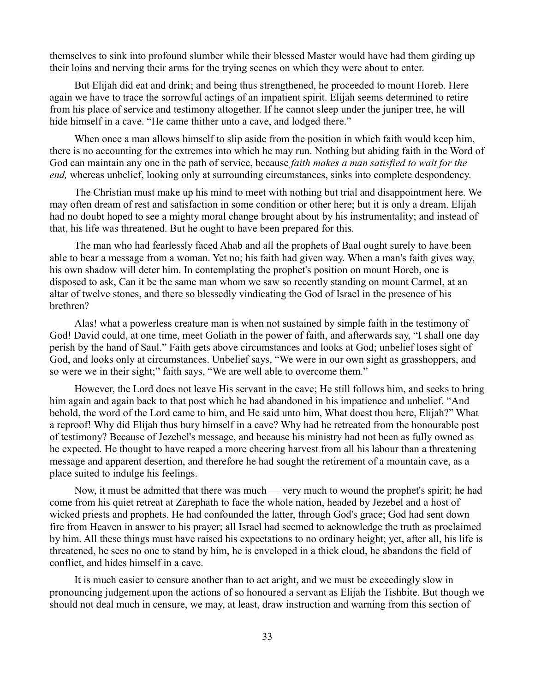themselves to sink into profound slumber while their blessed Master would have had them girding up their loins and nerving their arms for the trying scenes on which they were about to enter.

But Elijah did eat and drink; and being thus strengthened, he proceeded to mount Horeb. Here again we have to trace the sorrowful actings of an impatient spirit. Elijah seems determined to retire from his place of service and testimony altogether. If he cannot sleep under the juniper tree, he will hide himself in a cave. "He came thither unto a cave, and lodged there."

When once a man allows himself to slip aside from the position in which faith would keep him, there is no accounting for the extremes into which he may run. Nothing but abiding faith in the Word of God can maintain any one in the path of service, because *faith makes a man satisfied to wait for the end*, whereas unbelief, looking only at surrounding circumstances, sinks into complete despondency.

The Christian must make up his mind to meet with nothing but trial and disappointment here. We may often dream of rest and satisfaction in some condition or other here; but it is only a dream. Elijah had no doubt hoped to see a mighty moral change brought about by his instrumentality; and instead of that, his life was threatened. But he ought to have been prepared for this.

The man who had fearlessly faced Ahab and all the prophets of Baal ought surely to have been able to bear a message from a woman. Yet no; his faith had given way. When a man's faith gives way, his own shadow will deter him. In contemplating the prophet's position on mount Horeb, one is disposed to ask, Can it be the same man whom we saw so recently standing on mount Carmel, at an altar of twelve stones, and there so blessedly vindicating the God of Israel in the presence of his brethren?

Alas! what a powerless creature man is when not sustained by simple faith in the testimony of God! David could, at one time, meet Goliath in the power of faith, and afterwards say, "I shall one day perish by the hand of Saul." Faith gets above circumstances and looks at God; unbelief loses sight of God, and looks only at circumstances. Unbelief says, "We were in our own sight as grasshoppers, and so were we in their sight;" faith says, "We are well able to overcome them."

However, the Lord does not leave His servant in the cave; He still follows him, and seeks to bring him again and again back to that post which he had abandoned in his impatience and unbelief. "And behold, the word of the Lord came to him, and He said unto him, What doest thou here, Elijah?" What a reproof! Why did Elijah thus bury himself in a cave? Why had he retreated from the honourable post of testimony? Because of Jezebel's message, and because his ministry had not been as fully owned as he expected. He thought to have reaped a more cheering harvest from all his labour than a threatening message and apparent desertion, and therefore he had sought the retirement of a mountain cave, as a place suited to indulge his feelings.

Now, it must be admitted that there was much — very much to wound the prophet's spirit; he had come from his quiet retreat at Zarephath to face the whole nation, headed by Jezebel and a host of wicked priests and prophets. He had confounded the latter, through God's grace; God had sent down fire from Heaven in answer to his prayer; all Israel had seemed to acknowledge the truth as proclaimed by him. All these things must have raised his expectations to no ordinary height; yet, after all, his life is threatened, he sees no one to stand by him, he is enveloped in a thick cloud, he abandons the field of conflict, and hides himself in a cave.

It is much easier to censure another than to act aright, and we must be exceedingly slow in pronouncing judgement upon the actions of so honoured a servant as Elijah the Tishbite. But though we should not deal much in censure, we may, at least, draw instruction and warning from this section of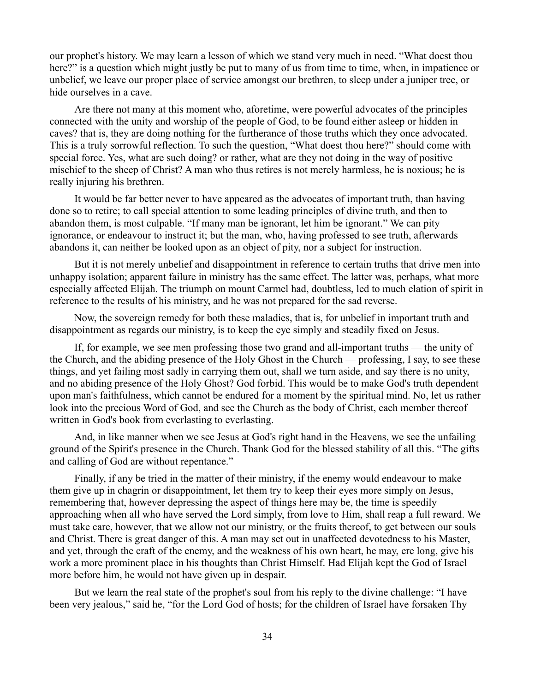our prophet's history. We may learn a lesson of which we stand very much in need. "What doest thou here?" is a question which might justly be put to many of us from time to time, when, in impatience or unbelief, we leave our proper place of service amongst our brethren, to sleep under a juniper tree, or hide ourselves in a cave.

Are there not many at this moment who, aforetime, were powerful advocates of the principles connected with the unity and worship of the people of God, to be found either asleep or hidden in caves? that is, they are doing nothing for the furtherance of those truths which they once advocated. This is a truly sorrowful reflection. To such the question, "What doest thou here?" should come with special force. Yes, what are such doing? or rather, what are they not doing in the way of positive mischief to the sheep of Christ? A man who thus retires is not merely harmless, he is noxious; he is really injuring his brethren.

It would be far better never to have appeared as the advocates of important truth, than having done so to retire; to call special attention to some leading principles of divine truth, and then to abandon them, is most culpable. "If many man be ignorant, let him be ignorant." We can pity ignorance, or endeavour to instruct it; but the man, who, having professed to see truth, afterwards abandons it, can neither be looked upon as an object of pity, nor a subject for instruction.

But it is not merely unbelief and disappointment in reference to certain truths that drive men into unhappy isolation; apparent failure in ministry has the same effect. The latter was, perhaps, what more especially affected Elijah. The triumph on mount Carmel had, doubtless, led to much elation of spirit in reference to the results of his ministry, and he was not prepared for the sad reverse.

Now, the sovereign remedy for both these maladies, that is, for unbelief in important truth and disappointment as regards our ministry, is to keep the eye simply and steadily fixed on Jesus.

If, for example, we see men professing those two grand and all-important truths — the unity of the Church, and the abiding presence of the Holy Ghost in the Church — professing, I say, to see these things, and yet failing most sadly in carrying them out, shall we turn aside, and say there is no unity, and no abiding presence of the Holy Ghost? God forbid. This would be to make God's truth dependent upon man's faithfulness, which cannot be endured for a moment by the spiritual mind. No, let us rather look into the precious Word of God, and see the Church as the body of Christ, each member thereof written in God's book from everlasting to everlasting.

And, in like manner when we see Jesus at God's right hand in the Heavens, we see the unfailing ground of the Spirit's presence in the Church. Thank God for the blessed stability of all this. "The gifts and calling of God are without repentance."

Finally, if any be tried in the matter of their ministry, if the enemy would endeavour to make them give up in chagrin or disappointment, let them try to keep their eyes more simply on Jesus, remembering that, however depressing the aspect of things here may be, the time is speedily approaching when all who have served the Lord simply, from love to Him, shall reap a full reward. We must take care, however, that we allow not our ministry, or the fruits thereof, to get between our souls and Christ. There is great danger of this. A man may set out in unaffected devotedness to his Master, and yet, through the craft of the enemy, and the weakness of his own heart, he may, ere long, give his work a more prominent place in his thoughts than Christ Himself. Had Elijah kept the God of Israel more before him, he would not have given up in despair.

But we learn the real state of the prophet's soul from his reply to the divine challenge: "I have been very jealous," said he, "for the Lord God of hosts; for the children of Israel have forsaken Thy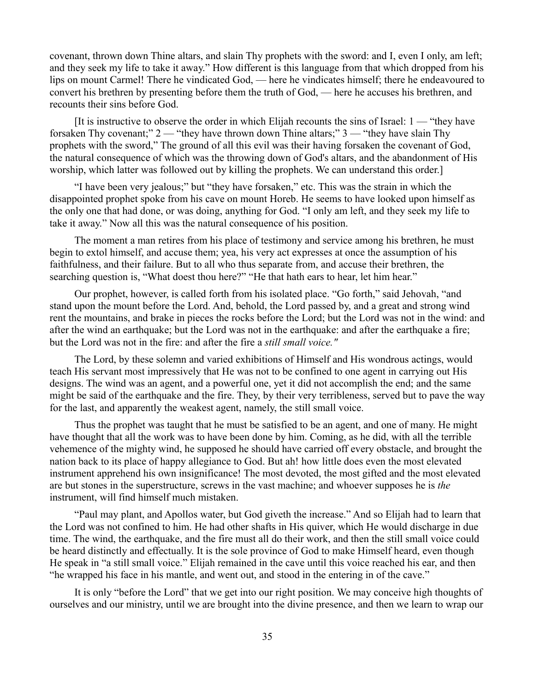covenant, thrown down Thine altars, and slain Thy prophets with the sword: and I, even I only, am left; and they seek my life to take it away." How different is this language from that which dropped from his lips on mount Carmel! There he vindicated God, — here he vindicates himself; there he endeavoured to convert his brethren by presenting before them the truth of God, — here he accuses his brethren, and recounts their sins before God.

It is instructive to observe the order in which Elijah recounts the sins of Israel:  $1 -$  "they have forsaken Thy covenant;" 2 — "they have thrown down Thine altars;" 3 — "they have slain Thy prophets with the sword," The ground of all this evil was their having forsaken the covenant of God, the natural consequence of which was the throwing down of God's altars, and the abandonment of His worship, which latter was followed out by killing the prophets. We can understand this order.]

"I have been very jealous;" but "they have forsaken," etc. This was the strain in which the disappointed prophet spoke from his cave on mount Horeb. He seems to have looked upon himself as the only one that had done, or was doing, anything for God. "I only am left, and they seek my life to take it away." Now all this was the natural consequence of his position.

The moment a man retires from his place of testimony and service among his brethren, he must begin to extol himself, and accuse them; yea, his very act expresses at once the assumption of his faithfulness, and their failure. But to all who thus separate from, and accuse their brethren, the searching question is, "What doest thou here?" "He that hath ears to hear, let him hear."

Our prophet, however, is called forth from his isolated place. "Go forth," said Jehovah, "and stand upon the mount before the Lord. And, behold, the Lord passed by, and a great and strong wind rent the mountains, and brake in pieces the rocks before the Lord; but the Lord was not in the wind: and after the wind an earthquake; but the Lord was not in the earthquake: and after the earthquake a fire; but the Lord was not in the fire: and after the fire a *still small voice."*

The Lord, by these solemn and varied exhibitions of Himself and His wondrous actings, would teach His servant most impressively that He was not to be confined to one agent in carrying out His designs. The wind was an agent, and a powerful one, yet it did not accomplish the end; and the same might be said of the earthquake and the fire. They, by their very terribleness, served but to pave the way for the last, and apparently the weakest agent, namely, the still small voice.

Thus the prophet was taught that he must be satisfied to be an agent, and one of many. He might have thought that all the work was to have been done by him. Coming, as he did, with all the terrible vehemence of the mighty wind, he supposed he should have carried off every obstacle, and brought the nation back to its place of happy allegiance to God. But ah! how little does even the most elevated instrument apprehend his own insignificance! The most devoted, the most gifted and the most elevated are but stones in the superstructure, screws in the vast machine; and whoever supposes he is *the* instrument, will find himself much mistaken.

"Paul may plant, and Apollos water, but God giveth the increase." And so Elijah had to learn that the Lord was not confined to him. He had other shafts in His quiver, which He would discharge in due time. The wind, the earthquake, and the fire must all do their work, and then the still small voice could be heard distinctly and effectually. It is the sole province of God to make Himself heard, even though He speak in "a still small voice." Elijah remained in the cave until this voice reached his ear, and then "he wrapped his face in his mantle, and went out, and stood in the entering in of the cave."

It is only "before the Lord" that we get into our right position. We may conceive high thoughts of ourselves and our ministry, until we are brought into the divine presence, and then we learn to wrap our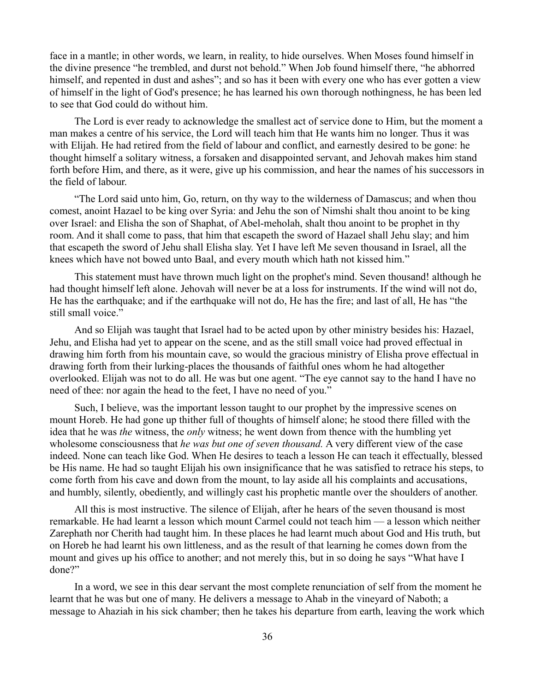face in a mantle; in other words, we learn, in reality, to hide ourselves. When Moses found himself in the divine presence "he trembled, and durst not behold." When Job found himself there, "he abhorred himself, and repented in dust and ashes"; and so has it been with every one who has ever gotten a view of himself in the light of God's presence; he has learned his own thorough nothingness, he has been led to see that God could do without him.

The Lord is ever ready to acknowledge the smallest act of service done to Him, but the moment a man makes a centre of his service, the Lord will teach him that He wants him no longer. Thus it was with Elijah. He had retired from the field of labour and conflict, and earnestly desired to be gone: he thought himself a solitary witness, a forsaken and disappointed servant, and Jehovah makes him stand forth before Him, and there, as it were, give up his commission, and hear the names of his successors in the field of labour.

"The Lord said unto him, Go, return, on thy way to the wilderness of Damascus; and when thou comest, anoint Hazael to be king over Syria: and Jehu the son of Nimshi shalt thou anoint to be king over Israel: and Elisha the son of Shaphat, of Abel-meholah, shalt thou anoint to be prophet in thy room. And it shall come to pass, that him that escapeth the sword of Hazael shall Jehu slay; and him that escapeth the sword of Jehu shall Elisha slay. Yet I have left Me seven thousand in Israel, all the knees which have not bowed unto Baal, and every mouth which hath not kissed him."

This statement must have thrown much light on the prophet's mind. Seven thousand! although he had thought himself left alone. Jehovah will never be at a loss for instruments. If the wind will not do, He has the earthquake; and if the earthquake will not do, He has the fire; and last of all, He has "the still small voice."

And so Elijah was taught that Israel had to be acted upon by other ministry besides his: Hazael, Jehu, and Elisha had yet to appear on the scene, and as the still small voice had proved effectual in drawing him forth from his mountain cave, so would the gracious ministry of Elisha prove effectual in drawing forth from their lurking-places the thousands of faithful ones whom he had altogether overlooked. Elijah was not to do all. He was but one agent. "The eye cannot say to the hand I have no need of thee: nor again the head to the feet, I have no need of you."

Such, I believe, was the important lesson taught to our prophet by the impressive scenes on mount Horeb. He had gone up thither full of thoughts of himself alone; he stood there filled with the idea that he was *the* witness, the *only* witness; he went down from thence with the humbling yet wholesome consciousness that *he was but one of seven thousand.* A very different view of the case indeed. None can teach like God. When He desires to teach a lesson He can teach it effectually, blessed be His name. He had so taught Elijah his own insignificance that he was satisfied to retrace his steps, to come forth from his cave and down from the mount, to lay aside all his complaints and accusations, and humbly, silently, obediently, and willingly cast his prophetic mantle over the shoulders of another.

All this is most instructive. The silence of Elijah, after he hears of the seven thousand is most remarkable. He had learnt a lesson which mount Carmel could not teach him — a lesson which neither Zarephath nor Cherith had taught him. In these places he had learnt much about God and His truth, but on Horeb he had learnt his own littleness, and as the result of that learning he comes down from the mount and gives up his office to another; and not merely this, but in so doing he says "What have I done?"

In a word, we see in this dear servant the most complete renunciation of self from the moment he learnt that he was but one of many. He delivers a message to Ahab in the vineyard of Naboth; a message to Ahaziah in his sick chamber; then he takes his departure from earth, leaving the work which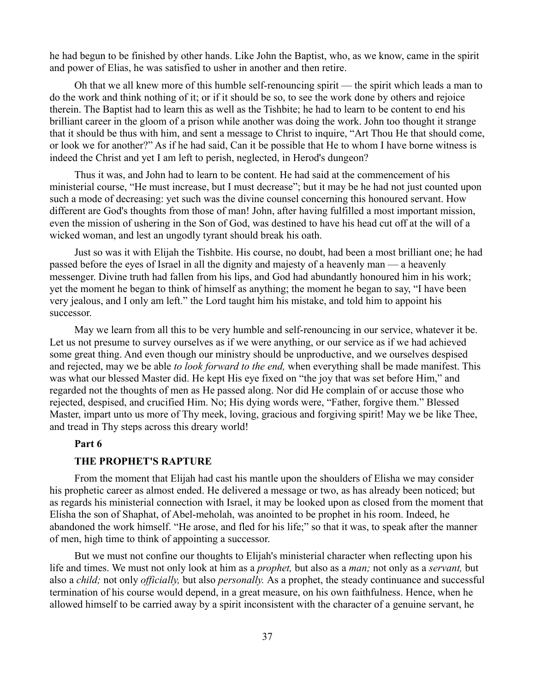he had begun to be finished by other hands. Like John the Baptist, who, as we know, came in the spirit and power of Elias, he was satisfied to usher in another and then retire.

Oh that we all knew more of this humble self-renouncing spirit — the spirit which leads a man to do the work and think nothing of it; or if it should be so, to see the work done by others and rejoice therein. The Baptist had to learn this as well as the Tishbite; he had to learn to be content to end his brilliant career in the gloom of a prison while another was doing the work. John too thought it strange that it should be thus with him, and sent a message to Christ to inquire, "Art Thou He that should come, or look we for another?" As if he had said, Can it be possible that He to whom I have borne witness is indeed the Christ and yet I am left to perish, neglected, in Herod's dungeon?

Thus it was, and John had to learn to be content. He had said at the commencement of his ministerial course, "He must increase, but I must decrease"; but it may be he had not just counted upon such a mode of decreasing: yet such was the divine counsel concerning this honoured servant. How different are God's thoughts from those of man! John, after having fulfilled a most important mission, even the mission of ushering in the Son of God, was destined to have his head cut off at the will of a wicked woman, and lest an ungodly tyrant should break his oath.

Just so was it with Elijah the Tishbite. His course, no doubt, had been a most brilliant one; he had passed before the eyes of Israel in all the dignity and majesty of a heavenly man — a heavenly messenger. Divine truth had fallen from his lips, and God had abundantly honoured him in his work; yet the moment he began to think of himself as anything; the moment he began to say, "I have been very jealous, and I only am left." the Lord taught him his mistake, and told him to appoint his successor.

May we learn from all this to be very humble and self-renouncing in our service, whatever it be. Let us not presume to survey ourselves as if we were anything, or our service as if we had achieved some great thing. And even though our ministry should be unproductive, and we ourselves despised and rejected, may we be able *to look forward to the end,* when everything shall be made manifest. This was what our blessed Master did. He kept His eye fixed on "the joy that was set before Him," and regarded not the thoughts of men as He passed along. Nor did He complain of or accuse those who rejected, despised, and crucified Him. No; His dying words were, "Father, forgive them." Blessed Master, impart unto us more of Thy meek, loving, gracious and forgiving spirit! May we be like Thee, and tread in Thy steps across this dreary world!

#### **Part 6**

## **THE PROPHET'S RAPTURE**

From the moment that Elijah had cast his mantle upon the shoulders of Elisha we may consider his prophetic career as almost ended. He delivered a message or two, as has already been noticed; but as regards his ministerial connection with Israel, it may be looked upon as closed from the moment that Elisha the son of Shaphat, of Abel-meholah, was anointed to be prophet in his room. Indeed, he abandoned the work himself. "He arose, and fled for his life;" so that it was, to speak after the manner of men, high time to think of appointing a successor.

But we must not confine our thoughts to Elijah's ministerial character when reflecting upon his life and times. We must not only look at him as a *prophet,* but also as a *man;* not only as a *servant,* but also a *child;* not only *officially,* but also *personally.* As a prophet, the steady continuance and successful termination of his course would depend, in a great measure, on his own faithfulness. Hence, when he allowed himself to be carried away by a spirit inconsistent with the character of a genuine servant, he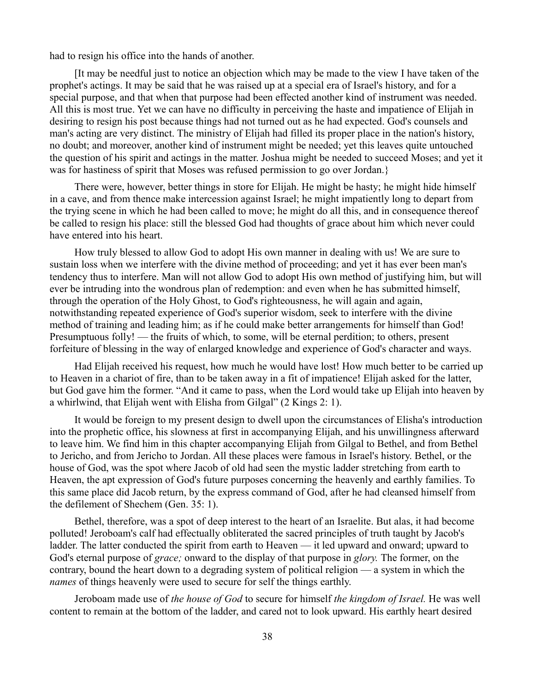had to resign his office into the hands of another.

[It may be needful just to notice an objection which may be made to the view I have taken of the prophet's actings. It may be said that he was raised up at a special era of Israel's history, and for a special purpose, and that when that purpose had been effected another kind of instrument was needed. All this is most true. Yet we can have no difficulty in perceiving the haste and impatience of Elijah in desiring to resign his post because things had not turned out as he had expected. God's counsels and man's acting are very distinct. The ministry of Elijah had filled its proper place in the nation's history, no doubt; and moreover, another kind of instrument might be needed; yet this leaves quite untouched the question of his spirit and actings in the matter. Joshua might be needed to succeed Moses; and yet it was for hastiness of spirit that Moses was refused permission to go over Jordan.}

There were, however, better things in store for Elijah. He might be hasty; he might hide himself in a cave, and from thence make intercession against Israel; he might impatiently long to depart from the trying scene in which he had been called to move; he might do all this, and in consequence thereof be called to resign his place: still the blessed God had thoughts of grace about him which never could have entered into his heart.

How truly blessed to allow God to adopt His own manner in dealing with us! We are sure to sustain loss when we interfere with the divine method of proceeding; and yet it has ever been man's tendency thus to interfere. Man will not allow God to adopt His own method of justifying him, but will ever be intruding into the wondrous plan of redemption: and even when he has submitted himself, through the operation of the Holy Ghost, to God's righteousness, he will again and again, notwithstanding repeated experience of God's superior wisdom, seek to interfere with the divine method of training and leading him; as if he could make better arrangements for himself than God! Presumptuous folly! — the fruits of which, to some, will be eternal perdition; to others, present forfeiture of blessing in the way of enlarged knowledge and experience of God's character and ways.

Had Elijah received his request, how much he would have lost! How much better to be carried up to Heaven in a chariot of fire, than to be taken away in a fit of impatience! Elijah asked for the latter, but God gave him the former. "And it came to pass, when the Lord would take up Elijah into heaven by a whirlwind, that Elijah went with Elisha from Gilgal" (2 Kings 2: 1).

It would be foreign to my present design to dwell upon the circumstances of Elisha's introduction into the prophetic office, his slowness at first in accompanying Elijah, and his unwillingness afterward to leave him. We find him in this chapter accompanying Elijah from Gilgal to Bethel, and from Bethel to Jericho, and from Jericho to Jordan. All these places were famous in Israel's history. Bethel, or the house of God, was the spot where Jacob of old had seen the mystic ladder stretching from earth to Heaven, the apt expression of God's future purposes concerning the heavenly and earthly families. To this same place did Jacob return, by the express command of God, after he had cleansed himself from the defilement of Shechem (Gen. 35: 1).

Bethel, therefore, was a spot of deep interest to the heart of an Israelite. But alas, it had become polluted! Jeroboam's calf had effectually obliterated the sacred principles of truth taught by Jacob's ladder. The latter conducted the spirit from earth to Heaven — it led upward and onward; upward to God's eternal purpose of *grace;* onward to the display of that purpose in *glory.* The former, on the contrary, bound the heart down to a degrading system of political religion — a system in which the *names* of things heavenly were used to secure for self the things earthly.

Jeroboam made use of *the house of God* to secure for himself *the kingdom of Israel.* He was well content to remain at the bottom of the ladder, and cared not to look upward. His earthly heart desired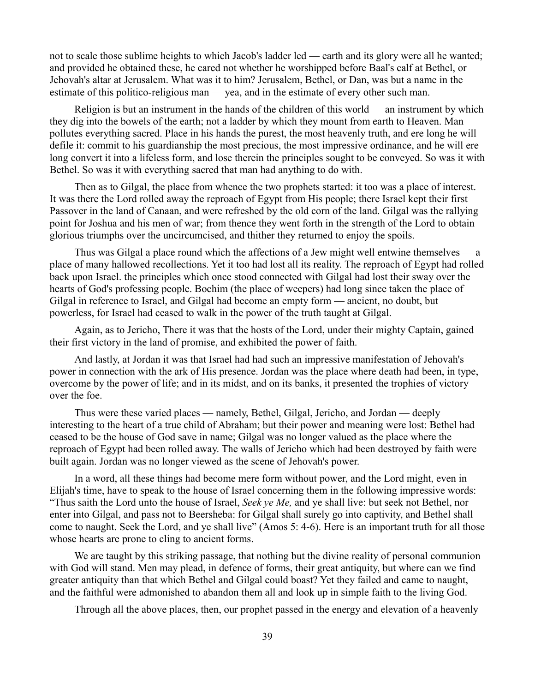not to scale those sublime heights to which Jacob's ladder led — earth and its glory were all he wanted; and provided he obtained these, he cared not whether he worshipped before Baal's calf at Bethel, or Jehovah's altar at Jerusalem. What was it to him? Jerusalem, Bethel, or Dan, was but a name in the estimate of this politico-religious man — yea, and in the estimate of every other such man.

Religion is but an instrument in the hands of the children of this world — an instrument by which they dig into the bowels of the earth; not a ladder by which they mount from earth to Heaven. Man pollutes everything sacred. Place in his hands the purest, the most heavenly truth, and ere long he will defile it: commit to his guardianship the most precious, the most impressive ordinance, and he will ere long convert it into a lifeless form, and lose therein the principles sought to be conveyed. So was it with Bethel. So was it with everything sacred that man had anything to do with.

Then as to Gilgal, the place from whence the two prophets started: it too was a place of interest. It was there the Lord rolled away the reproach of Egypt from His people; there Israel kept their first Passover in the land of Canaan, and were refreshed by the old corn of the land. Gilgal was the rallying point for Joshua and his men of war; from thence they went forth in the strength of the Lord to obtain glorious triumphs over the uncircumcised, and thither they returned to enjoy the spoils.

Thus was Gilgal a place round which the affections of a Jew might well entwine themselves — a place of many hallowed recollections. Yet it too had lost all its reality. The reproach of Egypt had rolled back upon Israel. the principles which once stood connected with Gilgal had lost their sway over the hearts of God's professing people. Bochim (the place of weepers) had long since taken the place of Gilgal in reference to Israel, and Gilgal had become an empty form — ancient, no doubt, but powerless, for Israel had ceased to walk in the power of the truth taught at Gilgal.

Again, as to Jericho, There it was that the hosts of the Lord, under their mighty Captain, gained their first victory in the land of promise, and exhibited the power of faith.

And lastly, at Jordan it was that Israel had had such an impressive manifestation of Jehovah's power in connection with the ark of His presence. Jordan was the place where death had been, in type, overcome by the power of life; and in its midst, and on its banks, it presented the trophies of victory over the foe.

Thus were these varied places — namely, Bethel, Gilgal, Jericho, and Jordan — deeply interesting to the heart of a true child of Abraham; but their power and meaning were lost: Bethel had ceased to be the house of God save in name; Gilgal was no longer valued as the place where the reproach of Egypt had been rolled away. The walls of Jericho which had been destroyed by faith were built again. Jordan was no longer viewed as the scene of Jehovah's power.

In a word, all these things had become mere form without power, and the Lord might, even in Elijah's time, have to speak to the house of Israel concerning them in the following impressive words: "Thus saith the Lord unto the house of Israel, *Seek ye Me,* and ye shall live: but seek not Bethel, nor enter into Gilgal, and pass not to Beersheba: for Gilgal shall surely go into captivity, and Bethel shall come to naught. Seek the Lord, and ye shall live" (Amos 5: 4-6). Here is an important truth for all those whose hearts are prone to cling to ancient forms.

We are taught by this striking passage, that nothing but the divine reality of personal communion with God will stand. Men may plead, in defence of forms, their great antiquity, but where can we find greater antiquity than that which Bethel and Gilgal could boast? Yet they failed and came to naught, and the faithful were admonished to abandon them all and look up in simple faith to the living God.

Through all the above places, then, our prophet passed in the energy and elevation of a heavenly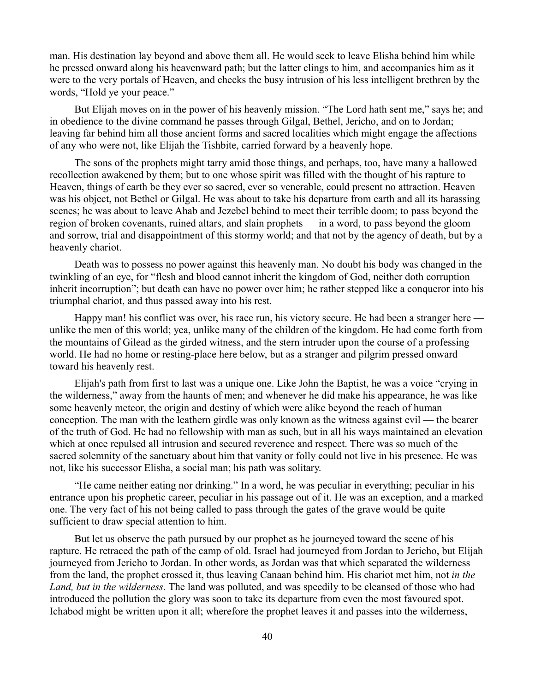man. His destination lay beyond and above them all. He would seek to leave Elisha behind him while he pressed onward along his heavenward path; but the latter clings to him, and accompanies him as it were to the very portals of Heaven, and checks the busy intrusion of his less intelligent brethren by the words, "Hold ye your peace."

But Elijah moves on in the power of his heavenly mission. "The Lord hath sent me," says he; and in obedience to the divine command he passes through Gilgal, Bethel, Jericho, and on to Jordan; leaving far behind him all those ancient forms and sacred localities which might engage the affections of any who were not, like Elijah the Tishbite, carried forward by a heavenly hope.

The sons of the prophets might tarry amid those things, and perhaps, too, have many a hallowed recollection awakened by them; but to one whose spirit was filled with the thought of his rapture to Heaven, things of earth be they ever so sacred, ever so venerable, could present no attraction. Heaven was his object, not Bethel or Gilgal. He was about to take his departure from earth and all its harassing scenes; he was about to leave Ahab and Jezebel behind to meet their terrible doom; to pass beyond the region of broken covenants, ruined altars, and slain prophets — in a word, to pass beyond the gloom and sorrow, trial and disappointment of this stormy world; and that not by the agency of death, but by a heavenly chariot.

Death was to possess no power against this heavenly man. No doubt his body was changed in the twinkling of an eye, for "flesh and blood cannot inherit the kingdom of God, neither doth corruption inherit incorruption"; but death can have no power over him; he rather stepped like a conqueror into his triumphal chariot, and thus passed away into his rest.

Happy man! his conflict was over, his race run, his victory secure. He had been a stranger here unlike the men of this world; yea, unlike many of the children of the kingdom. He had come forth from the mountains of Gilead as the girded witness, and the stern intruder upon the course of a professing world. He had no home or resting-place here below, but as a stranger and pilgrim pressed onward toward his heavenly rest.

Elijah's path from first to last was a unique one. Like John the Baptist, he was a voice "crying in the wilderness," away from the haunts of men; and whenever he did make his appearance, he was like some heavenly meteor, the origin and destiny of which were alike beyond the reach of human conception. The man with the leathern girdle was only known as the witness against evil — the bearer of the truth of God. He had no fellowship with man as such, but in all his ways maintained an elevation which at once repulsed all intrusion and secured reverence and respect. There was so much of the sacred solemnity of the sanctuary about him that vanity or folly could not live in his presence. He was not, like his successor Elisha, a social man; his path was solitary.

"He came neither eating nor drinking." In a word, he was peculiar in everything; peculiar in his entrance upon his prophetic career, peculiar in his passage out of it. He was an exception, and a marked one. The very fact of his not being called to pass through the gates of the grave would be quite sufficient to draw special attention to him.

But let us observe the path pursued by our prophet as he journeyed toward the scene of his rapture. He retraced the path of the camp of old. Israel had journeyed from Jordan to Jericho, but Elijah journeyed from Jericho to Jordan. In other words, as Jordan was that which separated the wilderness from the land, the prophet crossed it, thus leaving Canaan behind him. His chariot met him, not *in the Land, but in the wilderness.* The land was polluted, and was speedily to be cleansed of those who had introduced the pollution the glory was soon to take its departure from even the most favoured spot. Ichabod might be written upon it all; wherefore the prophet leaves it and passes into the wilderness,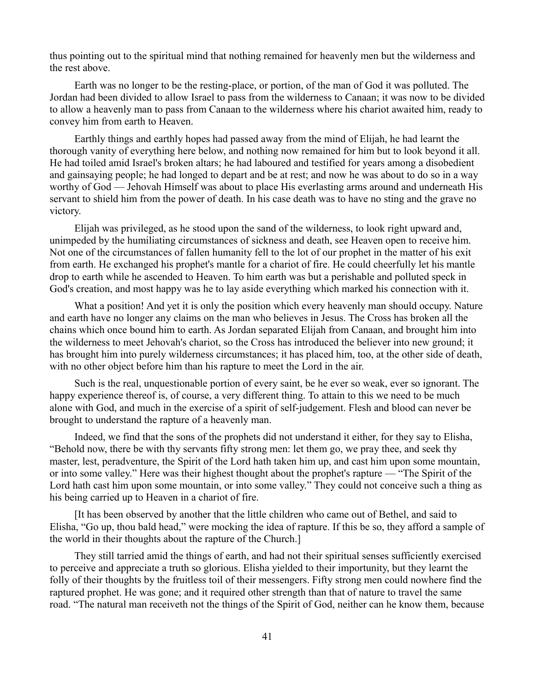thus pointing out to the spiritual mind that nothing remained for heavenly men but the wilderness and the rest above.

Earth was no longer to be the resting-place, or portion, of the man of God it was polluted. The Jordan had been divided to allow Israel to pass from the wilderness to Canaan; it was now to be divided to allow a heavenly man to pass from Canaan to the wilderness where his chariot awaited him, ready to convey him from earth to Heaven.

Earthly things and earthly hopes had passed away from the mind of Elijah, he had learnt the thorough vanity of everything here below, and nothing now remained for him but to look beyond it all. He had toiled amid Israel's broken altars; he had laboured and testified for years among a disobedient and gainsaying people; he had longed to depart and be at rest; and now he was about to do so in a way worthy of God — Jehovah Himself was about to place His everlasting arms around and underneath His servant to shield him from the power of death. In his case death was to have no sting and the grave no victory.

Elijah was privileged, as he stood upon the sand of the wilderness, to look right upward and, unimpeded by the humiliating circumstances of sickness and death, see Heaven open to receive him. Not one of the circumstances of fallen humanity fell to the lot of our prophet in the matter of his exit from earth. He exchanged his prophet's mantle for a chariot of fire. He could cheerfully let his mantle drop to earth while he ascended to Heaven. To him earth was but a perishable and polluted speck in God's creation, and most happy was he to lay aside everything which marked his connection with it.

What a position! And yet it is only the position which every heavenly man should occupy. Nature and earth have no longer any claims on the man who believes in Jesus. The Cross has broken all the chains which once bound him to earth. As Jordan separated Elijah from Canaan, and brought him into the wilderness to meet Jehovah's chariot, so the Cross has introduced the believer into new ground; it has brought him into purely wilderness circumstances; it has placed him, too, at the other side of death, with no other object before him than his rapture to meet the Lord in the air.

Such is the real, unquestionable portion of every saint, be he ever so weak, ever so ignorant. The happy experience thereof is, of course, a very different thing. To attain to this we need to be much alone with God, and much in the exercise of a spirit of self-judgement. Flesh and blood can never be brought to understand the rapture of a heavenly man.

Indeed, we find that the sons of the prophets did not understand it either, for they say to Elisha, "Behold now, there be with thy servants fifty strong men: let them go, we pray thee, and seek thy master, lest, peradventure, the Spirit of the Lord hath taken him up, and cast him upon some mountain, or into some valley." Here was their highest thought about the prophet's rapture — "The Spirit of the Lord hath cast him upon some mountain, or into some valley." They could not conceive such a thing as his being carried up to Heaven in a chariot of fire.

[It has been observed by another that the little children who came out of Bethel, and said to Elisha, "Go up, thou bald head," were mocking the idea of rapture. If this be so, they afford a sample of the world in their thoughts about the rapture of the Church.]

They still tarried amid the things of earth, and had not their spiritual senses sufficiently exercised to perceive and appreciate a truth so glorious. Elisha yielded to their importunity, but they learnt the folly of their thoughts by the fruitless toil of their messengers. Fifty strong men could nowhere find the raptured prophet. He was gone; and it required other strength than that of nature to travel the same road. "The natural man receiveth not the things of the Spirit of God, neither can he know them, because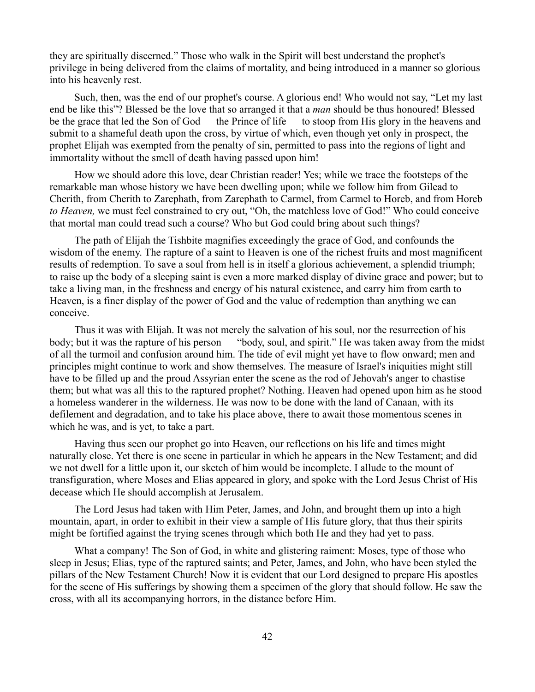they are spiritually discerned." Those who walk in the Spirit will best understand the prophet's privilege in being delivered from the claims of mortality, and being introduced in a manner so glorious into his heavenly rest.

Such, then, was the end of our prophet's course. A glorious end! Who would not say, "Let my last end be like this"? Blessed be the love that so arranged it that a *man* should be thus honoured! Blessed be the grace that led the Son of God — the Prince of life — to stoop from His glory in the heavens and submit to a shameful death upon the cross, by virtue of which, even though yet only in prospect, the prophet Elijah was exempted from the penalty of sin, permitted to pass into the regions of light and immortality without the smell of death having passed upon him!

How we should adore this love, dear Christian reader! Yes; while we trace the footsteps of the remarkable man whose history we have been dwelling upon; while we follow him from Gilead to Cherith, from Cherith to Zarephath, from Zarephath to Carmel, from Carmel to Horeb, and from Horeb *to Heaven,* we must feel constrained to cry out, "Oh, the matchless love of God!" Who could conceive that mortal man could tread such a course? Who but God could bring about such things?

The path of Elijah the Tishbite magnifies exceedingly the grace of God, and confounds the wisdom of the enemy. The rapture of a saint to Heaven is one of the richest fruits and most magnificent results of redemption. To save a soul from hell is in itself a glorious achievement, a splendid triumph; to raise up the body of a sleeping saint is even a more marked display of divine grace and power; but to take a living man, in the freshness and energy of his natural existence, and carry him from earth to Heaven, is a finer display of the power of God and the value of redemption than anything we can conceive.

Thus it was with Elijah. It was not merely the salvation of his soul, nor the resurrection of his body; but it was the rapture of his person — "body, soul, and spirit." He was taken away from the midst of all the turmoil and confusion around him. The tide of evil might yet have to flow onward; men and principles might continue to work and show themselves. The measure of Israel's iniquities might still have to be filled up and the proud Assyrian enter the scene as the rod of Jehovah's anger to chastise them; but what was all this to the raptured prophet? Nothing. Heaven had opened upon him as he stood a homeless wanderer in the wilderness. He was now to be done with the land of Canaan, with its defilement and degradation, and to take his place above, there to await those momentous scenes in which he was, and is yet, to take a part.

Having thus seen our prophet go into Heaven, our reflections on his life and times might naturally close. Yet there is one scene in particular in which he appears in the New Testament; and did we not dwell for a little upon it, our sketch of him would be incomplete. I allude to the mount of transfiguration, where Moses and Elias appeared in glory, and spoke with the Lord Jesus Christ of His decease which He should accomplish at Jerusalem.

The Lord Jesus had taken with Him Peter, James, and John, and brought them up into a high mountain, apart, in order to exhibit in their view a sample of His future glory, that thus their spirits might be fortified against the trying scenes through which both He and they had yet to pass.

What a company! The Son of God, in white and glistering raiment: Moses, type of those who sleep in Jesus; Elias, type of the raptured saints; and Peter, James, and John, who have been styled the pillars of the New Testament Church! Now it is evident that our Lord designed to prepare His apostles for the scene of His sufferings by showing them a specimen of the glory that should follow. He saw the cross, with all its accompanying horrors, in the distance before Him.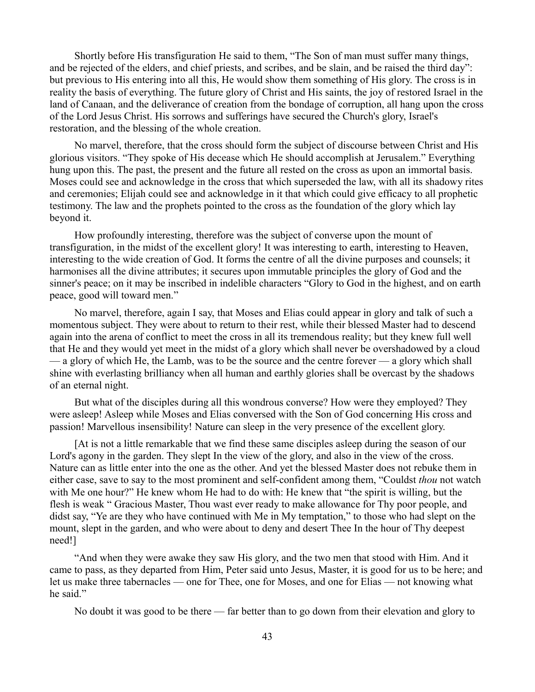Shortly before His transfiguration He said to them, "The Son of man must suffer many things, and be rejected of the elders, and chief priests, and scribes, and be slain, and be raised the third day": but previous to His entering into all this, He would show them something of His glory. The cross is in reality the basis of everything. The future glory of Christ and His saints, the joy of restored Israel in the land of Canaan, and the deliverance of creation from the bondage of corruption, all hang upon the cross of the Lord Jesus Christ. His sorrows and sufferings have secured the Church's glory, Israel's restoration, and the blessing of the whole creation.

No marvel, therefore, that the cross should form the subject of discourse between Christ and His glorious visitors. "They spoke of His decease which He should accomplish at Jerusalem." Everything hung upon this. The past, the present and the future all rested on the cross as upon an immortal basis. Moses could see and acknowledge in the cross that which superseded the law, with all its shadowy rites and ceremonies; Elijah could see and acknowledge in it that which could give efficacy to all prophetic testimony. The law and the prophets pointed to the cross as the foundation of the glory which lay beyond it.

How profoundly interesting, therefore was the subject of converse upon the mount of transfiguration, in the midst of the excellent glory! It was interesting to earth, interesting to Heaven, interesting to the wide creation of God. It forms the centre of all the divine purposes and counsels; it harmonises all the divine attributes; it secures upon immutable principles the glory of God and the sinner's peace; on it may be inscribed in indelible characters "Glory to God in the highest, and on earth peace, good will toward men."

No marvel, therefore, again I say, that Moses and Elias could appear in glory and talk of such a momentous subject. They were about to return to their rest, while their blessed Master had to descend again into the arena of conflict to meet the cross in all its tremendous reality; but they knew full well that He and they would yet meet in the midst of a glory which shall never be overshadowed by a cloud — a glory of which He, the Lamb, was to be the source and the centre forever — a glory which shall shine with everlasting brilliancy when all human and earthly glories shall be overcast by the shadows of an eternal night.

But what of the disciples during all this wondrous converse? How were they employed? They were asleep! Asleep while Moses and Elias conversed with the Son of God concerning His cross and passion! Marvellous insensibility! Nature can sleep in the very presence of the excellent glory.

[At is not a little remarkable that we find these same disciples asleep during the season of our Lord's agony in the garden. They slept In the view of the glory, and also in the view of the cross. Nature can as little enter into the one as the other. And yet the blessed Master does not rebuke them in either case, save to say to the most prominent and self-confident among them, "Couldst *thou* not watch with Me one hour?" He knew whom He had to do with: He knew that "the spirit is willing, but the flesh is weak " Gracious Master, Thou wast ever ready to make allowance for Thy poor people, and didst say, "Ye are they who have continued with Me in My temptation," to those who had slept on the mount, slept in the garden, and who were about to deny and desert Thee In the hour of Thy deepest need!]

"And when they were awake they saw His glory, and the two men that stood with Him. And it came to pass, as they departed from Him, Peter said unto Jesus, Master, it is good for us to be here; and let us make three tabernacles — one for Thee, one for Moses, and one for Elias — not knowing what he said."

No doubt it was good to be there — far better than to go down from their elevation and glory to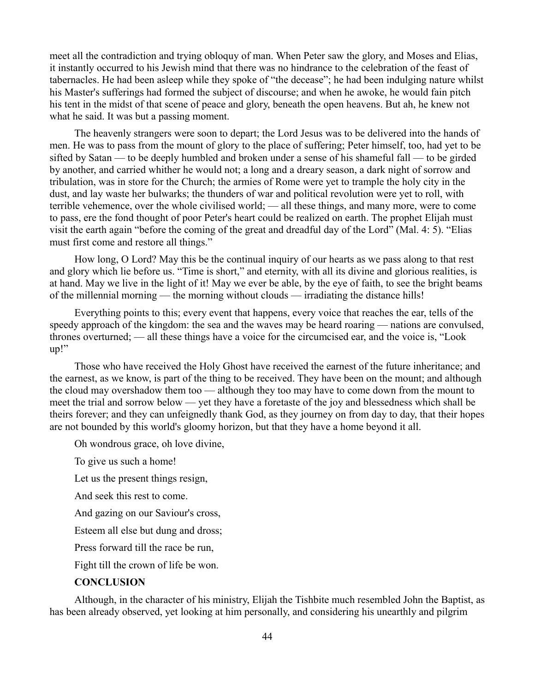meet all the contradiction and trying obloquy of man. When Peter saw the glory, and Moses and Elias, it instantly occurred to his Jewish mind that there was no hindrance to the celebration of the feast of tabernacles. He had been asleep while they spoke of "the decease"; he had been indulging nature whilst his Master's sufferings had formed the subject of discourse; and when he awoke, he would fain pitch his tent in the midst of that scene of peace and glory, beneath the open heavens. But ah, he knew not what he said. It was but a passing moment.

The heavenly strangers were soon to depart; the Lord Jesus was to be delivered into the hands of men. He was to pass from the mount of glory to the place of suffering; Peter himself, too, had yet to be sifted by Satan — to be deeply humbled and broken under a sense of his shameful fall — to be girded by another, and carried whither he would not; a long and a dreary season, a dark night of sorrow and tribulation, was in store for the Church; the armies of Rome were yet to trample the holy city in the dust, and lay waste her bulwarks; the thunders of war and political revolution were yet to roll, with terrible vehemence, over the whole civilised world; — all these things, and many more, were to come to pass, ere the fond thought of poor Peter's heart could be realized on earth. The prophet Elijah must visit the earth again "before the coming of the great and dreadful day of the Lord" (Mal. 4: 5). "Elias must first come and restore all things."

How long, O Lord? May this be the continual inquiry of our hearts as we pass along to that rest and glory which lie before us. "Time is short," and eternity, with all its divine and glorious realities, is at hand. May we live in the light of it! May we ever be able, by the eye of faith, to see the bright beams of the millennial morning — the morning without clouds — irradiating the distance hills!

Everything points to this; every event that happens, every voice that reaches the ear, tells of the speedy approach of the kingdom: the sea and the waves may be heard roaring — nations are convulsed, thrones overturned; — all these things have a voice for the circumcised ear, and the voice is, "Look up!"

Those who have received the Holy Ghost have received the earnest of the future inheritance; and the earnest, as we know, is part of the thing to be received. They have been on the mount; and although the cloud may overshadow them too — although they too may have to come down from the mount to meet the trial and sorrow below — yet they have a foretaste of the joy and blessedness which shall be theirs forever; and they can unfeignedly thank God, as they journey on from day to day, that their hopes are not bounded by this world's gloomy horizon, but that they have a home beyond it all.

Oh wondrous grace, oh love divine,

To give us such a home!

Let us the present things resign,

And seek this rest to come.

And gazing on our Saviour's cross,

Esteem all else but dung and dross;

Press forward till the race be run,

Fight till the crown of life be won.

### **CONCLUSION**

Although, in the character of his ministry, Elijah the Tishbite much resembled John the Baptist, as has been already observed, yet looking at him personally, and considering his unearthly and pilgrim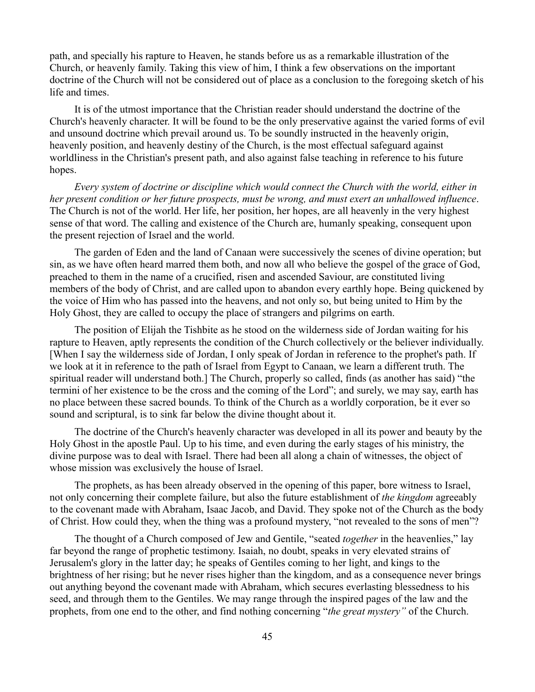path, and specially his rapture to Heaven, he stands before us as a remarkable illustration of the Church, or heavenly family. Taking this view of him, I think a few observations on the important doctrine of the Church will not be considered out of place as a conclusion to the foregoing sketch of his life and times.

It is of the utmost importance that the Christian reader should understand the doctrine of the Church's heavenly character. It will be found to be the only preservative against the varied forms of evil and unsound doctrine which prevail around us. To be soundly instructed in the heavenly origin, heavenly position, and heavenly destiny of the Church, is the most effectual safeguard against worldliness in the Christian's present path, and also against false teaching in reference to his future hopes.

*Every system of doctrine or discipline which would connect the Church with the world, either in her present condition or her future prospects, must be wrong, and must exert an unhallowed influence*. The Church is not of the world. Her life, her position, her hopes, are all heavenly in the very highest sense of that word. The calling and existence of the Church are, humanly speaking, consequent upon the present rejection of Israel and the world.

The garden of Eden and the land of Canaan were successively the scenes of divine operation; but sin, as we have often heard marred them both, and now all who believe the gospel of the grace of God, preached to them in the name of a crucified, risen and ascended Saviour, are constituted living members of the body of Christ, and are called upon to abandon every earthly hope. Being quickened by the voice of Him who has passed into the heavens, and not only so, but being united to Him by the Holy Ghost, they are called to occupy the place of strangers and pilgrims on earth.

The position of Elijah the Tishbite as he stood on the wilderness side of Jordan waiting for his rapture to Heaven, aptly represents the condition of the Church collectively or the believer individually. [When I say the wilderness side of Jordan, I only speak of Jordan in reference to the prophet's path. If we look at it in reference to the path of Israel from Egypt to Canaan, we learn a different truth. The spiritual reader will understand both.] The Church, properly so called, finds (as another has said) "the termini of her existence to be the cross and the coming of the Lord"; and surely, we may say, earth has no place between these sacred bounds. To think of the Church as a worldly corporation, be it ever so sound and scriptural, is to sink far below the divine thought about it.

The doctrine of the Church's heavenly character was developed in all its power and beauty by the Holy Ghost in the apostle Paul. Up to his time, and even during the early stages of his ministry, the divine purpose was to deal with Israel. There had been all along a chain of witnesses, the object of whose mission was exclusively the house of Israel.

The prophets, as has been already observed in the opening of this paper, bore witness to Israel, not only concerning their complete failure, but also the future establishment of *the kingdom* agreeably to the covenant made with Abraham, Isaac Jacob, and David. They spoke not of the Church as the body of Christ. How could they, when the thing was a profound mystery, "not revealed to the sons of men"?

The thought of a Church composed of Jew and Gentile, "seated *together* in the heavenlies," lay far beyond the range of prophetic testimony. Isaiah, no doubt, speaks in very elevated strains of Jerusalem's glory in the latter day; he speaks of Gentiles coming to her light, and kings to the brightness of her rising; but he never rises higher than the kingdom, and as a consequence never brings out anything beyond the covenant made with Abraham, which secures everlasting blessedness to his seed, and through them to the Gentiles. We may range through the inspired pages of the law and the prophets, from one end to the other, and find nothing concerning "*the great mystery"* of the Church.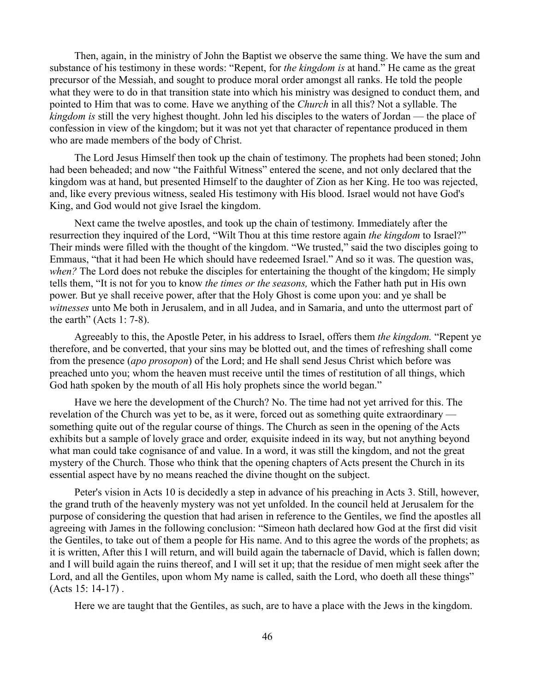Then, again, in the ministry of John the Baptist we observe the same thing. We have the sum and substance of his testimony in these words: "Repent, for *the kingdom is* at hand." He came as the great precursor of the Messiah, and sought to produce moral order amongst all ranks. He told the people what they were to do in that transition state into which his ministry was designed to conduct them, and pointed to Him that was to come. Have we anything of the *Church* in all this? Not a syllable. The *kingdom is* still the very highest thought. John led his disciples to the waters of Jordan — the place of confession in view of the kingdom; but it was not yet that character of repentance produced in them who are made members of the body of Christ.

The Lord Jesus Himself then took up the chain of testimony. The prophets had been stoned; John had been beheaded; and now "the Faithful Witness" entered the scene, and not only declared that the kingdom was at hand, but presented Himself to the daughter of Zion as her King. He too was rejected, and, like every previous witness, sealed His testimony with His blood. Israel would not have God's King, and God would not give Israel the kingdom.

Next came the twelve apostles, and took up the chain of testimony. Immediately after the resurrection they inquired of the Lord, "Wilt Thou at this time restore again *the kingdom* to Israel?" Their minds were filled with the thought of the kingdom. "We trusted," said the two disciples going to Emmaus, "that it had been He which should have redeemed Israel." And so it was. The question was, *when?* The Lord does not rebuke the disciples for entertaining the thought of the kingdom; He simply tells them, "It is not for you to know *the times or the seasons,* which the Father hath put in His own power. But ye shall receive power, after that the Holy Ghost is come upon you: and ye shall be *witnesses* unto Me both in Jerusalem, and in all Judea, and in Samaria, and unto the uttermost part of the earth" (Acts  $1: 7-8$ ).

Agreeably to this, the Apostle Peter, in his address to Israel, offers them *the kingdom.* "Repent ye therefore, and be converted, that your sins may be blotted out, and the times of refreshing shall come from the presence (*apo prosopon*) of the Lord; and He shall send Jesus Christ which before was preached unto you; whom the heaven must receive until the times of restitution of all things, which God hath spoken by the mouth of all His holy prophets since the world began."

Have we here the development of the Church? No. The time had not yet arrived for this. The revelation of the Church was yet to be, as it were, forced out as something quite extraordinary something quite out of the regular course of things. The Church as seen in the opening of the Acts exhibits but a sample of lovely grace and order*,* exquisite indeed in its way, but not anything beyond what man could take cognisance of and value. In a word, it was still the kingdom, and not the great mystery of the Church. Those who think that the opening chapters of Acts present the Church in its essential aspect have by no means reached the divine thought on the subject.

Peter's vision in Acts 10 is decidedly a step in advance of his preaching in Acts 3. Still, however, the grand truth of the heavenly mystery was not yet unfolded. In the council held at Jerusalem for the purpose of considering the question that had arisen in reference to the Gentiles, we find the apostles all agreeing with James in the following conclusion: "Simeon hath declared how God at the first did visit the Gentiles, to take out of them a people for His name. And to this agree the words of the prophets; as it is written, After this I will return, and will build again the tabernacle of David, which is fallen down; and I will build again the ruins thereof, and I will set it up; that the residue of men might seek after the Lord, and all the Gentiles, upon whom My name is called, saith the Lord, who doeth all these things" (Acts 15: 14-17) .

Here we are taught that the Gentiles, as such, are to have a place with the Jews in the kingdom.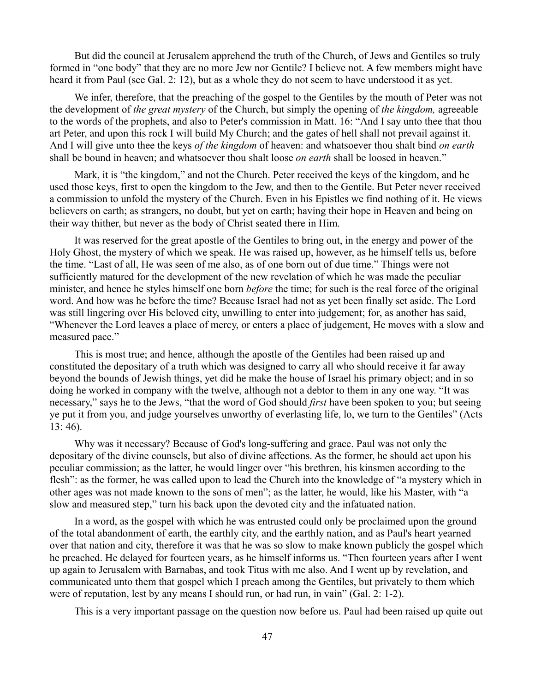But did the council at Jerusalem apprehend the truth of the Church, of Jews and Gentiles so truly formed in "one body" that they are no more Jew nor Gentile? I believe not. A few members might have heard it from Paul (see Gal. 2: 12), but as a whole they do not seem to have understood it as yet.

We infer, therefore, that the preaching of the gospel to the Gentiles by the mouth of Peter was not the development of *the great mystery* of the Church, but simply the opening of *the kingdom,* agreeable to the words of the prophets, and also to Peter's commission in Matt. 16: "And I say unto thee that thou art Peter, and upon this rock I will build My Church; and the gates of hell shall not prevail against it. And I will give unto thee the keys *of the kingdom* of heaven: and whatsoever thou shalt bind *on earth* shall be bound in heaven; and whatsoever thou shalt loose *on earth* shall be loosed in heaven."

Mark, it is "the kingdom," and not the Church. Peter received the keys of the kingdom, and he used those keys, first to open the kingdom to the Jew, and then to the Gentile. But Peter never received a commission to unfold the mystery of the Church. Even in his Epistles we find nothing of it. He views believers on earth; as strangers, no doubt, but yet on earth; having their hope in Heaven and being on their way thither, but never as the body of Christ seated there in Him.

It was reserved for the great apostle of the Gentiles to bring out, in the energy and power of the Holy Ghost, the mystery of which we speak. He was raised up, however, as he himself tells us, before the time. "Last of all, He was seen of me also, as of one born out of due time." Things were not sufficiently matured for the development of the new revelation of which he was made the peculiar minister, and hence he styles himself one born *before* the time; for such is the real force of the original word. And how was he before the time? Because Israel had not as yet been finally set aside. The Lord was still lingering over His beloved city, unwilling to enter into judgement; for, as another has said, "Whenever the Lord leaves a place of mercy, or enters a place of judgement, He moves with a slow and measured pace."

This is most true; and hence, although the apostle of the Gentiles had been raised up and constituted the depositary of a truth which was designed to carry all who should receive it far away beyond the bounds of Jewish things, yet did he make the house of Israel his primary object; and in so doing he worked in company with the twelve, although not a debtor to them in any one way. "It was necessary," says he to the Jews, "that the word of God should *first* have been spoken to you; but seeing ye put it from you, and judge yourselves unworthy of everlasting life, lo, we turn to the Gentiles" (Acts 13: 46).

Why was it necessary? Because of God's long-suffering and grace. Paul was not only the depositary of the divine counsels, but also of divine affections. As the former, he should act upon his peculiar commission; as the latter, he would linger over "his brethren, his kinsmen according to the flesh": as the former, he was called upon to lead the Church into the knowledge of "a mystery which in other ages was not made known to the sons of men"; as the latter, he would, like his Master, with "a slow and measured step," turn his back upon the devoted city and the infatuated nation.

In a word, as the gospel with which he was entrusted could only be proclaimed upon the ground of the total abandonment of earth, the earthly city, and the earthly nation, and as Paul's heart yearned over that nation and city, therefore it was that he was so slow to make known publicly the gospel which he preached. He delayed for fourteen years, as he himself informs us. "Then fourteen years after I went up again to Jerusalem with Barnabas, and took Titus with me also. And I went up by revelation, and communicated unto them that gospel which I preach among the Gentiles, but privately to them which were of reputation, lest by any means I should run, or had run, in vain" (Gal. 2: 1-2).

This is a very important passage on the question now before us. Paul had been raised up quite out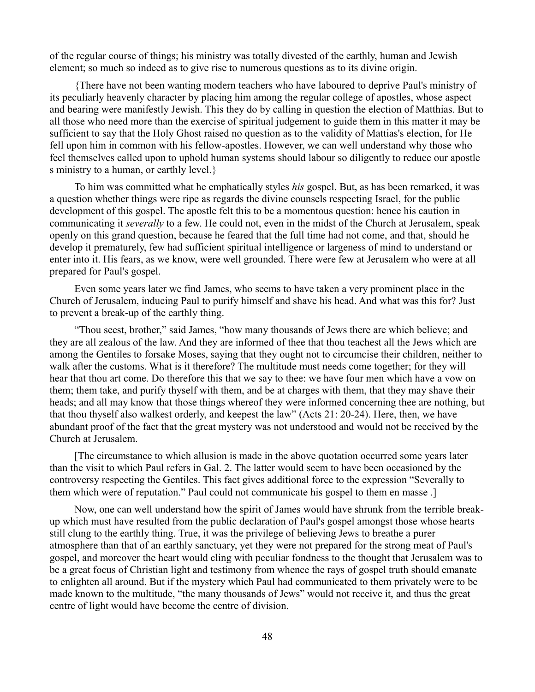of the regular course of things; his ministry was totally divested of the earthly, human and Jewish element; so much so indeed as to give rise to numerous questions as to its divine origin.

{There have not been wanting modern teachers who have laboured to deprive Paul's ministry of its peculiarly heavenly character by placing him among the regular college of apostles, whose aspect and bearing were manifestly Jewish. This they do by calling in question the election of Matthias. But to all those who need more than the exercise of spiritual judgement to guide them in this matter it may be sufficient to say that the Holy Ghost raised no question as to the validity of Mattias's election, for He fell upon him in common with his fellow-apostles. However, we can well understand why those who feel themselves called upon to uphold human systems should labour so diligently to reduce our apostle s ministry to a human, or earthly level.}

To him was committed what he emphatically styles *his* gospel. But, as has been remarked, it was a question whether things were ripe as regards the divine counsels respecting Israel, for the public development of this gospel. The apostle felt this to be a momentous question: hence his caution in communicating it *severally* to a few. He could not, even in the midst of the Church at Jerusalem, speak openly on this grand question, because he feared that the full time had not come, and that, should he develop it prematurely, few had sufficient spiritual intelligence or largeness of mind to understand or enter into it. His fears, as we know, were well grounded. There were few at Jerusalem who were at all prepared for Paul's gospel.

Even some years later we find James, who seems to have taken a very prominent place in the Church of Jerusalem, inducing Paul to purify himself and shave his head. And what was this for? Just to prevent a break-up of the earthly thing.

"Thou seest, brother," said James, "how many thousands of Jews there are which believe; and they are all zealous of the law. And they are informed of thee that thou teachest all the Jews which are among the Gentiles to forsake Moses, saying that they ought not to circumcise their children, neither to walk after the customs. What is it therefore? The multitude must needs come together; for they will hear that thou art come. Do therefore this that we say to thee: we have four men which have a vow on them; them take, and purify thyself with them, and be at charges with them, that they may shave their heads; and all may know that those things whereof they were informed concerning thee are nothing, but that thou thyself also walkest orderly, and keepest the law" (Acts 21: 20-24). Here, then, we have abundant proof of the fact that the great mystery was not understood and would not be received by the Church at Jerusalem.

[The circumstance to which allusion is made in the above quotation occurred some years later than the visit to which Paul refers in Gal. 2. The latter would seem to have been occasioned by the controversy respecting the Gentiles. This fact gives additional force to the expression "Severally to them which were of reputation." Paul could not communicate his gospel to them en masse .]

Now, one can well understand how the spirit of James would have shrunk from the terrible breakup which must have resulted from the public declaration of Paul's gospel amongst those whose hearts still clung to the earthly thing. True, it was the privilege of believing Jews to breathe a purer atmosphere than that of an earthly sanctuary, yet they were not prepared for the strong meat of Paul's gospel, and moreover the heart would cling with peculiar fondness to the thought that Jerusalem was to be a great focus of Christian light and testimony from whence the rays of gospel truth should emanate to enlighten all around. But if the mystery which Paul had communicated to them privately were to be made known to the multitude, "the many thousands of Jews" would not receive it, and thus the great centre of light would have become the centre of division.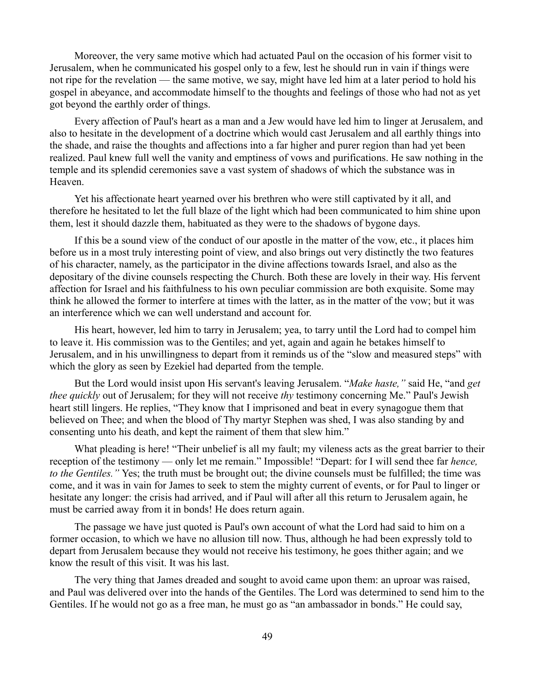Moreover, the very same motive which had actuated Paul on the occasion of his former visit to Jerusalem, when he communicated his gospel only to a few, lest he should run in vain if things were not ripe for the revelation — the same motive, we say, might have led him at a later period to hold his gospel in abeyance, and accommodate himself to the thoughts and feelings of those who had not as yet got beyond the earthly order of things.

Every affection of Paul's heart as a man and a Jew would have led him to linger at Jerusalem, and also to hesitate in the development of a doctrine which would cast Jerusalem and all earthly things into the shade, and raise the thoughts and affections into a far higher and purer region than had yet been realized. Paul knew full well the vanity and emptiness of vows and purifications. He saw nothing in the temple and its splendid ceremonies save a vast system of shadows of which the substance was in Heaven.

Yet his affectionate heart yearned over his brethren who were still captivated by it all, and therefore he hesitated to let the full blaze of the light which had been communicated to him shine upon them, lest it should dazzle them, habituated as they were to the shadows of bygone days.

If this be a sound view of the conduct of our apostle in the matter of the vow, etc., it places him before us in a most truly interesting point of view, and also brings out very distinctly the two features of his character, namely, as the participator in the divine affections towards Israel, and also as the depositary of the divine counsels respecting the Church. Both these are lovely in their way. His fervent affection for Israel and his faithfulness to his own peculiar commission are both exquisite. Some may think he allowed the former to interfere at times with the latter, as in the matter of the vow; but it was an interference which we can well understand and account for.

His heart, however, led him to tarry in Jerusalem; yea, to tarry until the Lord had to compel him to leave it. His commission was to the Gentiles; and yet, again and again he betakes himself to Jerusalem, and in his unwillingness to depart from it reminds us of the "slow and measured steps" with which the glory as seen by Ezekiel had departed from the temple.

But the Lord would insist upon His servant's leaving Jerusalem. "*Make haste,"* said He, "and *get thee quickly* out of Jerusalem; for they will not receive *thy* testimony concerning Me." Paul's Jewish heart still lingers. He replies, "They know that I imprisoned and beat in every synagogue them that believed on Thee; and when the blood of Thy martyr Stephen was shed, I was also standing by and consenting unto his death, and kept the raiment of them that slew him."

What pleading is here! "Their unbelief is all my fault; my vileness acts as the great barrier to their reception of the testimony — only let me remain." Impossible! "Depart: for I will send thee far *hence, to the Gentiles."* Yes; the truth must be brought out; the divine counsels must be fulfilled; the time was come, and it was in vain for James to seek to stem the mighty current of events, or for Paul to linger or hesitate any longer: the crisis had arrived, and if Paul will after all this return to Jerusalem again, he must be carried away from it in bonds! He does return again.

The passage we have just quoted is Paul's own account of what the Lord had said to him on a former occasion, to which we have no allusion till now. Thus, although he had been expressly told to depart from Jerusalem because they would not receive his testimony, he goes thither again; and we know the result of this visit. It was his last.

The very thing that James dreaded and sought to avoid came upon them: an uproar was raised, and Paul was delivered over into the hands of the Gentiles. The Lord was determined to send him to the Gentiles. If he would not go as a free man, he must go as "an ambassador in bonds." He could say,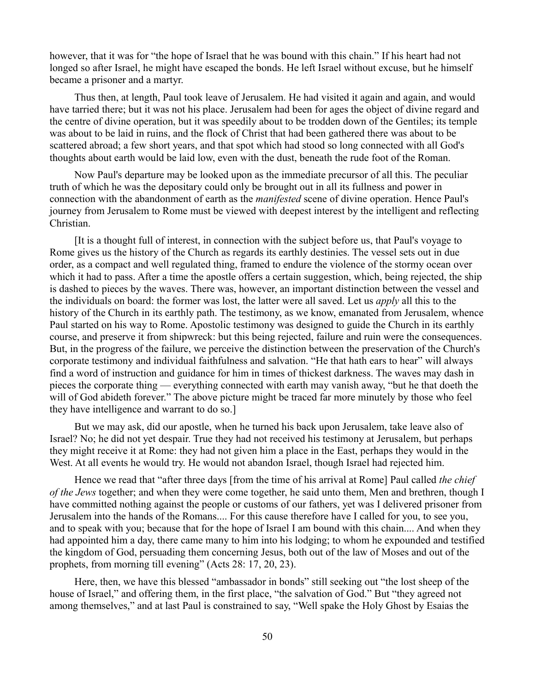however, that it was for "the hope of Israel that he was bound with this chain." If his heart had not longed so after Israel, he might have escaped the bonds. He left Israel without excuse, but he himself became a prisoner and a martyr.

Thus then, at length, Paul took leave of Jerusalem. He had visited it again and again, and would have tarried there; but it was not his place. Jerusalem had been for ages the object of divine regard and the centre of divine operation, but it was speedily about to be trodden down of the Gentiles; its temple was about to be laid in ruins, and the flock of Christ that had been gathered there was about to be scattered abroad; a few short years, and that spot which had stood so long connected with all God's thoughts about earth would be laid low, even with the dust, beneath the rude foot of the Roman.

Now Paul's departure may be looked upon as the immediate precursor of all this. The peculiar truth of which he was the depositary could only be brought out in all its fullness and power in connection with the abandonment of earth as the *manifested* scene of divine operation. Hence Paul's journey from Jerusalem to Rome must be viewed with deepest interest by the intelligent and reflecting Christian.

[It is a thought full of interest, in connection with the subject before us, that Paul's voyage to Rome gives us the history of the Church as regards its earthly destinies. The vessel sets out in due order, as a compact and well regulated thing, framed to endure the violence of the stormy ocean over which it had to pass. After a time the apostle offers a certain suggestion, which, being rejected, the ship is dashed to pieces by the waves. There was, however, an important distinction between the vessel and the individuals on board: the former was lost, the latter were all saved. Let us *apply* all this to the history of the Church in its earthly path. The testimony, as we know, emanated from Jerusalem, whence Paul started on his way to Rome. Apostolic testimony was designed to guide the Church in its earthly course, and preserve it from shipwreck: but this being rejected, failure and ruin were the consequences. But, in the progress of the failure, we perceive the distinction between the preservation of the Church's corporate testimony and individual faithfulness and salvation. "He that hath ears to hear" will always find a word of instruction and guidance for him in times of thickest darkness. The waves may dash in pieces the corporate thing — everything connected with earth may vanish away, "but he that doeth the will of God abideth forever." The above picture might be traced far more minutely by those who feel they have intelligence and warrant to do so.]

But we may ask, did our apostle, when he turned his back upon Jerusalem, take leave also of Israel? No; he did not yet despair. True they had not received his testimony at Jerusalem, but perhaps they might receive it at Rome: they had not given him a place in the East, perhaps they would in the West. At all events he would try. He would not abandon Israel, though Israel had rejected him.

Hence we read that "after three days [from the time of his arrival at Rome] Paul called *the chief of the Jews* together; and when they were come together, he said unto them, Men and brethren, though I have committed nothing against the people or customs of our fathers, yet was I delivered prisoner from Jerusalem into the hands of the Romans.... For this cause therefore have I called for you, to see you, and to speak with you; because that for the hope of Israel I am bound with this chain.... And when they had appointed him a day, there came many to him into his lodging; to whom he expounded and testified the kingdom of God, persuading them concerning Jesus, both out of the law of Moses and out of the prophets, from morning till evening" (Acts 28: 17, 20, 23).

Here, then, we have this blessed "ambassador in bonds" still seeking out "the lost sheep of the house of Israel," and offering them, in the first place, "the salvation of God." But "they agreed not among themselves," and at last Paul is constrained to say, "Well spake the Holy Ghost by Esaias the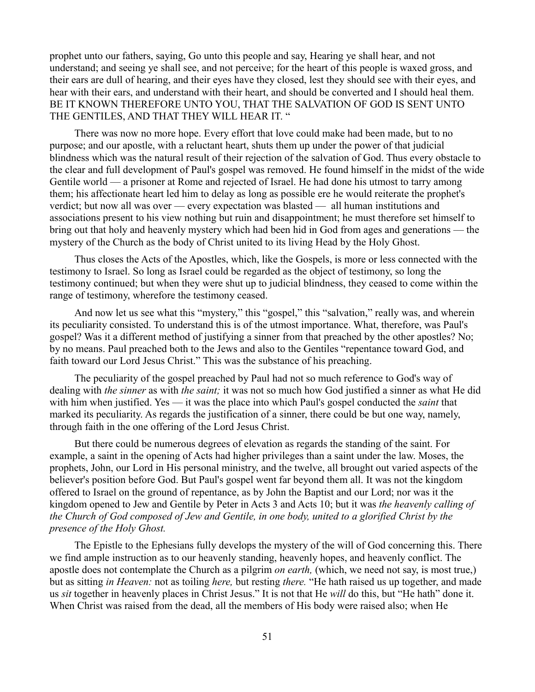prophet unto our fathers, saying, Go unto this people and say, Hearing ye shall hear, and not understand; and seeing ye shall see, and not perceive; for the heart of this people is waxed gross, and their ears are dull of hearing, and their eyes have they closed, lest they should see with their eyes, and hear with their ears, and understand with their heart, and should be converted and I should heal them. BE IT KNOWN THEREFORE UNTO YOU, THAT THE SALVATION OF GOD IS SENT UNTO THE GENTILES, AND THAT THEY WILL HEAR IT. "

There was now no more hope. Every effort that love could make had been made, but to no purpose; and our apostle, with a reluctant heart, shuts them up under the power of that judicial blindness which was the natural result of their rejection of the salvation of God. Thus every obstacle to the clear and full development of Paul's gospel was removed. He found himself in the midst of the wide Gentile world — a prisoner at Rome and rejected of Israel. He had done his utmost to tarry among them; his affectionate heart led him to delay as long as possible ere he would reiterate the prophet's verdict; but now all was over — every expectation was blasted — all human institutions and associations present to his view nothing but ruin and disappointment; he must therefore set himself to bring out that holy and heavenly mystery which had been hid in God from ages and generations — the mystery of the Church as the body of Christ united to its living Head by the Holy Ghost.

Thus closes the Acts of the Apostles, which, like the Gospels, is more or less connected with the testimony to Israel. So long as Israel could be regarded as the object of testimony, so long the testimony continued; but when they were shut up to judicial blindness, they ceased to come within the range of testimony, wherefore the testimony ceased.

And now let us see what this "mystery," this "gospel," this "salvation," really was, and wherein its peculiarity consisted. To understand this is of the utmost importance. What, therefore, was Paul's gospel? Was it a different method of justifying a sinner from that preached by the other apostles? No; by no means. Paul preached both to the Jews and also to the Gentiles "repentance toward God, and faith toward our Lord Jesus Christ." This was the substance of his preaching.

The peculiarity of the gospel preached by Paul had not so much reference to God's way of dealing with *the sinner* as with *the saint;* it was not so much how God justified a sinner as what He did with him when justified. Yes — it was the place into which Paul's gospel conducted the *saint* that marked its peculiarity. As regards the justification of a sinner, there could be but one way, namely, through faith in the one offering of the Lord Jesus Christ.

But there could be numerous degrees of elevation as regards the standing of the saint. For example, a saint in the opening of Acts had higher privileges than a saint under the law. Moses, the prophets, John, our Lord in His personal ministry, and the twelve, all brought out varied aspects of the believer's position before God. But Paul's gospel went far beyond them all. It was not the kingdom offered to Israel on the ground of repentance, as by John the Baptist and our Lord; nor was it the kingdom opened to Jew and Gentile by Peter in Acts 3 and Acts 10; but it was *the heavenly calling of the Church of God composed of Jew and Gentile, in one body, united to a glorified Christ by the presence of the Holy Ghost.*

The Epistle to the Ephesians fully develops the mystery of the will of God concerning this. There we find ample instruction as to our heavenly standing, heavenly hopes, and heavenly conflict. The apostle does not contemplate the Church as a pilgrim *on earth,* (which, we need not say, is most true,) but as sitting *in Heaven:* not as toiling *here,* but resting *there.* "He hath raised us up together, and made us *sit* together in heavenly places in Christ Jesus." It is not that He *will* do this, but "He hath" done it. When Christ was raised from the dead, all the members of His body were raised also; when He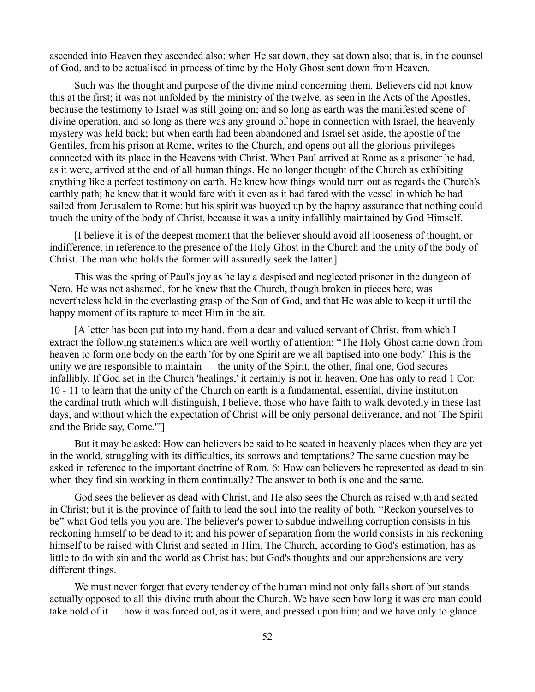ascended into Heaven they ascended also; when He sat down, they sat down also; that is, in the counsel of God, and to be actualised in process of time by the Holy Ghost sent down from Heaven.

Such was the thought and purpose of the divine mind concerning them. Believers did not know this at the first; it was not unfolded by the ministry of the twelve, as seen in the Acts of the Apostles, because the testimony to Israel was still going on; and so long as earth was the manifested scene of divine operation, and so long as there was any ground of hope in connection with Israel, the heavenly mystery was held back; but when earth had been abandoned and Israel set aside, the apostle of the Gentiles, from his prison at Rome, writes to the Church, and opens out all the glorious privileges connected with its place in the Heavens with Christ. When Paul arrived at Rome as a prisoner he had, as it were, arrived at the end of all human things. He no longer thought of the Church as exhibiting anything like a perfect testimony on earth. He knew how things would turn out as regards the Church's earthly path; he knew that it would fare with it even as it had fared with the vessel in which he had sailed from Jerusalem to Rome; but his spirit was buoyed up by the happy assurance that nothing could touch the unity of the body of Christ, because it was a unity infallibly maintained by God Himself.

[I believe it is of the deepest moment that the believer should avoid all looseness of thought, or indifference, in reference to the presence of the Holy Ghost in the Church and the unity of the body of Christ. The man who holds the former will assuredly seek the latter.]

This was the spring of Paul's joy as he lay a despised and neglected prisoner in the dungeon of Nero. He was not ashamed, for he knew that the Church, though broken in pieces here, was nevertheless held in the everlasting grasp of the Son of God, and that He was able to keep it until the happy moment of its rapture to meet Him in the air.

[A letter has been put into my hand. from a dear and valued servant of Christ. from which I extract the following statements which are well worthy of attention: "The Holy Ghost came down from heaven to form one body on the earth 'for by one Spirit are we all baptised into one body.' This is the unity we are responsible to maintain — the unity of the Spirit, the other, final one, God secures infallibly. If God set in the Church 'healings,' it certainly is not in heaven. One has only to read 1 Cor. 10 - 11 to learn that the unity of the Church on earth is a fundamental, essential, divine institution the cardinal truth which will distinguish, I believe, those who have faith to walk devotedly in these last days, and without which the expectation of Christ will be only personal deliverance, and not 'The Spirit and the Bride say, Come.'"]

But it may be asked: How can believers be said to be seated in heavenly places when they are yet in the world, struggling with its difficulties, its sorrows and temptations? The same question may be asked in reference to the important doctrine of Rom. 6: How can believers be represented as dead to sin when they find sin working in them continually? The answer to both is one and the same.

God sees the believer as dead with Christ, and He also sees the Church as raised with and seated in Christ; but it is the province of faith to lead the soul into the reality of both. "Reckon yourselves to be" what God tells you you are. The believer's power to subdue indwelling corruption consists in his reckoning himself to be dead to it; and his power of separation from the world consists in his reckoning himself to be raised with Christ and seated in Him. The Church, according to God's estimation, has as little to do with sin and the world as Christ has; but God's thoughts and our apprehensions are very different things.

We must never forget that every tendency of the human mind not only falls short of but stands actually opposed to all this divine truth about the Church. We have seen how long it was ere man could take hold of it — how it was forced out, as it were, and pressed upon him; and we have only to glance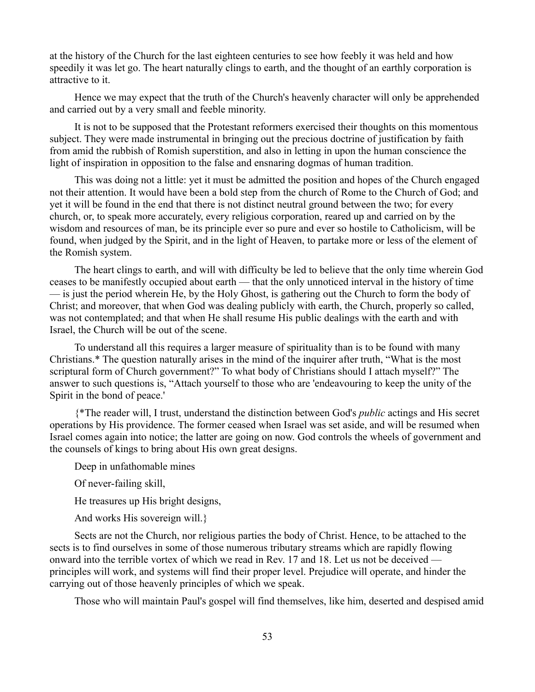at the history of the Church for the last eighteen centuries to see how feebly it was held and how speedily it was let go. The heart naturally clings to earth, and the thought of an earthly corporation is attractive to it.

Hence we may expect that the truth of the Church's heavenly character will only be apprehended and carried out by a very small and feeble minority.

It is not to be supposed that the Protestant reformers exercised their thoughts on this momentous subject. They were made instrumental in bringing out the precious doctrine of justification by faith from amid the rubbish of Romish superstition, and also in letting in upon the human conscience the light of inspiration in opposition to the false and ensnaring dogmas of human tradition.

This was doing not a little: yet it must be admitted the position and hopes of the Church engaged not their attention. It would have been a bold step from the church of Rome to the Church of God; and yet it will be found in the end that there is not distinct neutral ground between the two; for every church, or, to speak more accurately, every religious corporation, reared up and carried on by the wisdom and resources of man, be its principle ever so pure and ever so hostile to Catholicism, will be found, when judged by the Spirit, and in the light of Heaven, to partake more or less of the element of the Romish system.

The heart clings to earth, and will with difficulty be led to believe that the only time wherein God ceases to be manifestly occupied about earth — that the only unnoticed interval in the history of time — is just the period wherein He, by the Holy Ghost, is gathering out the Church to form the body of Christ; and moreover, that when God was dealing publicly with earth, the Church, properly so called, was not contemplated; and that when He shall resume His public dealings with the earth and with Israel, the Church will be out of the scene.

To understand all this requires a larger measure of spirituality than is to be found with many Christians.\* The question naturally arises in the mind of the inquirer after truth, "What is the most scriptural form of Church government?" To what body of Christians should I attach myself?" The answer to such questions is, "Attach yourself to those who are 'endeavouring to keep the unity of the Spirit in the bond of peace.'

{\*The reader will, I trust, understand the distinction between God's *public* actings and His secret operations by His providence. The former ceased when Israel was set aside, and will be resumed when Israel comes again into notice; the latter are going on now. God controls the wheels of government and the counsels of kings to bring about His own great designs.

Deep in unfathomable mines

Of never-failing skill,

He treasures up His bright designs,

And works His sovereign will.}

Sects are not the Church, nor religious parties the body of Christ. Hence, to be attached to the sects is to find ourselves in some of those numerous tributary streams which are rapidly flowing onward into the terrible vortex of which we read in Rev. 17 and 18. Let us not be deceived principles will work, and systems will find their proper level. Prejudice will operate, and hinder the carrying out of those heavenly principles of which we speak.

Those who will maintain Paul's gospel will find themselves, like him, deserted and despised amid